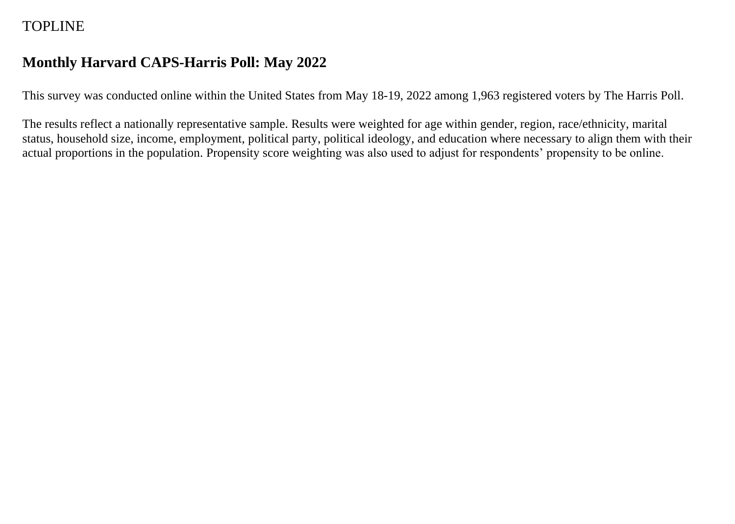# TOPLINE

# **Monthly Harvard CAPS-Harris Poll: May 2022**

This survey was conducted online within the United States from May 18-19, 2022 among 1,963 registered voters by The Harris Poll.

The results reflect a nationally representative sample. Results were weighted for age within gender, region, race/ethnicity, marital status, household size, income, employment, political party, political ideology, and education where necessary to align them with their actual proportions in the population. Propensity score weighting was also used to adjust for respondents' propensity to be online.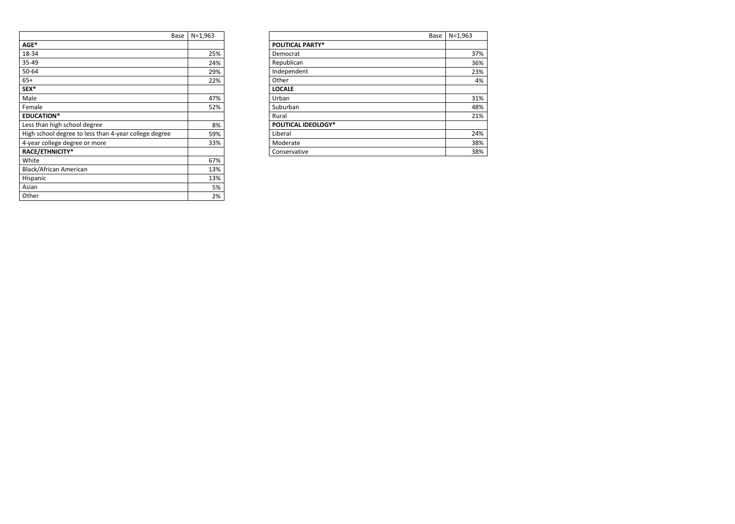| Base                                                  | $N=1,963$ |                            | Base | $N = 1,963$ |
|-------------------------------------------------------|-----------|----------------------------|------|-------------|
| $AGE*$                                                |           | <b>POLITICAL PARTY*</b>    |      |             |
| 18-34                                                 | 25%       | Democrat                   |      | 37%         |
| 35-49                                                 | 24%       | Republican                 |      | 36%         |
| 50-64                                                 | 29%       | Independent                |      | 23%         |
| $65+$                                                 | 22%       | Other                      |      | 4%          |
| SEX*                                                  |           | <b>LOCALE</b>              |      |             |
| Male                                                  | 47%       | Urban                      |      | 31%         |
| Female                                                | 52%       | Suburban                   |      | 48%         |
| <b>EDUCATION*</b>                                     |           | Rural                      |      | 21%         |
| Less than high school degree                          | 8%        | <b>POLITICAL IDEOLOGY*</b> |      |             |
| High school degree to less than 4-year college degree | 59%       | Liberal                    |      | 24%         |
| 4-year college degree or more                         | 33%       | Moderate                   |      | 38%         |
| RACE/ETHNICITY*                                       |           | Conservative               |      | 38%         |
|                                                       |           |                            |      |             |

| Base                                                  | $N = 1,963$ |                            |
|-------------------------------------------------------|-------------|----------------------------|
| AGE*                                                  |             | <b>POLITICAL PARTY*</b>    |
| 18-34                                                 | 25%         | Democrat                   |
| 35-49                                                 | 24%         | Republican                 |
| 50-64                                                 | 29%         | Independent                |
| $65+$                                                 | 22%         | Other                      |
| SEX*                                                  |             | <b>LOCALE</b>              |
| Male                                                  | 47%         | Urban                      |
| Female                                                | 52%         | Suburban                   |
| <b>EDUCATION*</b>                                     |             | Rural                      |
| Less than high school degree                          | 8%          | <b>POLITICAL IDEOLOGY*</b> |
| High school degree to less than 4-year college degree | 59%         | Liberal                    |
| 4-year college degree or more                         | 33%         | Moderate                   |
| RACE/ETHNICITY*                                       |             | Conservative               |
| White                                                 | 67%         |                            |
| <b>Black/African American</b>                         | 13%         |                            |
| Hispanic                                              | 13%         |                            |
| Asian                                                 | 5%          |                            |
| Other                                                 | 2%          |                            |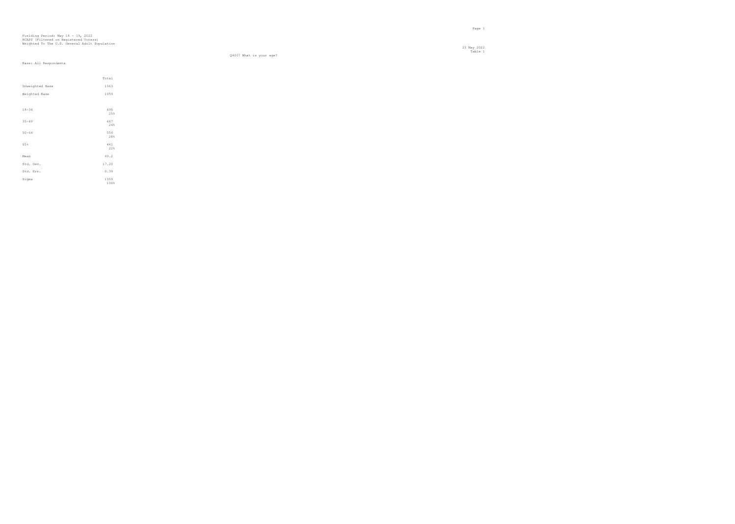23 May 2022 Table 1

Q4007 What is your age?

|                 | Total        |
|-----------------|--------------|
| Unweighted Base | 1963         |
| Weighted Base   | 1959         |
|                 |              |
| $18 - 34$       | 495<br>25%   |
| $35 - 49$       | 467<br>24%   |
| $50 - 64$       | 556<br>28%   |
| $65+$           | 441<br>22%   |
| Mean            | 49.2         |
| Std. Dev.       | 17.20        |
| Std. Err.       | 0.39         |
| Sigma           | 1959<br>100% |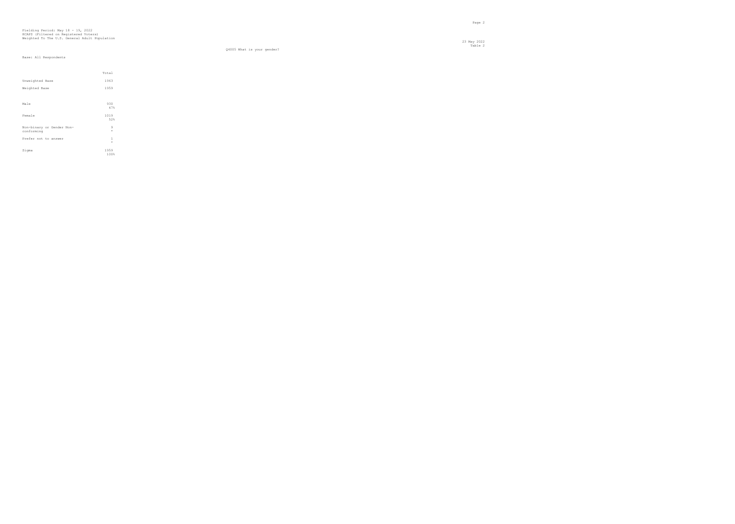23 May 2022 Table 2

Q4005 What is your gender?

|                                         | Total            |
|-----------------------------------------|------------------|
| Unweighted Base                         | 1963             |
| Weighted Base                           | 1959             |
|                                         |                  |
| Male                                    | 930<br>47%       |
| Female                                  | 1019<br>52%      |
| Non-binary or Gender Non-<br>conforming | 9<br>$\star$     |
| Prefer not to answer                    | $\,1$<br>$\star$ |
| Sigma                                   | 1959<br>100%     |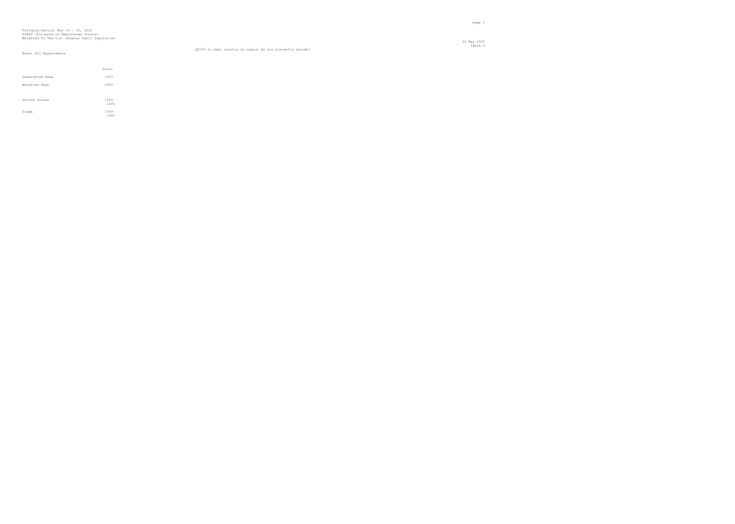#### Table 3 Q2109 In what country or region do you currently reside?

|                 | Total        |
|-----------------|--------------|
| Unweighted Base | 1963         |
| Weighted Base   | 1959         |
| United States   | 1959<br>100% |
| Sigma           | 1959<br>100% |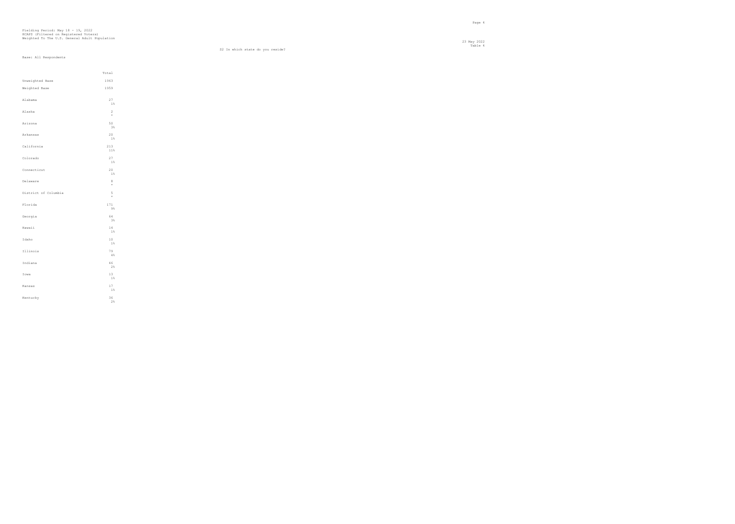Total Unweighted Base 1963 Weighted Base 1959 Alabama  $\begin{array}{c} 27 \\ 1\% \end{array}$ Alaska  $\frac{2}{\ast}$  \* Arizona  $\begin{array}{c} 50 \\ 3\% \end{array}$ Arkansas  $\begin{array}{c} 20 \\ 1\% \end{array}$ California  $\begin{array}{c} 213 \\ 11\% \end{array}$ Colorado  $\begin{array}{c} 27 \\ 1\% \end{array}$ Connecticut  $\begin{array}{c} 20 \\ 1\% \end{array}$ Delaware  $8 +$  \* District of Columbia  $\frac{5}{100}$  $\star$ Florida  $\begin{array}{c} 171 \\ 98 \end{array}$ Georgia 64<br>3% а в село в село в село во село во село во село во 1988 година, како е од 1988 година, како е од 198 Hawaii 14  $\begin{array}{c} 1\,4 \\ 1\,8 \end{array}$  $Idaho$  $\begin{smallmatrix}1&0\\1&\&1\end{smallmatrix}$ Illinois 79 **4%** Indiana  $46$ <br> $2%$ Iowa  $\begin{array}{c} 13 \\ 18 \end{array}$ Kansas  $\begin{array}{c} 17 \\ 1\% \end{array}$ Kentucky 36  $\begin{array}{c} 36 \\ 28 \end{array}$ 

 23 May 2022 Table 4

S2 In which state do you reside?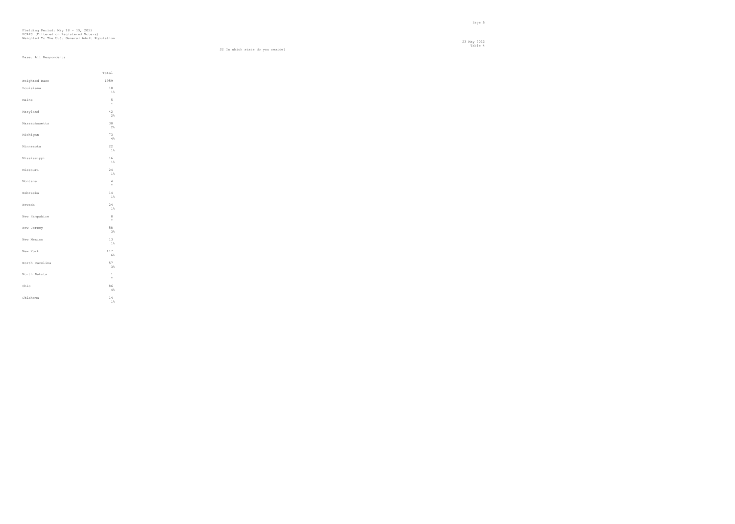Total Weighted Base 1959 Louisiana  $\begin{array}{c} 18 \\ 1\% \end{array}$ Maine 5 \* Maryland  $\begin{array}{c} 42 \\ 28 \end{array}$ Massachusetts 30  $\begin{array}{c} 30 \\ 28 \end{array}$ Michigan 73<br>4% **4%** Minnesota 22 1% and 1% and 1% and 1% and 1% and 1% and 1% and 1% and 1% and 1% and 1% and 1% and 1% and 1% and 1% and 1% and 1% and 1% and 1% and 1% and 1% and 1% and 1% and 1% and 1% and 1% and 1% and 1% and 1% and 1% and 1% and 1% and Mississippi 16  $\begin{array}{c} 16 \\ 1\% \end{array}$ Missouri 24  $\begin{array}{c} 2\,4 \\ 1\,8 \end{array}$ Montana 4  $\frac{4}{\star}$  $Nebraska$  $\begin{array}{c} 1\,4 \\ 1\,8 \end{array}$ Nevada  $\begin{array}{c} 2\,4 \\ 1\,8 \end{array}$  $New$  Hampshire \* New Jersey  $\begin{array}{c} 58 \\ 3\% \end{array}$ New Mexico  $13 \atop 1\%$ New York  $\begin{array}{c} 117 \\ 6\% \end{array}$ North Carolina 57  $\begin{array}{c} 57 \\ 3\% \end{array}$ North Dakota 1  $\begin{smallmatrix}1\\ *&\end{smallmatrix}$ Ohio  $8\,6\atop4\,$  % Oklahoma 14  $\begin{array}{c} 14 \\ 1\% \end{array}$ 

 23 May 2022 Table 4

S2 In which state do you reside?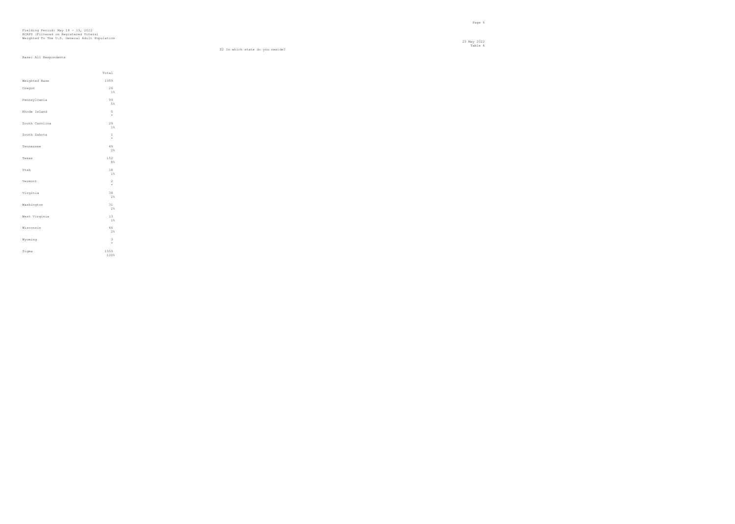Total Weighted Base 1959 Oregon  $\begin{array}{c} 26 \\ 1\% \end{array}$ Pennsylvania 99 the state of the state of the state of the state of the state of the state of the state of the state of the state of the state of the state of the state of the state of the state of the state of the state of the state of t Rhode Island 5<br>  $\star$  $\frac{5}{\star}$ South Carolina  $\begin{array}{c} 2\,9 \\ 1\, \scriptstyle\% \end{array}$ South Dakota 1  $\begin{smallmatrix}1\\ \ast \end{smallmatrix}$ Tennessee 49 2 % до 12 мај 12 мај 12 мај 12 мај 12 мај 12 мај 12 мај 12 мај 12 мај 12 мај 12 мај 12 мај 12 мај 12 мај 12 ма  $T$ exas  $\begin{array}{c} 152 \\ 8\% \end{array}$ Utah  $18 \\ 1\%$ Vermont  $\frac{2}{\star}$ Virginia  $\begin{array}{c} 38 \\ 28 \end{array}$ Washington 31  $\begin{array}{c} 31 \\ 28 \end{array}$ West Virginia  $\begin{array}{c} 13 \\ 1\% \end{array}$ Wisconsin 46  $\begin{array}{c} 46 \\ 28 \end{array}$ Wyoming 3 \* Sigma  $1959$ <br> $100%$ 

 23 May 2022 Table 4

S2 In which state do you reside?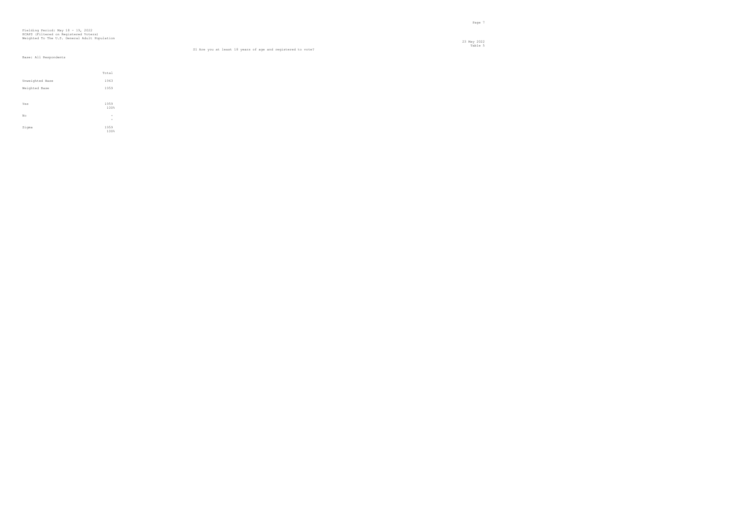23 May 2022 Table 5 S1 Are you at least 18 years of age and registered to vote?

|                 | Total                    |
|-----------------|--------------------------|
| Unweighted Base | 1963                     |
| Weighted Base   | 1959                     |
|                 |                          |
| Yes             | 1959                     |
|                 | 100%                     |
| No              | $\overline{\phantom{a}}$ |
|                 | $\overline{\phantom{a}}$ |
| Sigma           | 1959                     |
|                 | 100%                     |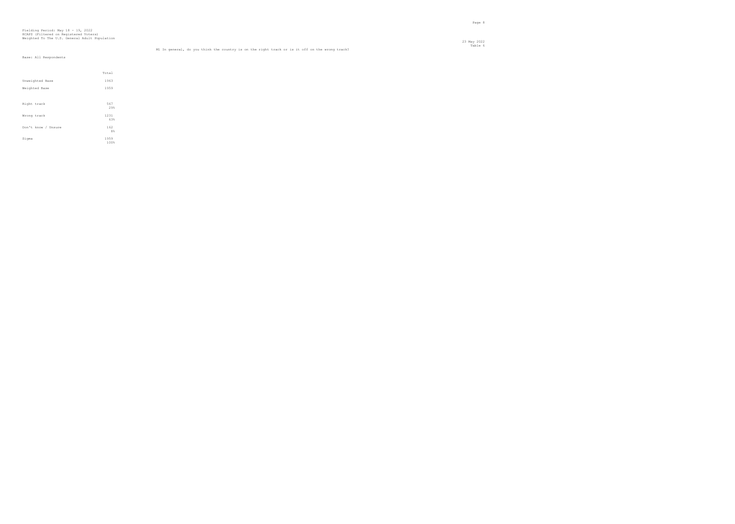## Fielding Period: May 18 - 19, 2022 HCAPS (Filtered on Registered Voters) Weighted To The U.S. General Adult Population

23 May 2022

|                                                                                                | Table 6 |
|------------------------------------------------------------------------------------------------|---------|
| Ml In general, do you think the country is on the right track or is it off on the wrong track? |         |

|                     | Total        |  |
|---------------------|--------------|--|
| Unweighted Base     | 1963         |  |
| Weighted Base       | 1959         |  |
|                     |              |  |
| Right track         | 567<br>29%   |  |
| Wrong track         | 1231<br>63%  |  |
| Don't know / Unsure | 162<br>8%    |  |
| Sigma               | 1959<br>100% |  |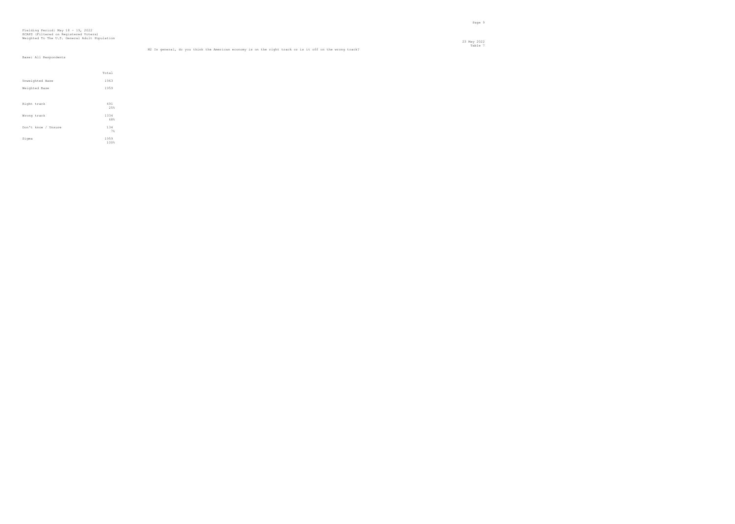## Fielding Period: May 18 - 19, 2022 HCAPS (Filtered on Registered Voters) Weighted To The U.S. General Adult Population

|                                                                                                         | Table 7 |
|---------------------------------------------------------------------------------------------------------|---------|
| M2 In general, do you think the American economy is on the right track or is it off on the wrong track? |         |

|                     | Total        |
|---------------------|--------------|
| Unweighted Base     | 1963         |
| Weighted Base       | 1959         |
|                     |              |
| Right track         | 491<br>25%   |
| Wrong track         | 1334<br>68%  |
| Don't know / Unsure | 134<br>7%    |
| Sigma               | 1959<br>100% |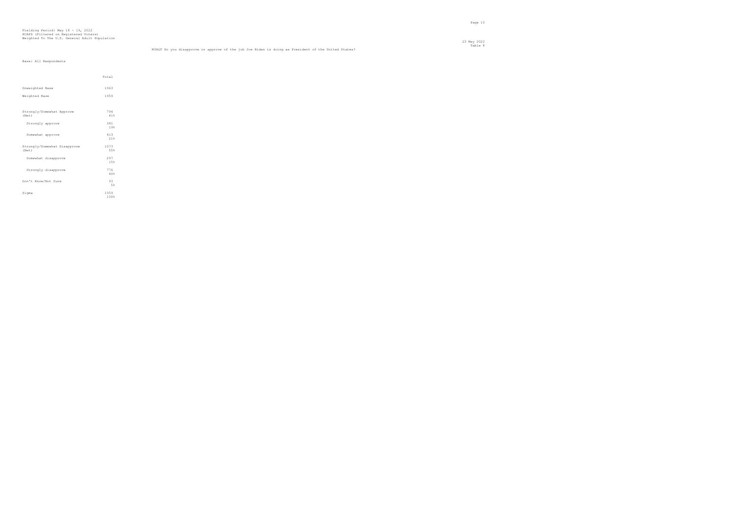en de la provincia de la provincia de la provincia de la provincia de la provincia de la provincia de la provi<br>Page 10

|                                    | Total      |  |
|------------------------------------|------------|--|
|                                    |            |  |
| Unweighted Base                    | 1963       |  |
| Weighted Base                      | 1959       |  |
|                                    |            |  |
|                                    |            |  |
| Strongly/Somewhat Approve<br>(Net) | 794<br>41% |  |
|                                    |            |  |
| Strongly approve                   | 381<br>19% |  |
|                                    |            |  |
| Somewhat approve                   | 413        |  |
|                                    | 21%        |  |
| Strongly/Somewhat Disapprove       | 1073       |  |
| (Net)                              | 55%        |  |
| Somewhat disapprove                | 297        |  |
|                                    | 1.5%       |  |
| Strongly disapprove                | 776        |  |
|                                    | 40%        |  |
| Don't Know/Not Sure                | 93         |  |
|                                    | 5%         |  |
| Sigma                              | 1959       |  |
|                                    | 100%       |  |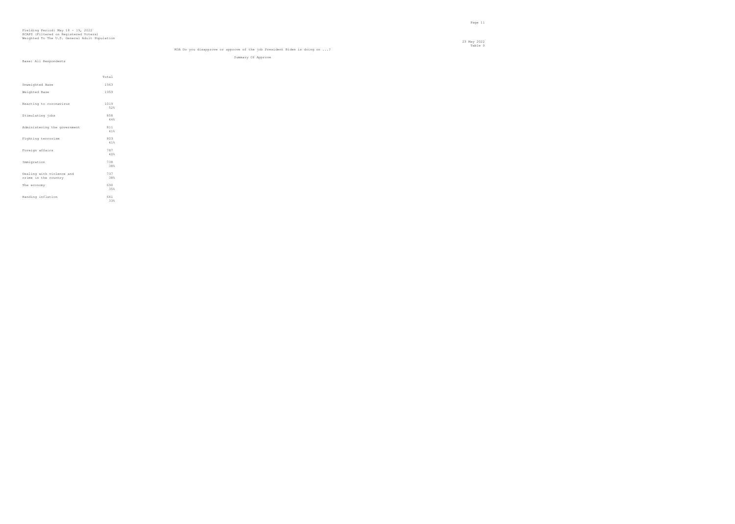Total Unweighted Base 1963 Weighted Base 1959 Reacting to coronavirus  $1019$ <br> $52%$ Stimulating jobs  $\begin{array}{c} 858 \\ 44\% \end{array}$ Administering the government  $\begin{array}{c} 811 \\ 41\% \end{array}$  ${\tt Fighting~terrorism}$  $803$ <br> $41%$ Foreign affairs  $787$ <br> $40%$ Immigration 38% Dealing with violence and 737 crime in the country 38% The economy  $690$ <br> $35%$ Handing inflation 641  $\begin{array}{c} 641 \\ 33\% \end{array}$ 

#### Table 9 M3A Do you disapprove or approve of the job President Biden is doing on ...?

Summary Of Approve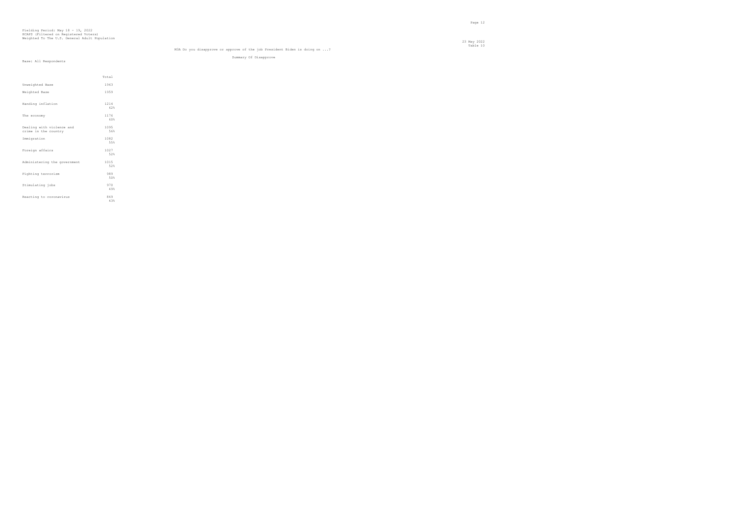#### Table 10 M3A Do you disapprove or approve of the job President Biden is doing on ...?

Summary Of Disapprove

en de la provincia de la provincia de la provincia de la provincia de la provincia de la provincia de la provi<br>Page 12

| Base: All Respondents |  |  |  |
|-----------------------|--|--|--|
|-----------------------|--|--|--|

|                                                   | Total       |
|---------------------------------------------------|-------------|
| Unweighted Base                                   | 1963        |
| Weighted Base                                     | 1959        |
| Handing inflation                                 | 1214<br>62% |
| The economy                                       | 1176<br>60% |
| Dealing with violence and<br>crime in the country | 1095<br>56% |
| Immigration                                       | 1082<br>55% |
| Foreign affairs                                   | 1027<br>52% |
| Administering the government                      | 1015<br>52% |
| Fighting terrorism                                | 989<br>50%  |
| Stimulating jobs                                  | 970<br>49%  |
| Reacting to coronavirus                           | 849<br>4.3% |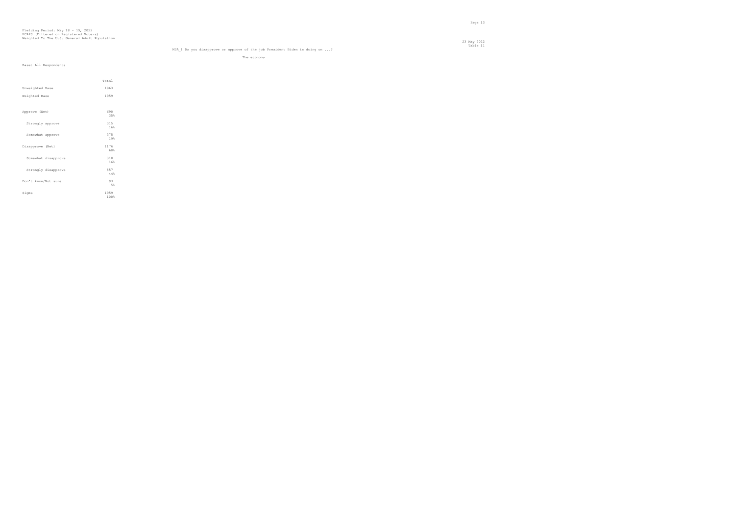#### Table 11 M3A\_1 Do you disapprove or approve of the job President Biden is doing on ...?

The economy

| Base: All Respondents |  |  |  |
|-----------------------|--|--|--|
|-----------------------|--|--|--|

|                     | Total        |
|---------------------|--------------|
| Unweighted Base     | 1963         |
| Weighted Base       | 1959         |
|                     |              |
| Approve (Net)       | 690<br>35%   |
| Strongly approve    | 315<br>16%   |
| Somewhat approve    | 375<br>19%   |
| Disapprove (Net)    | 1176<br>60%  |
| Somewhat disapprove | 318<br>16%   |
| Strongly disapprove | 857<br>44%   |
| Don't know/Not sure | 93<br>5%     |
| Sigma               | 1959<br>100% |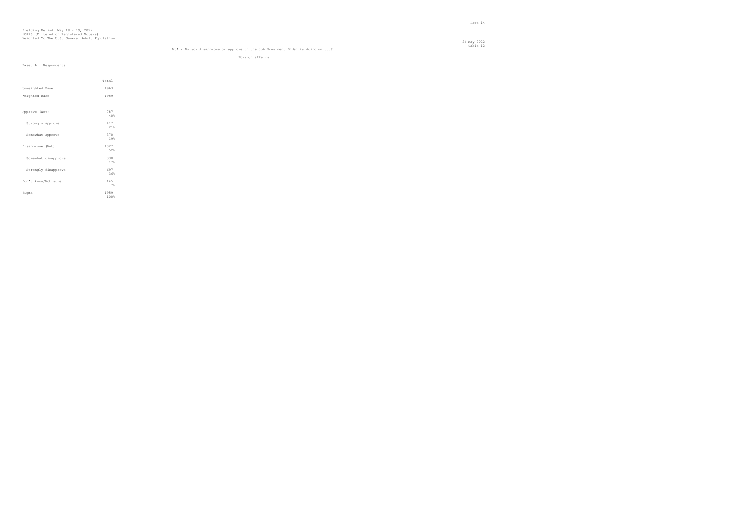#### Table 12 M3A\_2 Do you disapprove or approve of the job President Biden is doing on ...?

Foreign affairs

|                     | Total        |
|---------------------|--------------|
| Unweighted Base     | 1963         |
| Weighted Base       | 1959         |
|                     |              |
| Approve (Net)       | 787<br>40%   |
| Strongly approve    | 417<br>21%   |
| Somewhat approve    | 370<br>19%   |
| Disapprove (Net)    | 1027<br>52%  |
| Somewhat disapprove | 330<br>17%   |
| Strongly disapprove | 697<br>36%   |
| Don't know/Not sure | 145<br>7%    |
| Sigma               | 1959<br>100% |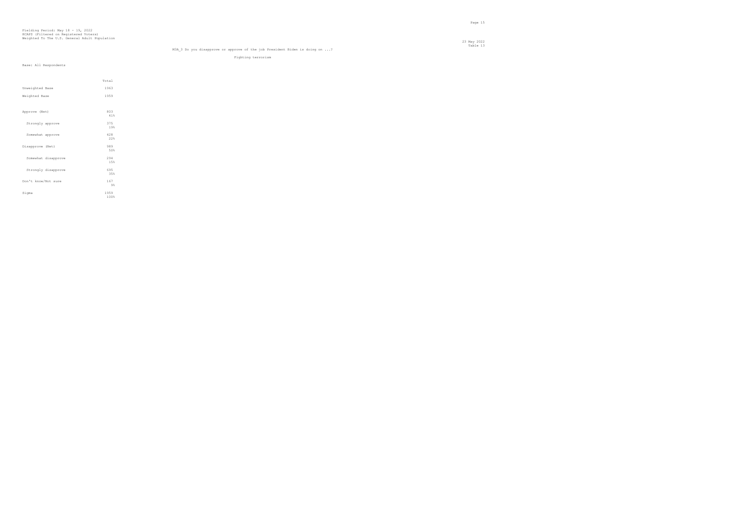#### Table 13 M3A\_3 Do you disapprove or approve of the job President Biden is doing on ...?

Fighting terrorism

|                     | Total        |  |
|---------------------|--------------|--|
| Unweighted Base     | 1963         |  |
| Weighted Base       | 1959         |  |
|                     |              |  |
| Approve (Net)       | 803<br>41%   |  |
| Strongly approve    | 375<br>19%   |  |
| Somewhat approve    | 428<br>22%   |  |
| Disapprove (Net)    | 989<br>50%   |  |
| Somewhat disapprove | 294<br>15%   |  |
| Strongly disapprove | 695<br>35%   |  |
| Don't know/Not sure | 167<br>$9\%$ |  |
| Sigma               | 1959<br>100% |  |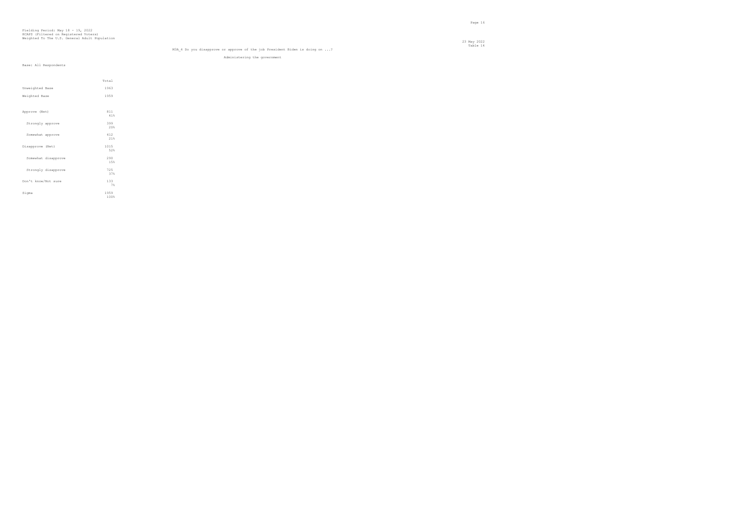#### Table 14 M3A\_4 Do you disapprove or approve of the job President Biden is doing on ...?

Administering the government

|                     | Total        |
|---------------------|--------------|
| Unweighted Base     | 1963         |
| Weighted Base       | 1959         |
|                     |              |
| Approve (Net)       | 811<br>41%   |
| Strongly approve    | 399<br>20%   |
| Somewhat approve    | 412<br>21%   |
| Disapprove (Net)    | 1015<br>52%  |
| Somewhat disapprove | 290<br>15%   |
| Strongly disapprove | 725<br>37%   |
| Don't know/Not sure | 133<br>7%    |
| Sigma               | 1959<br>100% |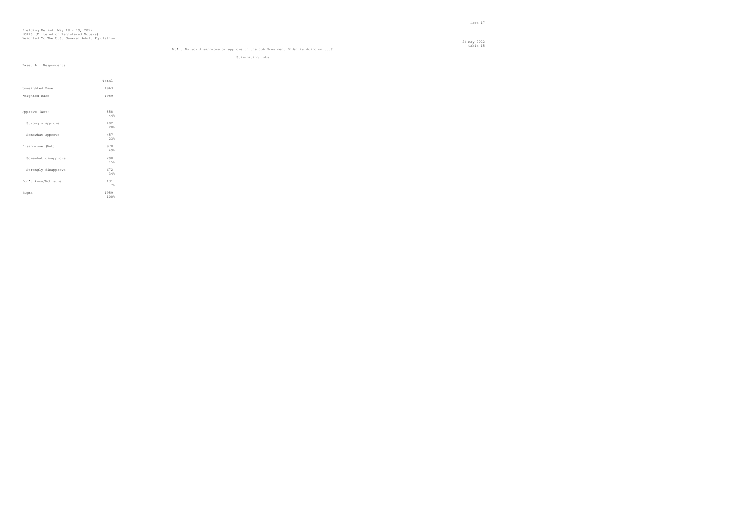#### Table 15 M3A\_5 Do you disapprove or approve of the job President Biden is doing on ...?

Stimulating jobs

|                     | Total |  |
|---------------------|-------|--|
| Unweighted Base     | 1963  |  |
| Weighted Base       | 1959  |  |
|                     |       |  |
| Approve (Net)       | 858   |  |
|                     | 44%   |  |
| Strongly approve    | 402   |  |
|                     | 20%   |  |
| Somewhat approve    | 457   |  |
|                     | 23%   |  |
| Disapprove (Net)    | 970   |  |
|                     | 49%   |  |
| Somewhat disapprove | 298   |  |
|                     | 15%   |  |
| Strongly disapprove | 672   |  |
|                     | 34%   |  |
| Don't know/Not sure | 131   |  |
|                     | 7%    |  |
| Sigma               | 1959  |  |
|                     | 100%  |  |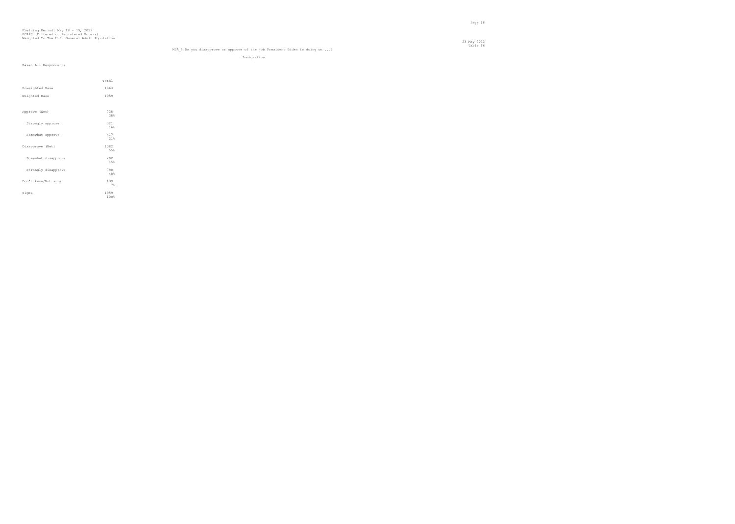#### Table 16 M3A\_6 Do you disapprove or approve of the job President Biden is doing on ...?

Immigration

|                     | Total        |
|---------------------|--------------|
| Unweighted Base     | 1963         |
| Weighted Base       | 1959         |
|                     |              |
| Approve (Net)       | 738<br>38%   |
| Strongly approve    | 321<br>16%   |
| Somewhat approve    | 417<br>21%   |
| Disapprove (Net)    | 1082<br>55%  |
| Somewhat disapprove | 292<br>15%   |
| Strongly disapprove | 790<br>40%   |
| Don't know/Not sure | 139<br>7%    |
| Sigma               | 1959<br>100% |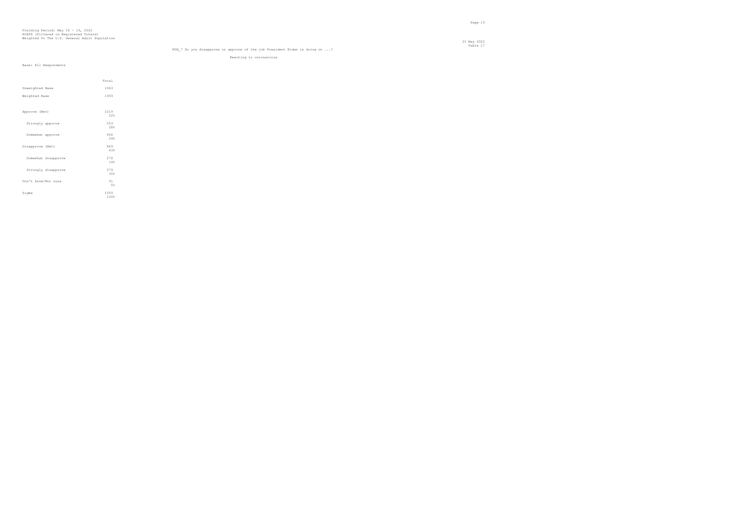#### Table 17 M3A\_7 Do you disapprove or approve of the job President Biden is doing on ...?

Reacting to coronavirus

|                     | Total |
|---------------------|-------|
| Unweighted Base     | 1963  |
| Weighted Base       | 1959  |
|                     |       |
| Approve (Net)       | 1019  |
|                     | 52%   |
| Strongly approve    | 553   |
|                     | 28%   |
| Somewhat approve    | 466   |
|                     | 2.4%  |
| Disapprove (Net)    | 849   |
|                     | 43%   |
| Somewhat disapprove | 270   |
|                     | 14%   |
| Strongly disapprove | 579   |
|                     | 30%   |
| Don't know/Not sure | 91    |
|                     | 5%    |
| Sigma               | 1959  |
|                     | 100%  |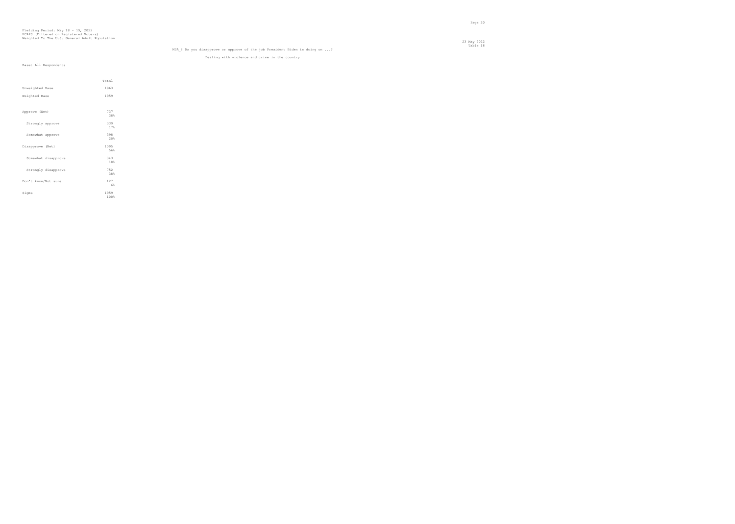#### Table 18 M3A\_8 Do you disapprove or approve of the job President Biden is doing on ...?

Dealing with violence and crime in the country

|                     | Total        |  |
|---------------------|--------------|--|
| Unweighted Base     | 1963         |  |
| Weighted Base       | 1959         |  |
|                     |              |  |
| Approve (Net)       | 737<br>38%   |  |
| Strongly approve    | 339<br>17%   |  |
| Somewhat approve    | 398<br>20%   |  |
| Disapprove (Net)    | 1095<br>56%  |  |
| Somewhat disapprove | 343<br>18%   |  |
| Strongly disapprove | 752<br>38%   |  |
| Don't know/Not sure | 127<br>6%    |  |
| Sigma               | 1959<br>100% |  |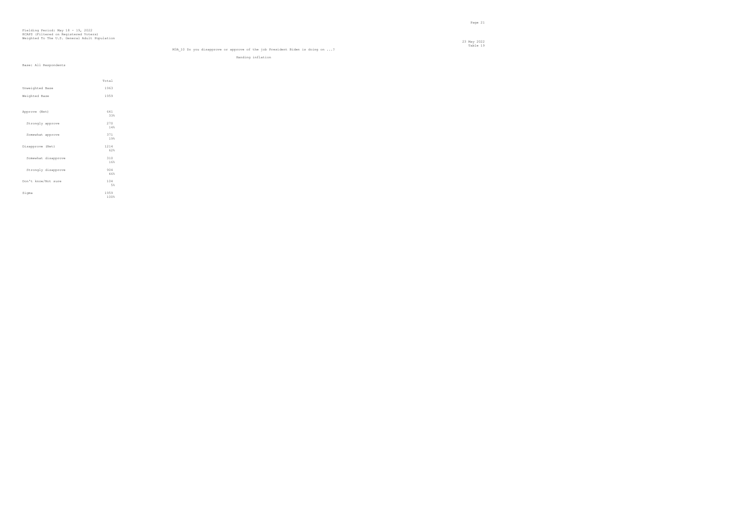#### Table 19 M3A\_10 Do you disapprove or approve of the job President Biden is doing on ...?

Handing inflation

|  | Base: All Respondents |
|--|-----------------------|

|                     | Total        |  |
|---------------------|--------------|--|
| Unweighted Base     | 1963         |  |
| Weighted Base       | 1959         |  |
|                     |              |  |
| Approve (Net)       | 641<br>33%   |  |
| Strongly approve    | 270<br>14%   |  |
| Somewhat approve    | 371<br>19%   |  |
| Disapprove (Net)    | 1214<br>62%  |  |
| Somewhat disapprove | 310<br>16%   |  |
| Strongly disapprove | 904<br>46%   |  |
| Don't know/Not sure | 104<br>5%    |  |
| Sigma               | 1959<br>100% |  |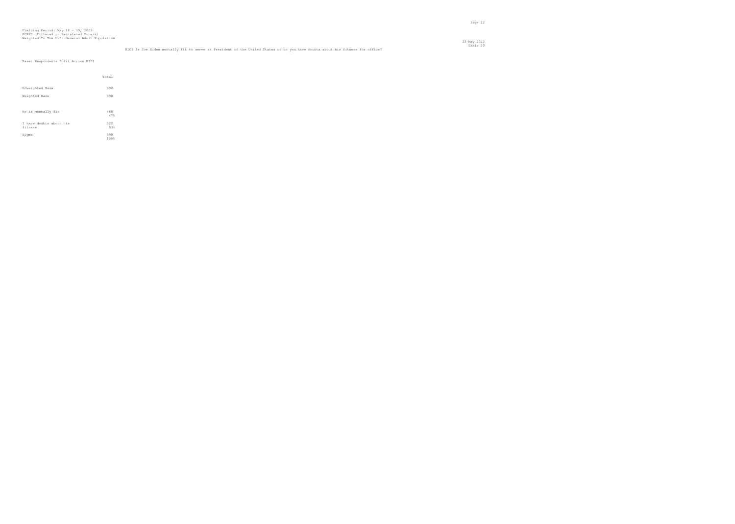#### Table 20 BID1 Is Joe Biden mentally fit to serve as President of the United States or do you have doubts about his fitness for office?

Base: Respondents Split Across BID1

|                                    | Total       |
|------------------------------------|-------------|
| Unweighted Base                    | 992         |
| Weighted Base                      | 990         |
|                                    |             |
| He is mentally fit                 | 468<br>47%  |
| I have doubts about his<br>fitness | 522<br>53%  |
| Sigma                              | 990<br>100% |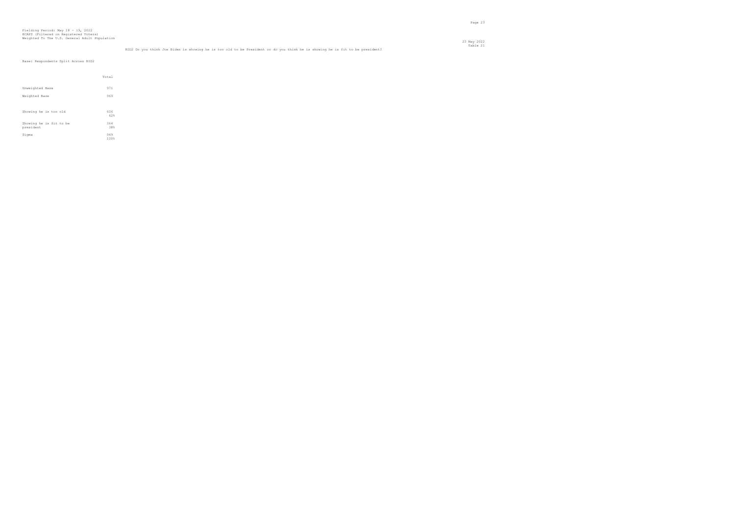#### Table 21 BID2 Do you think Joe Biden is showing he is too old to be President or do you think he is showing he is fit to be president?

Base: Respondents Split Across BID2

|                                      | Total       |
|--------------------------------------|-------------|
| Unweighted Base                      | 971         |
| Weighted Base                        | 969         |
|                                      |             |
| Showing he is too old                | 606<br>62%  |
| Showing he is fit to be<br>president | 364<br>38%  |
| Sigma                                | 969<br>100% |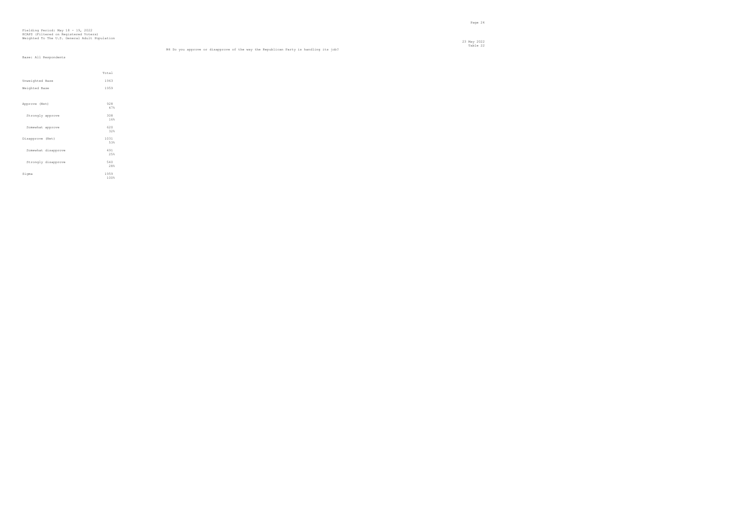## Fielding Period: May 18 - 19, 2022 HCAPS (Filtered on Registered Voters) Weighted To The U.S. General Adult Population

#### Table 22 M4 Do you approve or disapprove of the way the Republican Party is handling its job?

|                     | Total        |  |
|---------------------|--------------|--|
| Unweighted Base     | 1963         |  |
| Weighted Base       | 1959         |  |
|                     |              |  |
| Approve (Net)       | 928<br>47%   |  |
| Strongly approve    | 308<br>16%   |  |
| Somewhat approve    | 620<br>32%   |  |
| Disapprove (Net)    | 1031<br>53%  |  |
| Somewhat disapprove | 491<br>25%   |  |
| Strongly disapprove | 540<br>28%   |  |
| Sigma               | 1959<br>100% |  |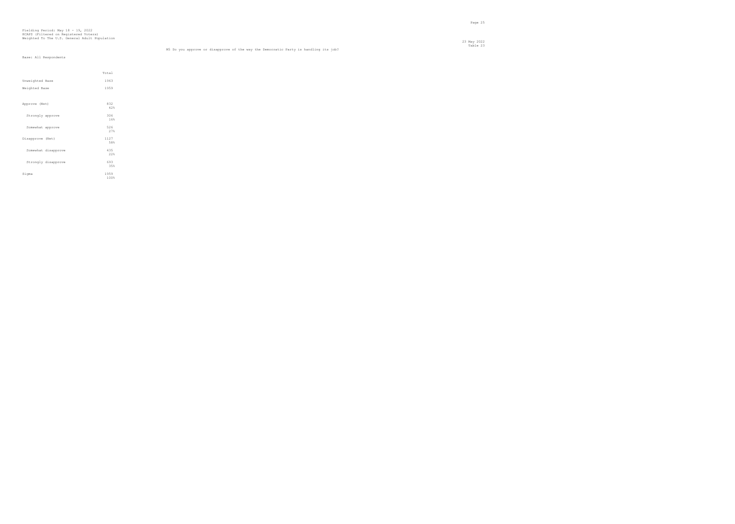## Fielding Period: May 18 - 19, 2022 HCAPS (Filtered on Registered Voters) Weighted To The U.S. General Adult Population

 23 May 2022 Table 23 M5 Do you approve or disapprove of the way the Democratic Party is handling its job?

|                     | Total        |  |
|---------------------|--------------|--|
| Unweighted Base     | 1963         |  |
| Weighted Base       | 1959         |  |
|                     |              |  |
| Approve (Net)       | 832<br>42%   |  |
| Strongly approve    | 306<br>16%   |  |
| Somewhat approve    | 526<br>27%   |  |
| Disapprove (Net)    | 1127<br>58%  |  |
| Somewhat disapprove | 435<br>22%   |  |
| Strongly disapprove | 693<br>35%   |  |
| Sigma               | 1959<br>100% |  |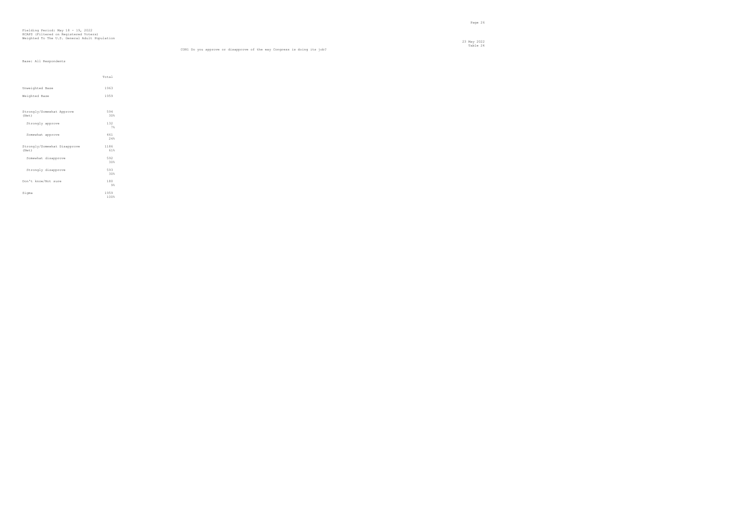en de la provincia de la provincia de la provincia de la provincia de la provincia de la provincia de la provi<br>Page 26

|                                       | Total        |  |
|---------------------------------------|--------------|--|
| Unweighted Base                       | 1963         |  |
| Weighted Base                         | 1959         |  |
|                                       |              |  |
| Strongly/Somewhat Approve<br>(Net)    | 594<br>30%   |  |
| Strongly approve                      | 132<br>7%    |  |
| Somewhat approve                      | 461<br>24%   |  |
| Strongly/Somewhat Disapprove<br>(Net) | 1186<br>61%  |  |
| Somewhat disapprove                   | 592<br>30%   |  |
| Strongly disapprove                   | 593<br>30%   |  |
| Don't know/Not sure                   | 180<br>$9\%$ |  |
| Sigma                                 | 1959<br>100% |  |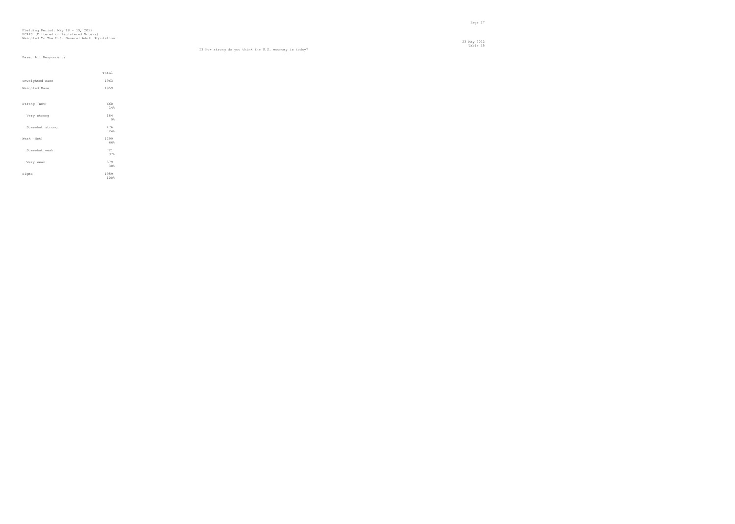23 May 2022 Table 25 I3 How strong do you think the U.S. economy is today?

|                 | Total        |
|-----------------|--------------|
| Unweighted Base | 1963         |
| Weighted Base   | 1959         |
|                 |              |
| Strong (Net)    | 660<br>34%   |
| Very strong     | 184<br>9%    |
| Somewhat strong | 476<br>24%   |
| Weak (Net)      | 1299<br>66%  |
| Somewhat weak   | 721<br>37%   |
| Very weak       | 579<br>30%   |
| Sigma           | 1959<br>100% |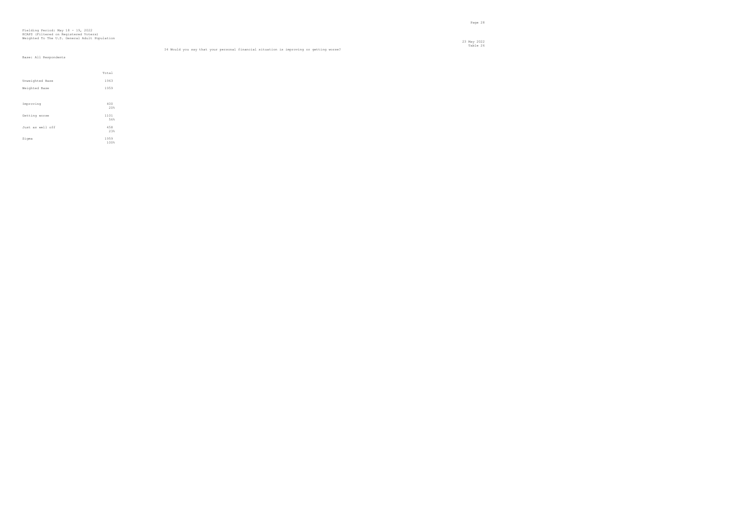## Fielding Period: May 18 - 19, 2022 HCAPS (Filtered on Registered Voters) Weighted To The U.S. General Adult Population

 23 May 2022 Table 26 I4 Would you say that your personal financial situation is improving or getting worse?

|                  | Total       |  |
|------------------|-------------|--|
| Unweighted Base  | 1963        |  |
| Weighted Base    | 1959        |  |
|                  |             |  |
| Improving        | 400<br>20%  |  |
|                  |             |  |
| Getting worse    | 1101<br>56% |  |
| Just as well off | 458         |  |
|                  | 23%         |  |
| Sigma            | 1959        |  |
|                  | 100%        |  |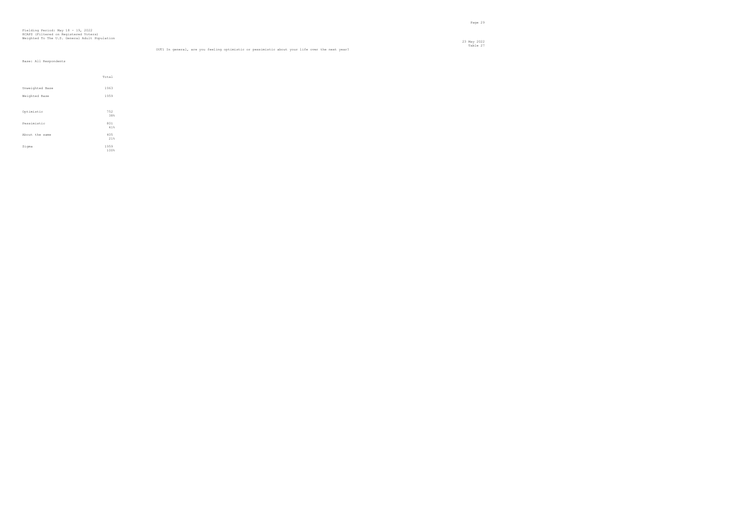en die 19de jaar van die 19de eeu n.C. Soos van die 19de eeu n.C. Soos en gewen die 19de eeu n.C. Soos en 19de<br>Gebeure

|  | Base: All Respondents |
|--|-----------------------|

|                 | Total       |  |
|-----------------|-------------|--|
| Unweighted Base | 1963        |  |
| Weighted Base   | 1959        |  |
|                 |             |  |
| Optimistic      | 752<br>38%  |  |
| Pessimistic     | 801<br>41%  |  |
| About the same  | 405         |  |
| Sigma           | 21%<br>1959 |  |
|                 | 100%        |  |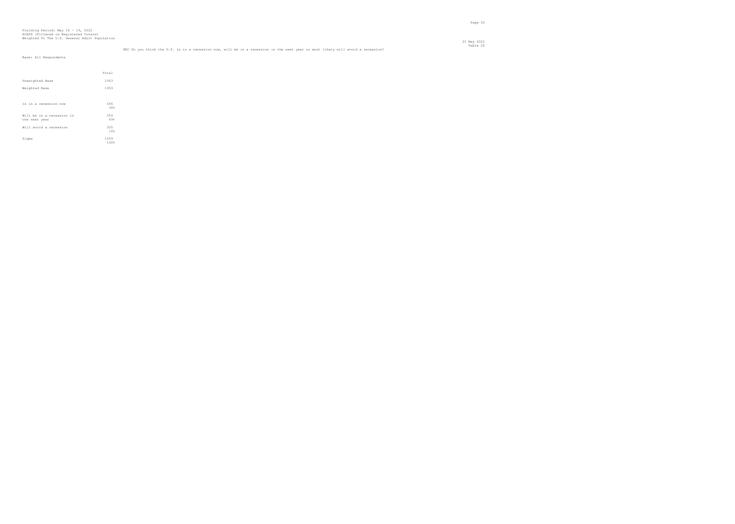| Base: All Respondents                      |              |
|--------------------------------------------|--------------|
|                                            | Total        |
| Unweighted Base                            | 1963         |
| Weighted Base                              | 1959         |
|                                            |              |
| Is in a recession now                      | 696<br>36%   |
| Will be in a recession in<br>the next year | 959<br>49%   |
| Will avoid a recession                     | 305<br>16%   |
| Sigma                                      | 1959<br>100% |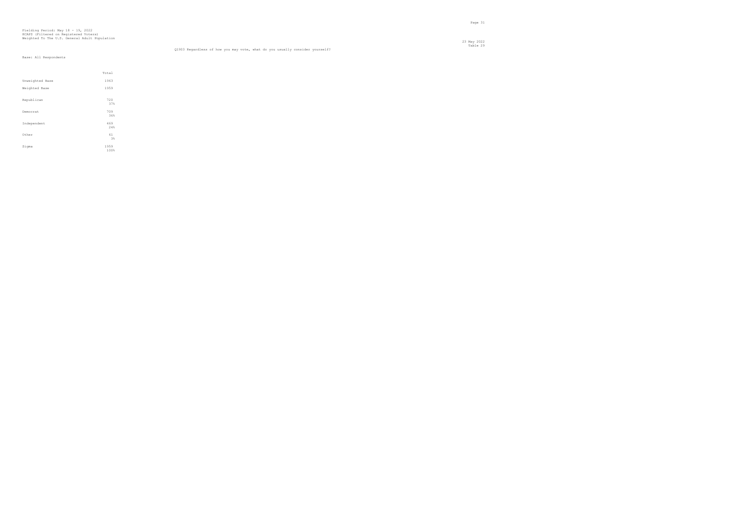23 May 2022 Table 29 Q1903 Regardless of how you may vote, what do you usually consider yourself?

|                 | Total |  |
|-----------------|-------|--|
| Unweighted Base | 1963  |  |
| Weighted Base   | 1959  |  |
|                 |       |  |
| Republican      | 720   |  |
|                 | 37%   |  |
|                 |       |  |
| Democrat        | 709   |  |
|                 | 36%   |  |
| Independent     | 469   |  |
|                 | 24%   |  |
|                 |       |  |
| Other           | 61    |  |
|                 | 3%    |  |
|                 | 1959  |  |
| Sigma           |       |  |
|                 | 100%  |  |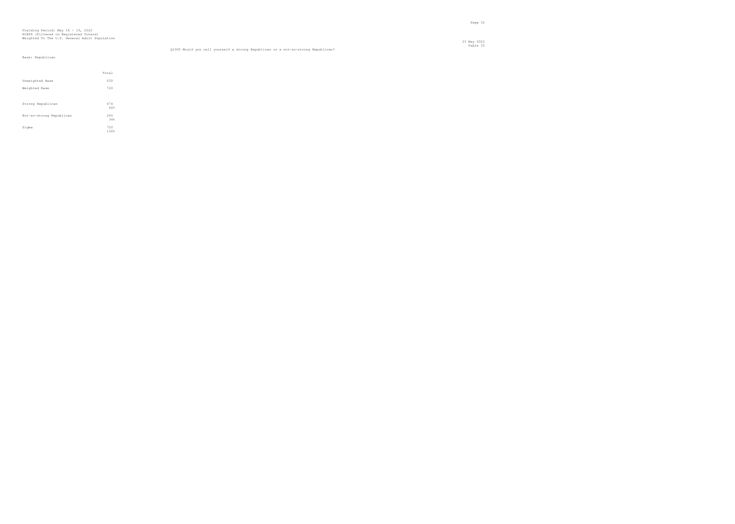## Fielding Period: May 18 - 19, 2022 HCAPS (Filtered on Registered Voters) Weighted To The U.S. General Adult Population

23 May 2022

#### Table 30 Q1905 Would you call yourself a strong Republican or a not-so-strong Republican?

#### Base: Republican

|                          | Total       |
|--------------------------|-------------|
| Unweighted Base          | 630         |
| Weighted Base            | 720         |
|                          |             |
| Strong Republican        | 474<br>66%  |
| Not-so-strong Republican | 246<br>34%  |
| Sigma                    | 720<br>100% |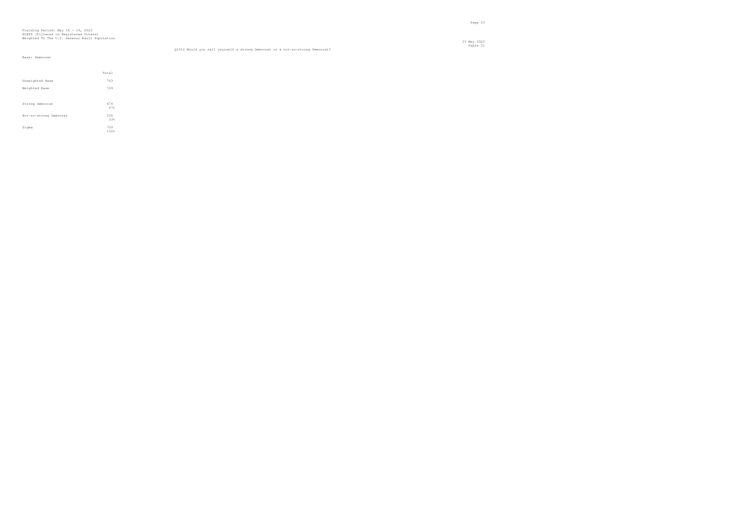#### Table 31 Q1910 Would you call yourself a strong Democrat or a not-so-strong Democrat?

#### Base: Democrat

|                        | Total       |
|------------------------|-------------|
| Unweighted Base        | 763         |
| Weighted Base          | 709         |
|                        |             |
| Strong Democrat        | 474<br>67%  |
| Not-so-strong Democrat | 236<br>33%  |
| Sigma                  | 709<br>100% |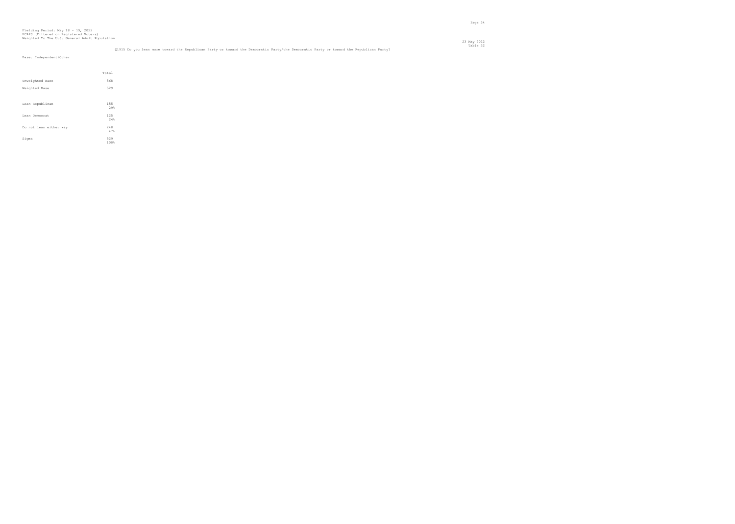23 May 2022 Table 32 Q1915 Do you lean more toward the Republican Party or toward the Democratic Party/the Democratic Party or toward the Republican Party?

| Base: Independent/Other |            |  |
|-------------------------|------------|--|
|                         | Total      |  |
| Unweighted Base         | 568        |  |
| Weighted Base           | 529        |  |
|                         |            |  |
| Lean Republican         | 155<br>29% |  |
| Lean Democrat           | 125<br>24% |  |
| Do not lean either way  | 248<br>47% |  |

en de la provincia de la provincia de la provincia de la provincia de la provincia de la provincia de la provi<br>Page 34

100%

 $Signa$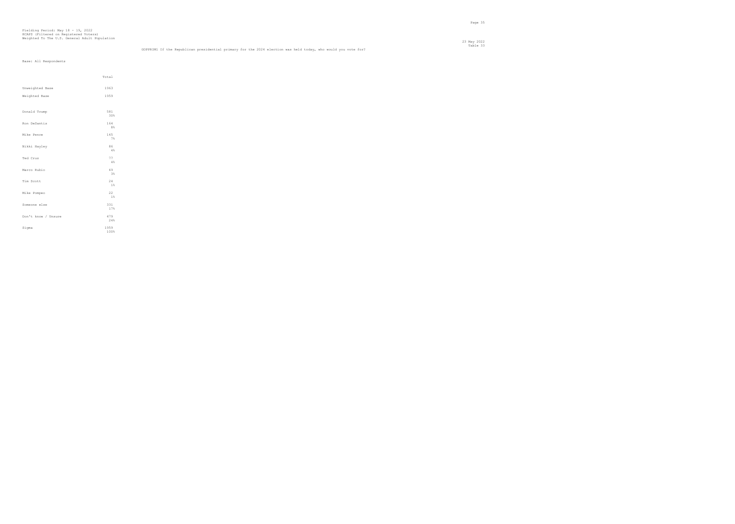en de la provincia de la provincia de la provincia de la provincia de la provincia de la provincia de la provi<br>Page 35

|  | Base: All Respondents |
|--|-----------------------|

|                     | Total        |
|---------------------|--------------|
| Unweighted Base     | 1963         |
| Weighted Base       | 1959         |
| Donald Trump        | 581<br>30%   |
| Ron DeSantis        | 164<br>8%    |
| Mike Pence          | 145<br>7%    |
| Nikki Hayley        | 86<br>4%     |
| Ted Cruz            | 77<br>4%     |
| Marco Rubio         | 49<br>3%     |
| Tim Scott           | 24<br>1%     |
| Mike Pompeo         | 22<br>1%     |
| Someone else        | 331<br>17%   |
| Don't know / Unsure | 479<br>24%   |
| Sigma               | 1959<br>100% |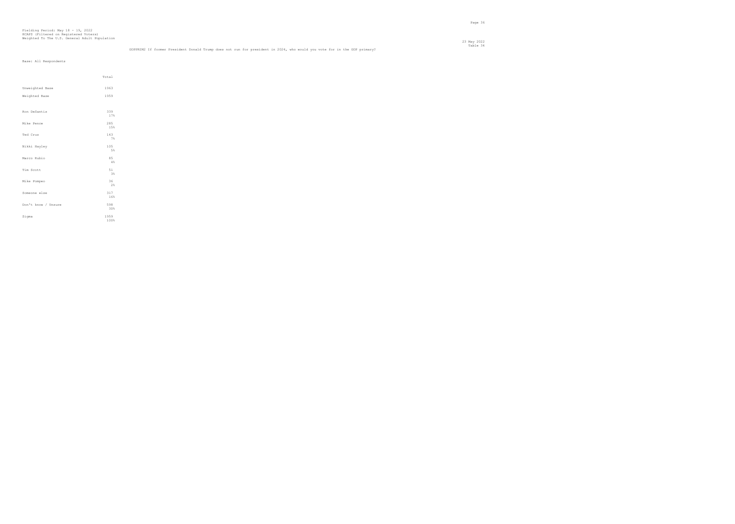## Table 34 GOPPRIM2 If former President Donald Trump does not run for president in 2024, who would you vote for in the GOP primary?

|                     | Total        |  |
|---------------------|--------------|--|
| Unweighted Base     | 1963         |  |
| Weighted Base       | 1959         |  |
|                     |              |  |
| Ron DeSantis        | 339<br>17%   |  |
| Mike Pence          | 285<br>15%   |  |
| Ted Cruz            | 143<br>7%    |  |
| Nikki Hayley        | 105<br>5%    |  |
| Marco Rubio         | 85<br>4%     |  |
| Tim Scott           | 51<br>3%     |  |
| Mike Pompeo         | 36<br>2%     |  |
| Someone else        | 317<br>16%   |  |
| Don't know / Unsure | 598<br>30%   |  |
| Sigma               | 1959<br>100% |  |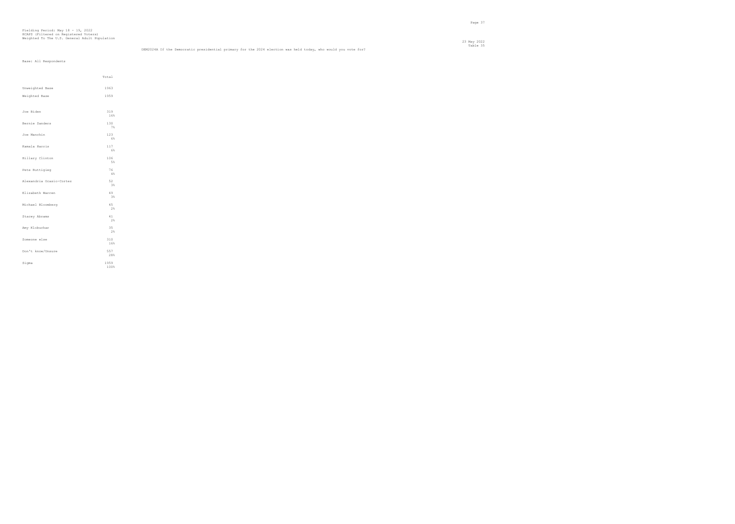|  | Base: All Respondents |
|--|-----------------------|

|                          | Total        |  |
|--------------------------|--------------|--|
| Unweighted Base          | 1963         |  |
| Weighted Base            | 1959         |  |
|                          |              |  |
| Joe Biden                | 319<br>16%   |  |
| Bernie Sanders           | 130<br>7%    |  |
| Joe Manchin              | 123<br>6%    |  |
| Kamala Harris            | 117<br>6%    |  |
| Hillary Clinton          | 106<br>5%    |  |
| Pete Buttigieg           | 76<br>4%     |  |
| Alexandria Ocasio-Cortez | 52<br>3%     |  |
| Elizabeth Warren         | 49<br>3%     |  |
| Michael Bloomberg        | 45<br>2%     |  |
| Stacey Abrams            | 41<br>2%     |  |
| Amy Klobuchar            | 35<br>2%     |  |
| Someone else             | 310<br>16%   |  |
| Don't know/Unsure        | 557<br>28%   |  |
| Sigma                    | 1959<br>100% |  |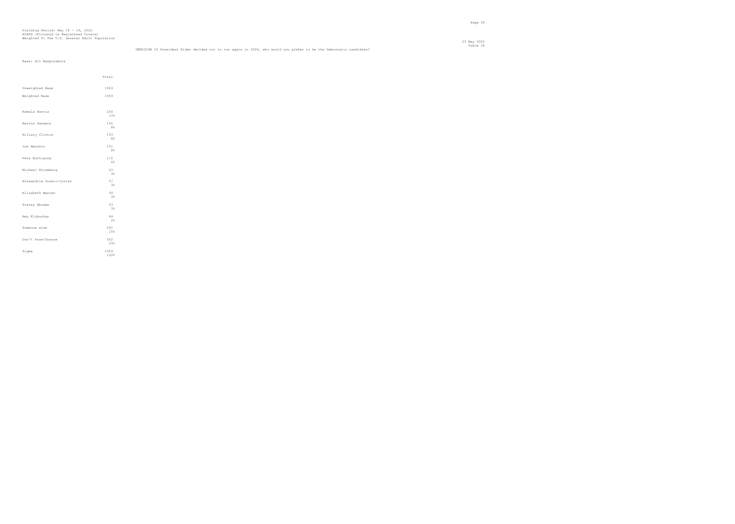## Table 36 DEM2024B If President Biden decides not to run again in 2024, who would you prefer to be the Democratic candidate?

|                          | Total        |  |
|--------------------------|--------------|--|
| Unweighted Base          | 1963         |  |
| Weighted Base            | 1959         |  |
|                          |              |  |
| Kamala Harris            | 260<br>13%   |  |
| Bernie Sanders           | 156<br>8%    |  |
| Hillary Clinton          | 153<br>8%    |  |
| Joe Manchin              | 151<br>8%    |  |
| Pete Buttigieg           | 115<br>6%    |  |
| Michael Bloomberg        | 63<br>3%     |  |
| Alexandria Ocasio-Cortez | 57<br>3%     |  |
| Elizabeth Warren         | 54<br>3%     |  |
| Stacey Abrams            | 53<br>3%     |  |
| Amy Klobuchar            | 44<br>2%     |  |
| Someone else             | 291<br>15%   |  |
| Don't know/Unsure        | 562<br>29%   |  |
| Sigma                    | 1959<br>100% |  |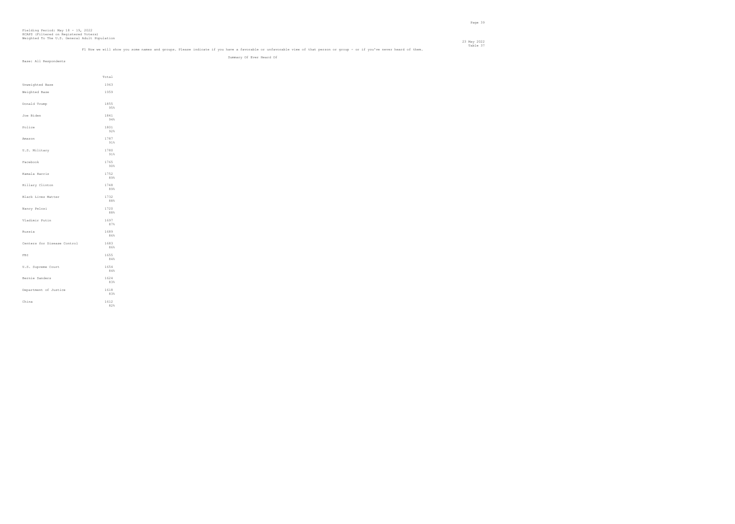### Table 37<br>Fl Now we will show you some names and groups. Please indicate if you have a favorable or unfavorable view of that person or group - or if you've never heard of them.

Summary Of Ever Heard Of

|                             | Total       |  |
|-----------------------------|-------------|--|
| Unweighted Base             | 1963        |  |
| Weighted Base               | 1959        |  |
| Donald Trump                | 1855<br>95% |  |
| Joe Biden                   | 1841<br>94% |  |
| Police                      | 1801<br>92% |  |
| Amazon                      | 1787<br>91% |  |
| U.S. Military               | 1780<br>91% |  |
| Facebook                    | 1765<br>90% |  |
| Kamala Harris               | 1752<br>89% |  |
| Hillary Clinton             | 1748<br>89% |  |
| Black Lives Matter          | 1732<br>88% |  |
| Nancy Pelosi                | 1720<br>88% |  |
| Vladimir Putin              | 1697<br>87% |  |
| Russia                      | 1689<br>86% |  |
| Centers for Disease Control | 1683<br>86% |  |
| FBI                         | 1655<br>84% |  |
| U.S. Supreme Court          | 1654<br>84% |  |
| Bernie Sanders              | 1624<br>83% |  |
| Department of Justice       | 1618<br>83% |  |
| China                       | 1612<br>82% |  |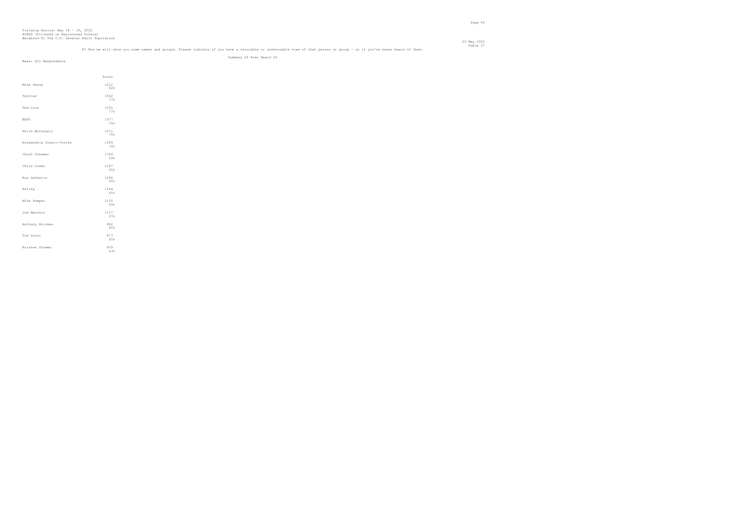## Table 37<br>Fl Now we will show you some names and groups. Please indicate if you have a favorable or unfavorable view of that person or group - or if you've never heard of them. Summary Of Ever Heard Of

|                          | Total       |  |
|--------------------------|-------------|--|
| Mike Pence               | 1612<br>82% |  |
| Twitter                  | 1502<br>77% |  |
| Ted Cruz                 | 1501<br>77% |  |
| <b>NATO</b>              | 1477<br>75% |  |
| Mitch McConnell          | 1471<br>75% |  |
| Alexandria Ocasio-Cortez | 1369<br>70% |  |
| Chuck Schumer            | 1356<br>69% |  |
| Chris Cuomo              | 1267<br>65% |  |
| Ron DeSantis             | 1266<br>65% |  |
| Antifa                   | 1264<br>65% |  |
| Mike Pompeo              | 1150<br>59% |  |
| Joe Manchin              | 1117<br>57% |  |
| Anthony Blinken          | 882<br>45%  |  |
| Tim Scott                | 877<br>45%  |  |
| Kristen Sinema           | 839<br>43%  |  |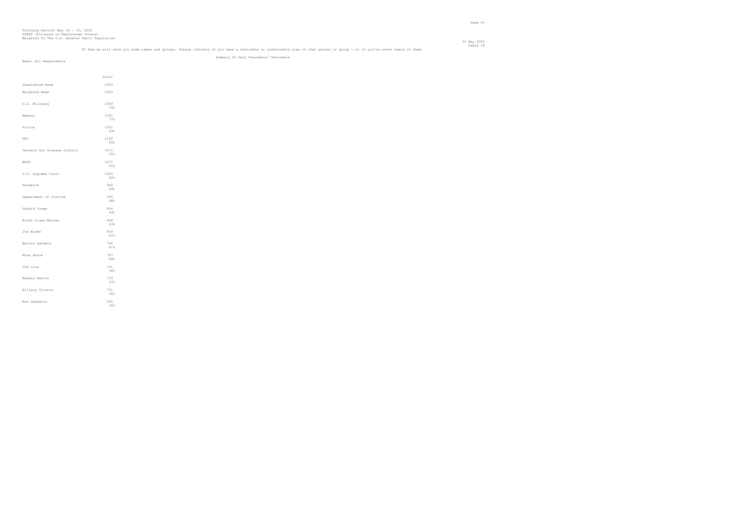### Table 38 Table 38<br>Fl Now we will show you some names and groups. Please indicate if you have a favorable or unfavorable view of that person or group - or if you've never heard of them.

Summary Of Very Favorable/ Favorable

|                             | Total       |  |
|-----------------------------|-------------|--|
| Unweighted Base             | 1963        |  |
| Weighted Base               | 1959        |  |
|                             |             |  |
| U.S. Military               | 1549<br>79% |  |
| Amazon                      | 1501<br>77% |  |
| Police                      | 1361        |  |
|                             | 69%         |  |
| FBI.                        | 1102<br>56% |  |
| Centers for Disease Control | 1071        |  |
|                             | 55%         |  |
| NATO                        | 1071<br>55% |  |
| U.S. Supreme Court          | 1020        |  |
|                             | 52%         |  |
| Facebook                    | 962<br>49%  |  |
|                             |             |  |
| Department of Justice       | 934<br>48%  |  |
| Donald Trump                | 866         |  |
|                             | 44%         |  |
| Black Lives Matter          | 848<br>43%  |  |
| Joe Biden                   | 800         |  |
|                             | 41%         |  |
| Bernie Sanders              | 796         |  |
|                             | 41%         |  |
| Mike Pence                  | 787<br>40%  |  |
| Ted Cruz                    | 741         |  |
|                             | 38%         |  |
| Kamala Harris               | 733<br>37%  |  |
|                             |             |  |
| Hillary Clinton             | 701<br>36%  |  |
| Ron DeSantis                | 695         |  |
|                             | 35%         |  |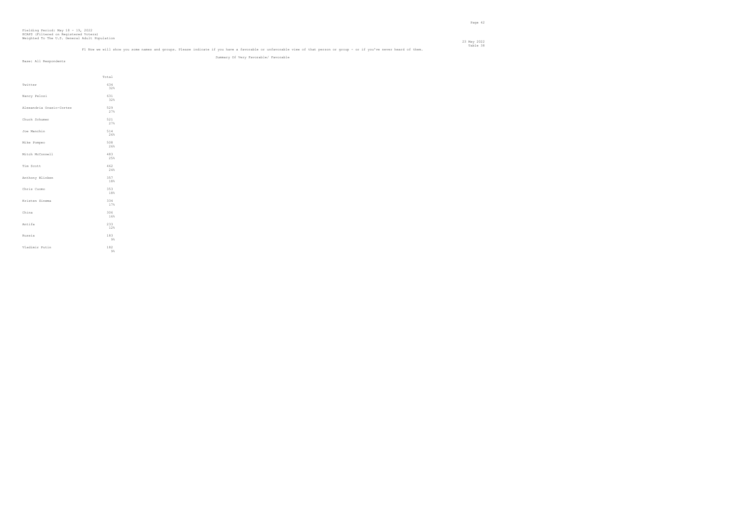# Table 38 Table 38<br>Fl Now we will show you some names and groups. Please indicate if you have a favorable or unfavorable view of that person or group - or if you've never heard of them. Summary Of Very Favorable/ Favorable

|                          | Total      |
|--------------------------|------------|
| Twitter                  | 634<br>32% |
| Nancy Pelosi             | 631<br>32% |
| Alexandria Ocasio-Cortez | 529<br>27% |
| Chuck Schumer            | 521<br>27% |
| Joe Manchin              | 514<br>26% |
| Mike Pompeo              | 508<br>26% |
| Mitch McConnell          | 483<br>25% |
| Tim Scott                | 462<br>24% |
| Anthony Blinken          | 357<br>18% |
| Chris Cuomo              | 353<br>18% |
| Kristen Sinema           | 334<br>17% |
| China                    | 306<br>16% |
| Antifa                   | 233<br>12% |
| Russia                   | 183<br>9%  |
| Vladimir Putin           | 182<br>9%  |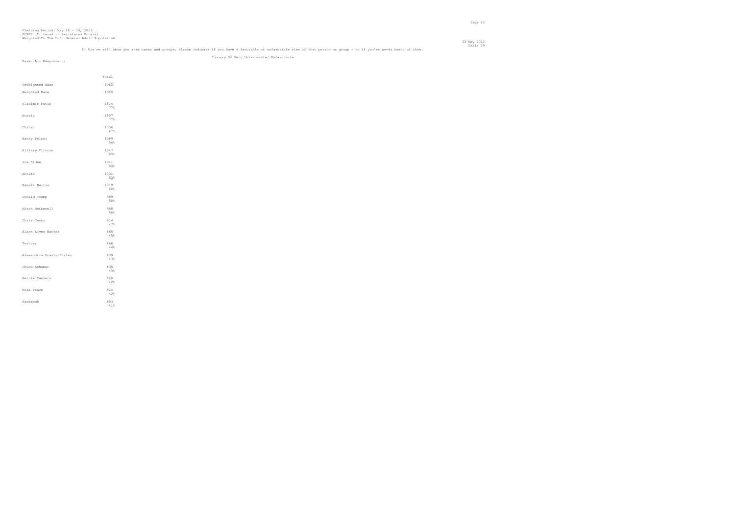### Table 39 Table 39 Table 39 Table 39<br>Fl Now we will show you some names and groups. Please indicate if you have a favorable or unfavorable view of that person or group - or if you've never heard of them.

Summary Of Very Unfavorable/ Unfavorable

|                          | Total       |
|--------------------------|-------------|
| Unweighted Base          | 1963        |
| Weighted Base            | 1959        |
| Vladimir Putin           | 1514<br>77% |
| Russia                   | 1507<br>77% |
| China                    | 1306<br>67% |
| Nancy Pelosi             | 1089<br>56% |
| Hillary Clinton          | 1047<br>53% |
| Joe Biden                | 1041<br>53% |
| Antifa                   | 1031<br>53% |
| Kamala Harris            | 1019<br>52% |
| Donald Trump             | 989<br>50%  |
| Mitch McConnell          | 988<br>50%  |
| Chris Cuomo              | 914<br>47%  |
| Black Lives Matter       | 885<br>45%  |
| Twitter                  | 868<br>44%  |
| Alexandria Ocasio-Cortez | 839<br>43%  |
| Chuck Schumer            | 835<br>43%  |
| Bernie Sanders           | 828<br>42%  |
| Mike Pence               | 824<br>42%  |
| Facebook                 | 803<br>41%  |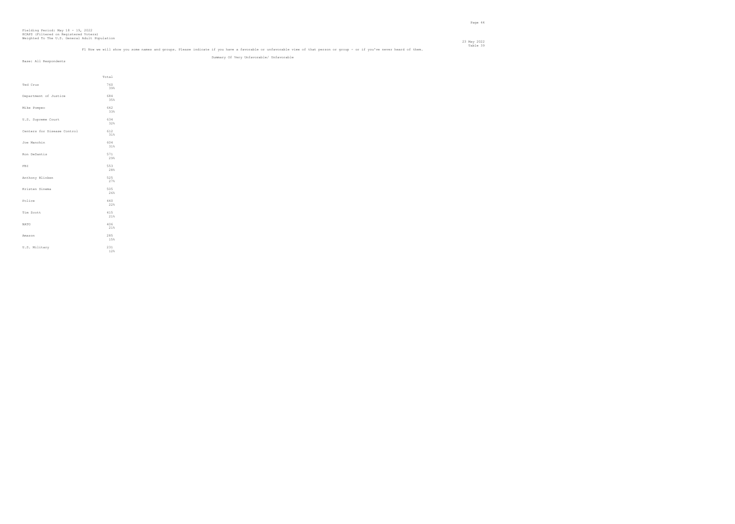# Table 39 may be understand groups. Please indicate if you have a favorable or unfavorable view of that person or group - or if you've never heard of them.<br>Fl Now we will show you some names and groups. Please indicate if y Summary Of Very Unfavorable/ Unfavorable

|                             | Total      |  |
|-----------------------------|------------|--|
| Ted Cruz                    | 760<br>39% |  |
| Department of Justice       | 684<br>35% |  |
| Mike Pompeo                 | 642<br>33% |  |
| U.S. Supreme Court          | 634<br>32% |  |
| Centers for Disease Control | 612<br>31% |  |
| Joe Manchin                 | 604<br>31% |  |
| Ron DeSantis                | 571<br>29% |  |
| FBI                         | 553<br>28% |  |
| Anthony Blinken             | 525<br>27% |  |
| Kristen Sinema              | 505<br>26% |  |
| Police                      | 440<br>22% |  |
| Tim Scott                   | 415<br>21% |  |
| <b>NATO</b>                 | 406<br>21% |  |
| Amazon                      | 285<br>15% |  |
| U.S. Military               | 231<br>12% |  |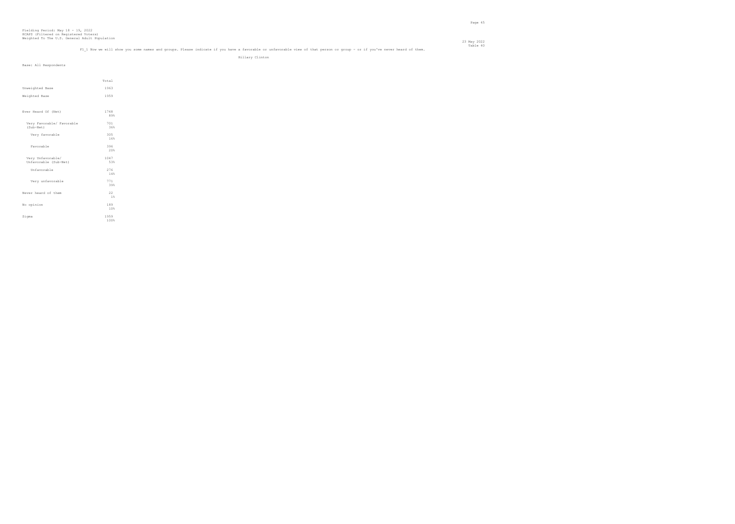#### 23 May 2022 Table 40 m<br>Fl 1 Now we will show you some names and groups. Please indicate if you have a favorable or unfavorable view of that person or group - or if you've never heard of them.

Hillary Clinton

|  |  | Base: All Respondents |
|--|--|-----------------------|
|--|--|-----------------------|

|                           | Total |  |
|---------------------------|-------|--|
| Unweighted Base           | 1963  |  |
| Weighted Base             | 1959  |  |
|                           |       |  |
| Ever Heard Of (Net)       | 1748  |  |
|                           | 89%   |  |
| Very Favorable/ Favorable | 701   |  |
| (Sub-Net)                 | 36%   |  |
| Very favorable            | 305   |  |
|                           | 16%   |  |
| Favorable                 | 396   |  |
|                           | 20%   |  |
| Very Unfavorable/         | 1047  |  |
| Unfavorable (Sub-Net)     | 53%   |  |
| Unfavorable               | 276   |  |
|                           | 14%   |  |
| Very unfavorable          | 771   |  |
|                           | 39%   |  |
| Never heard of them       | 22    |  |
|                           | 1%    |  |
| No opinion                | 189   |  |
|                           | 10%   |  |
| Sigma                     | 1959  |  |
|                           | 100%  |  |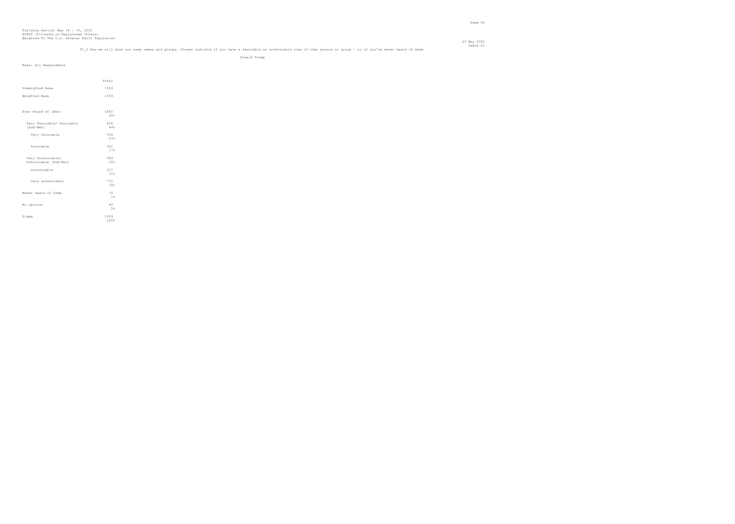#### 23 May 2022 Table 41 Table 41 and the volups. Please indicate if you have a favorable or unfavorable view of that person or group - or if you've never heard of them. Table 41 and them.

Donald Trump

| Total<br>1963<br>1959<br>1855 |
|-------------------------------|
|                               |
|                               |
|                               |
|                               |
|                               |
|                               |
|                               |
| 95%                           |
| 866                           |
| 44%                           |
| 526                           |
| 27%                           |
| 341<br>17%                    |
|                               |
| 989<br>50%                    |
|                               |
| 217<br>11%                    |
| 772                           |
| 39%                           |
| 15                            |
| $1\,$                         |
| 89                            |
| 5%                            |
| 1959                          |
| 100%                          |
|                               |
|                               |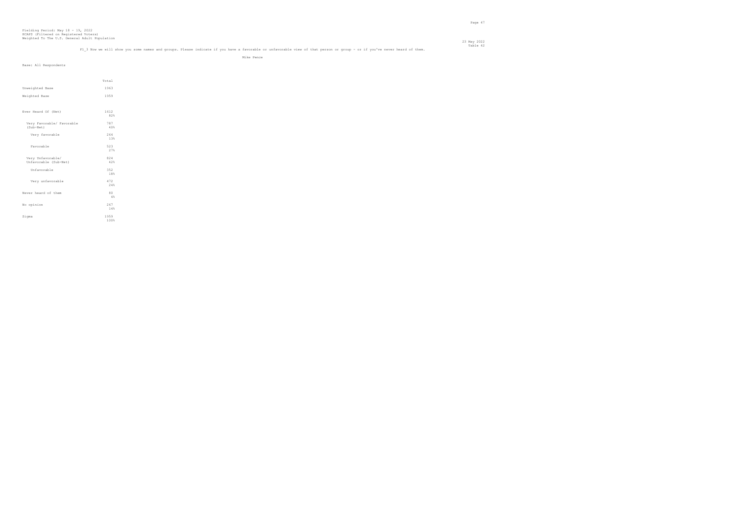#### 23 May 2022 Table 42 Table 42<br>Fl 3 Now we will show you some names and groups. Please indicate if you have a favorable or unfavorable view of that person or group - or if you've never heard of them.

Mike Pence

| Base: All Respondents                      |                                            |
|--------------------------------------------|--------------------------------------------|
|                                            |                                            |
|                                            |                                            |
|                                            | Total                                      |
| Unweighted Base                            | 1963                                       |
| Weighted Base                              | 1959                                       |
|                                            |                                            |
| Ever Heard Of (Net)                        | 1612<br>82%                                |
| Very Favorable/ Favorable<br>(Sub-Net)     | 787<br>40%                                 |
| Very favorable                             | 264<br>$13\%$                              |
| Favorable                                  | $\begin{array}{c} 523 \\ 27\% \end{array}$ |
|                                            |                                            |
| Very Unfavorable/<br>Unfavorable (Sub-Net) | 824<br>42%                                 |
| Unfavorable                                | 352<br>18%                                 |
| Very unfavorable                           | 472<br>$24\,$                              |
| Never heard of them                        | 80                                         |
|                                            | $4\,$                                      |
| No opinion                                 | 267<br>14%                                 |
| Sigma                                      | 1959<br>100%                               |
|                                            |                                            |
|                                            |                                            |
|                                            |                                            |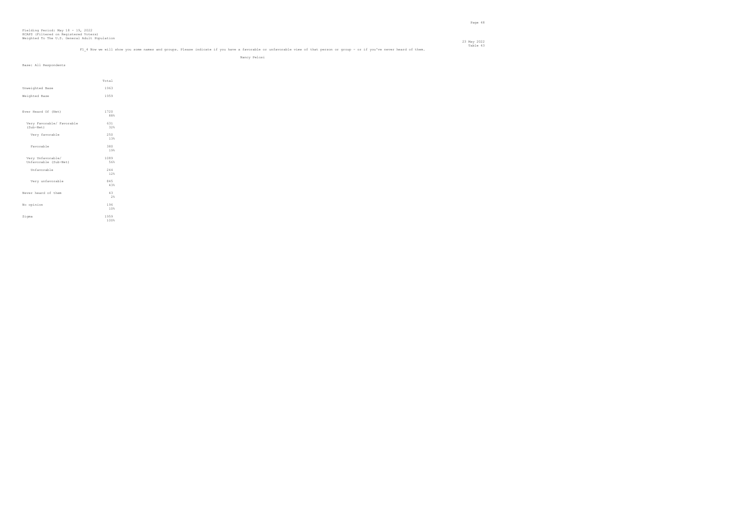#### 23 May 2022 Table 43 m<br>Fl 4 Now we will show you some names and groups. Please indicate if you have a favorable or unfavorable view of that person or group - or if you've never heard of them.

Nancy Pelosi

| Base: All Respondents                      |             |
|--------------------------------------------|-------------|
|                                            |             |
|                                            | Total       |
| Unweighted Base                            | 1963        |
|                                            |             |
| Weighted Base                              | 1959        |
|                                            |             |
| Ever Heard Of (Net)                        | 1720        |
|                                            | 88%         |
| Very Favorable/ Favorable                  | 631         |
| (Sub-Net)                                  | 32%         |
| Very favorable                             | 250<br>13%  |
|                                            |             |
| Favorable                                  | 380<br>19%  |
|                                            |             |
| Very Unfavorable/<br>Unfavorable (Sub-Net) | 1089<br>56% |
| Unfavorable                                | 244         |
|                                            | 12%         |
| Very unfavorable                           | 845         |
|                                            | 43%         |
| Never heard of them                        | 43          |
|                                            | $2\,$       |
| No opinion                                 | 196         |
|                                            | 10%         |
| Sigma                                      | 1959        |
|                                            | 100%        |
|                                            |             |
|                                            |             |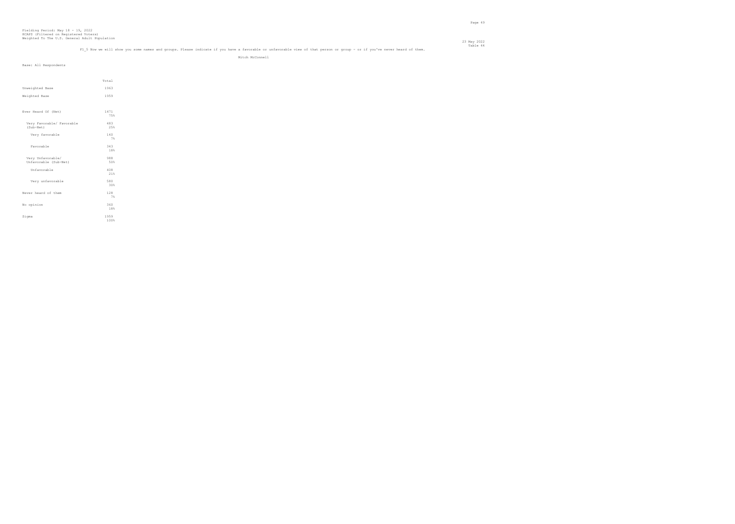#### 23 May 2022 Table 44"<br>Fl 5 Now we will show you some names and groups. Please indicate if you have a favorable or unfavorable view of that person or group - or if you've never heard of them.

Mitch McConnell

| Base: All Respondents                      |              |  |
|--------------------------------------------|--------------|--|
|                                            | Total        |  |
| Unweighted Base                            | 1963         |  |
| Weighted Base                              | 1959         |  |
|                                            |              |  |
| Ever Heard Of (Net)                        | 1471<br>75%  |  |
| Very Favorable/ Favorable<br>(Sub-Net)     | 483<br>25%   |  |
| Very favorable                             | 140<br>7%    |  |
| Favorable                                  | 343<br>18%   |  |
| Very Unfavorable/<br>Unfavorable (Sub-Net) | 988<br>50%   |  |
| Unfavorable                                | 408<br>21%   |  |
| Very unfavorable                           | 580<br>30%   |  |
| Never heard of them                        | 128<br>7%    |  |
| No opinion                                 | 360<br>18%   |  |
| Sigma                                      | 1959<br>100% |  |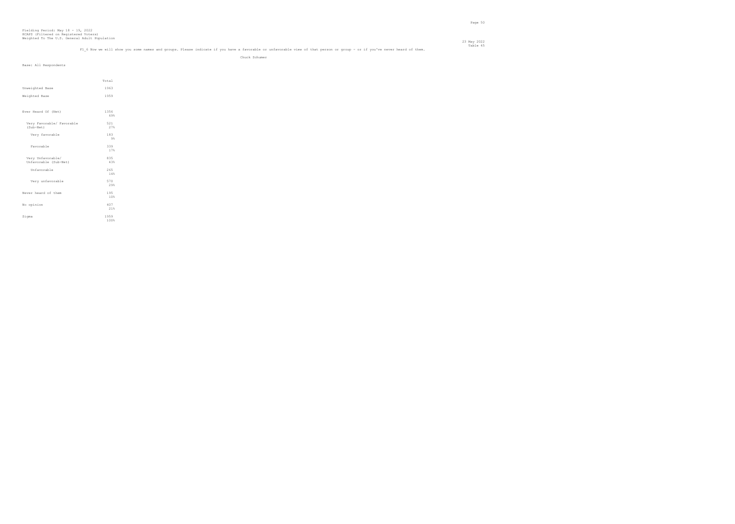#### 23 May 2022 Table 45 m<br>Fl 6 Now we will show you some names and groups. Please indicate if you have a favorable or unfavorable view of that person or group - or if you've never heard of them.

Chuck Schumer

| Base: All Respondents     |                                                       |
|---------------------------|-------------------------------------------------------|
|                           |                                                       |
|                           |                                                       |
|                           | Total                                                 |
|                           |                                                       |
| Unweighted Base           | 1963                                                  |
| Weighted Base             | 1959                                                  |
|                           |                                                       |
|                           |                                                       |
| Ever Heard Of (Net)       | 1356                                                  |
|                           | 69%                                                   |
| Very Favorable/ Favorable | 521                                                   |
| (Sub-Net)                 | 27%                                                   |
|                           |                                                       |
| Very favorable            | $\begin{smallmatrix} 1&8&3\\ &9&\$ \end{smallmatrix}$ |
|                           |                                                       |
| Favorable                 | $\begin{array}{c} 339 \\ 178 \end{array}$             |
|                           |                                                       |
| Very Unfavorable/         | 835                                                   |
| Unfavorable (Sub-Net)     | 43%                                                   |
|                           |                                                       |
| Unfavorable               | 265<br>$1\,4\,$ %                                     |
|                           |                                                       |
| Very unfavorable          | 570                                                   |
|                           | 29%                                                   |
| Never heard of them       | 195                                                   |
|                           | 10%                                                   |
| No opinion                | 407                                                   |
|                           | 21%                                                   |
|                           |                                                       |
| Sigma                     | 1959                                                  |
|                           | 100%                                                  |
|                           |                                                       |
|                           |                                                       |
|                           |                                                       |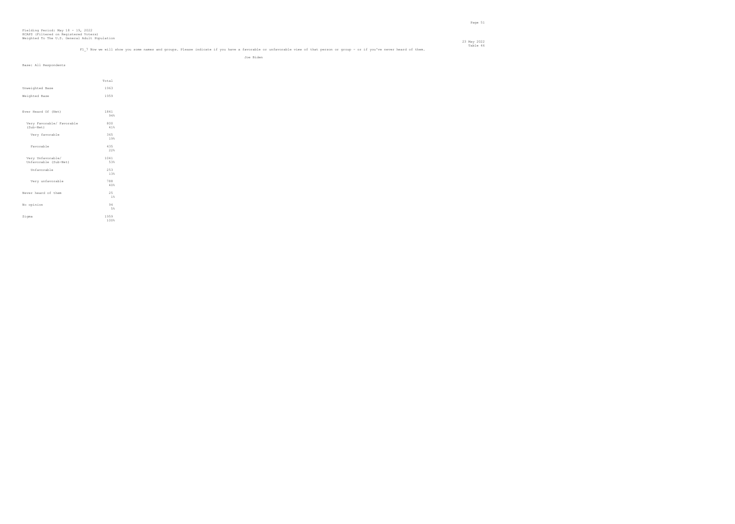#### 23 May 2022 Table 46 Table 46 Table 16 Table 46 Table 46 Table 46 Table or unfavorable view of that person or group - or if you've never heard of them.

Joe Biden

| Base: All Respondents     |             |
|---------------------------|-------------|
|                           |             |
|                           |             |
|                           | Total       |
| Unweighted Base           | 1963        |
| Weighted Base             | 1959        |
|                           |             |
| Ever Heard Of (Net)       | 1841<br>94% |
| Very Favorable/ Favorable | 800         |
| (Sub-Net)                 | $41\%$      |
| Very favorable            | 365<br>19%  |
|                           |             |
| Favorable                 | 435<br>22%  |
| Very Unfavorable/         | 1041        |
| Unfavorable (Sub-Net)     | 53%         |
| Unfavorable               | 253         |
|                           | 13%         |
| Very unfavorable          | 788         |
|                           | $40\%$      |
| Never heard of them       | 25<br>$1\,$ |
|                           |             |
| No opinion                | 94<br>$5\,$ |
|                           | 1959        |
| Sigma                     | 100%        |
|                           |             |
|                           |             |
|                           |             |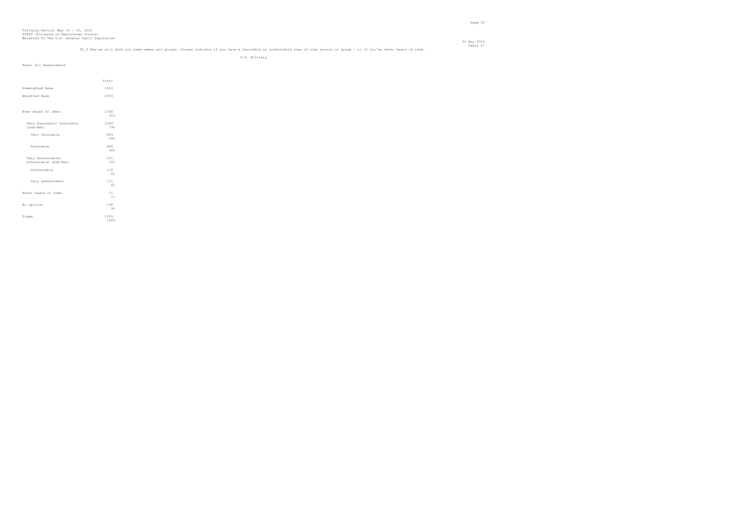#### 23 May 2022 Table 47<br>Fl 9 Now we will show you some names and groups. Please indicate if you have a favorable or unfavorable view of that person or group - or if you've never heard of them.

U.S. Military

| Base: All Respondents     |                            |
|---------------------------|----------------------------|
|                           |                            |
|                           |                            |
|                           | Total                      |
| Unweighted Base           | 1963                       |
|                           |                            |
| Weighted Base             | 1959                       |
|                           |                            |
| Ever Heard Of (Net)       | 1780                       |
|                           | 91%                        |
| Very Favorable/ Favorable | 1549                       |
| (Sub-Net)                 | 79%                        |
| Very favorable            |                            |
|                           | $883\n45%$                 |
| Favorable                 | 666                        |
|                           | 34%                        |
| Very Unfavorable/         |                            |
| Unfavorable (Sub-Net)     | $^{231}_{\phantom{1}12\%}$ |
| Unfavorable               | 116                        |
|                           | 6%                         |
| Very unfavorable          | 115                        |
|                           | $6\%$                      |
|                           |                            |
| Never heard of them       | 11<br>$1\,$                |
|                           |                            |
| No opinion                | 168<br>$9\%$               |
|                           |                            |
| Sigma                     | 1959<br>100%               |
|                           |                            |
|                           |                            |
|                           |                            |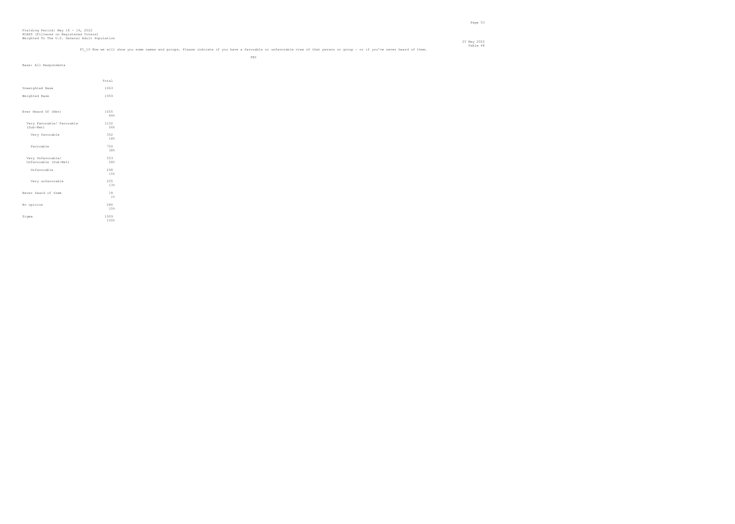## Table 48 Table 48 Table 48 Table 48<br>Fl 10 Now we will show you some names and groups. Please indicate if you have a favorable or unfavorable view of that person or group - or if you've never heard of them.

en de la provincia de la provincia de la provincia de la provincia de la provincia de la provincia de la provi<br>En 1888, en la provincia de la provincia de la provincia de la provincia de la provincia de la provincia de la

| Base: All Respondents                      |              |  |
|--------------------------------------------|--------------|--|
|                                            | Total        |  |
| Unweighted Base                            | 1963         |  |
| Weighted Base                              | 1959         |  |
|                                            |              |  |
| Ever Heard Of (Net)                        | 1655<br>84%  |  |
| Very Favorable/ Favorable<br>(Sub-Net)     | 1102<br>56%  |  |
| Very favorable                             | 352<br>18%   |  |
| Favorable                                  | 750<br>38%   |  |
| Very Unfavorable/<br>Unfavorable (Sub-Net) | 553<br>28%   |  |
| Unfavorable                                | 298<br>15%   |  |
| Very unfavorable                           | 255<br>13%   |  |
| Never heard of them                        | 18<br>1 %    |  |
| No opinion                                 | 286<br>15%   |  |
| Sigma                                      | 1959<br>100% |  |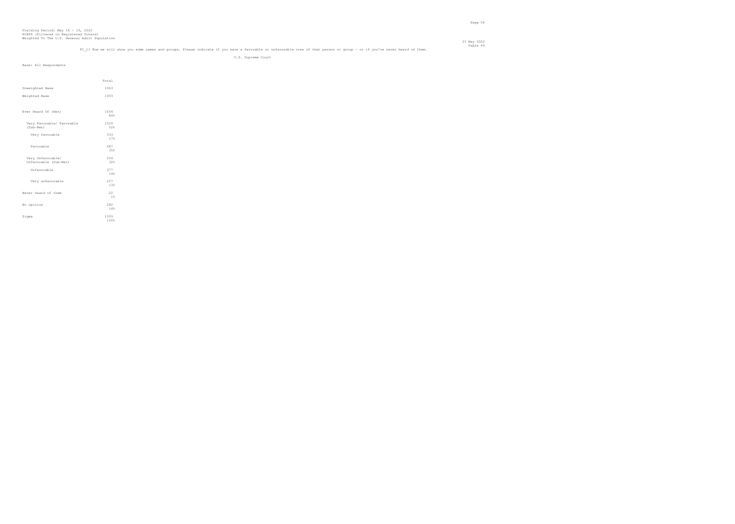## Table 49 Table 49 Table 49 Table 49<br>Fl 11 Now we will show you some names and groups. Please indicate if you have a favorable or unfavorable view of that person or group - or if you've never heard of them.

U.S. Supreme Court

| Base: All Respondents                      |              |  |
|--------------------------------------------|--------------|--|
|                                            | Total        |  |
| Unweighted Base                            | 1963         |  |
| Weighted Base                              | 1959         |  |
| Ever Heard Of (Net)                        | 1654<br>84%  |  |
| Very Favorable/ Favorable<br>(Sub-Net)     | 1020<br>52%  |  |
| Very favorable                             | 333<br>17%   |  |
| Favorable                                  | 687<br>35%   |  |
| Very Unfavorable/<br>Unfavorable (Sub-Net) | 634<br>32%   |  |
| Unfavorable                                | 377<br>19%   |  |
| Very unfavorable                           | 257<br>13%   |  |
| Never heard of them                        | 22<br>1 %    |  |
| No opinion                                 | 282<br>14%   |  |
| Sigma                                      | 1959<br>100% |  |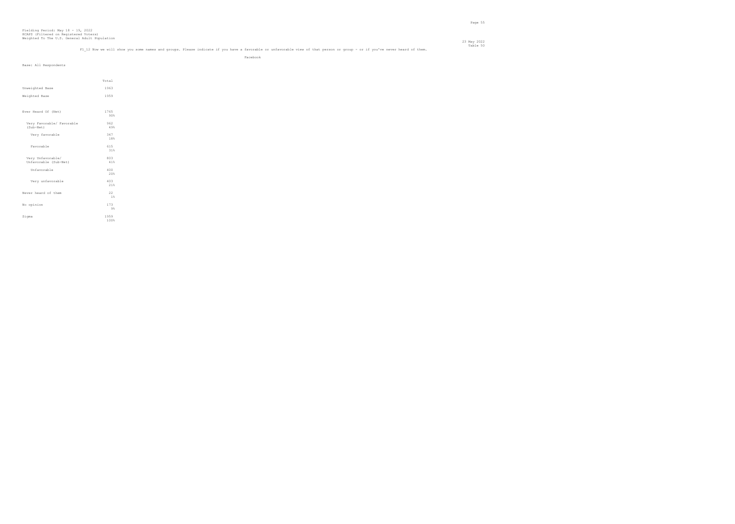## Table 50 m<br>Fl 12 Now we will show you some names and groups. Please indicate if you have a favorable or unfavorable view of that person or group - or if you've never heard of them.

en de la construction de la construction de la construction de la construction de la construction de la construction de la construction de la construction de la construction de la construction de la construction de la cons

| Base: All Respondents     |       |
|---------------------------|-------|
|                           |       |
|                           | Total |
|                           |       |
| Unweighted Base           | 1963  |
| Weighted Base             | 1959  |
|                           |       |
| Ever Heard Of (Net)       | 1765  |
|                           | 90%   |
| Very Favorable/ Favorable | 962   |
| (Sub-Net)                 | 49%   |
| Very favorable            | 347   |
|                           | 18%   |
| Favorable                 | 615   |
|                           | 31%   |
| Very Unfavorable/         | 803   |
| Unfavorable (Sub-Net)     | 41%   |
| Unfavorable               | 400   |
|                           | 20%   |
| Very unfavorable          | 403   |
|                           | 21%   |
| Never heard of them       | 22    |
|                           | 1%    |
| No opinion                | 173   |
|                           | $9\%$ |
| Sigma                     | 1959  |
|                           | 100%  |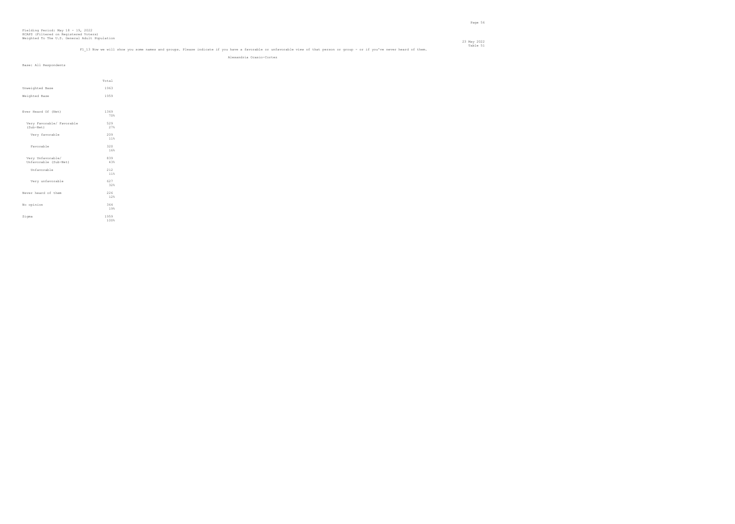## Table 51 تع Fable 51<br>Fl 13 Now we will show you some names and groups. Please indicate if you have a favorable or unfavorable view of that person or group - or if you've never heard of them.

Alexandria Ocasio-Cortez

|                           | Total       |
|---------------------------|-------------|
| Unweighted Base           | 1963        |
| Weighted Base             | 1959        |
|                           |             |
| Ever Heard Of (Net)       | 1369<br>70% |
|                           |             |
| Very Favorable/ Favorable | 529         |
| (Sub-Net)                 | 27%         |
| Very favorable            | 209         |
|                           | 11%         |
| Favorable                 | 320         |
|                           | 16%         |
| Very Unfavorable/         | 839         |
| Unfavorable (Sub-Net)     | 43%         |
| Unfavorable               | 212         |
|                           | 11%         |
| Very unfavorable          | 627         |
|                           | 32%         |
| Never heard of them       | 226         |
|                           | 12%         |
| No opinion                | 364         |
|                           | 19%         |
| Sigma                     | 1959        |
|                           | 100%        |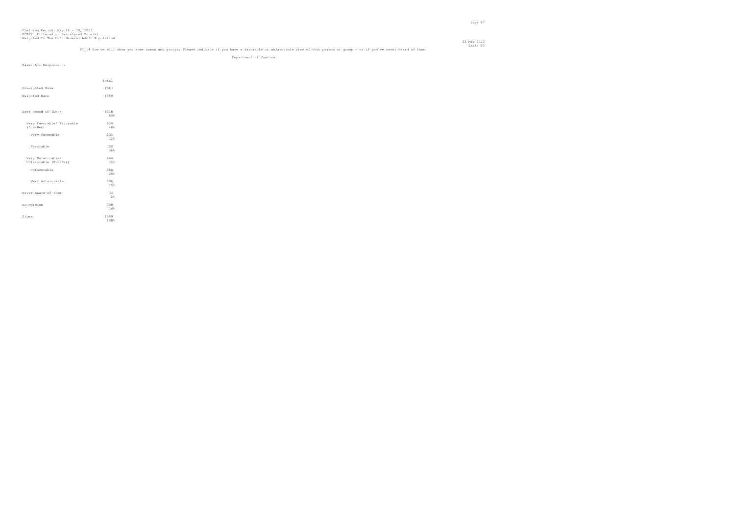### Table 52<br>Fl 14 Now we will show you some names and groups. Please indicate if you have a favorable or unfavorable view of that person or group - or if you've never heard of them.

Department of Justice

|                           | Total |
|---------------------------|-------|
| Unweighted Base           | 1963  |
| Weighted Base             | 1959  |
|                           |       |
| Ever Heard Of (Net)       | 1618  |
|                           | 83%   |
| Very Favorable/ Favorable | 934   |
| (Sub-Net)                 | 48%   |
| Very favorable            | 231   |
|                           | 12%   |
| Favorable                 | 702   |
|                           | 36%   |
| Very Unfavorable/         | 684   |
| Unfavorable (Sub-Net)     | 35%   |
| Unfavorable               | 388   |
|                           | 20%   |
| Very unfavorable          | 296   |
|                           | 15%   |
| Never heard of them       | 34    |
|                           | 2%    |
| No opinion                | 308   |
|                           | 16%   |
| Sigma                     | 1959  |
|                           | 100%  |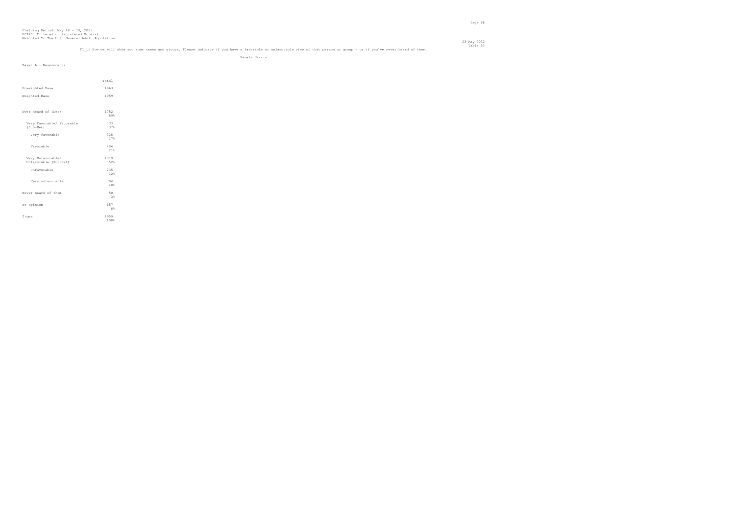### Table 53<br>Fl 15 Now we will show you some names and groups. Please indicate if you have a favorable or unfavorable view of that person or group - or if you've never heard of them.

23 May 2022

Kamala Harris

| Base: All Respondents     |            |
|---------------------------|------------|
|                           |            |
|                           |            |
|                           | Total      |
| Unweighted Base           | 1963       |
| Weighted Base             | 1959       |
|                           |            |
| Ever Heard Of (Net)       | 1752       |
|                           | 89%        |
| Very Favorable/ Favorable | 733        |
| (Sub-Net)                 | 37%        |
| Very favorable            | 328        |
|                           | 17%        |
| Favorable                 | 404        |
|                           | 21%        |
| Very Unfavorable/         | 1019       |
| Unfavorable (Sub-Net)     | 52%        |
| Unfavorable               | 235        |
|                           | 12%        |
| Very unfavorable          | 784        |
|                           | 40%        |
| Never heard of them       | $50$ $3\,$ |
|                           |            |
| No opinion                | 157        |
|                           | $8\,$      |
| Sigma                     | 1959       |
|                           | 100%       |
|                           |            |
|                           |            |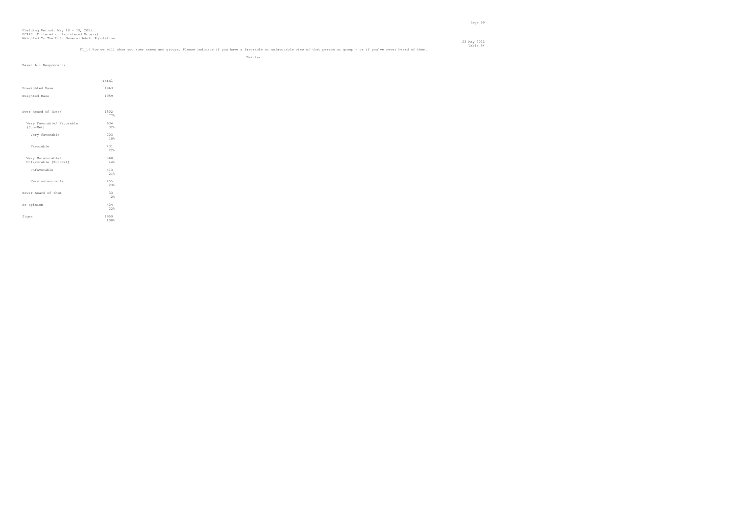## Table 54"<br>Fl 16 Now we will show you some names and groups. Please indicate if you have a favorable or unfavorable view of that person or group - or if you've never heard of them.

Twitter

| Base: All Respondents                      |              |  |
|--------------------------------------------|--------------|--|
|                                            | Total        |  |
| Unweighted Base                            | 1963         |  |
| Weighted Base                              | 1959         |  |
| Ever Heard Of (Net)                        | 1502<br>77%  |  |
| Very Favorable/ Favorable<br>(Sub-Net)     | 634<br>32%   |  |
| Very favorable                             | 203<br>10%   |  |
| Favorable                                  | 431<br>22%   |  |
| Very Unfavorable/<br>Unfavorable (Sub-Net) | 868<br>44%   |  |
| Unfavorable                                | 413<br>21%   |  |
| Very unfavorable                           | 455<br>23%   |  |
| Never heard of them                        | 33<br>2%     |  |
| No opinion                                 | 424<br>22%   |  |
| Sigma                                      | 1959<br>100% |  |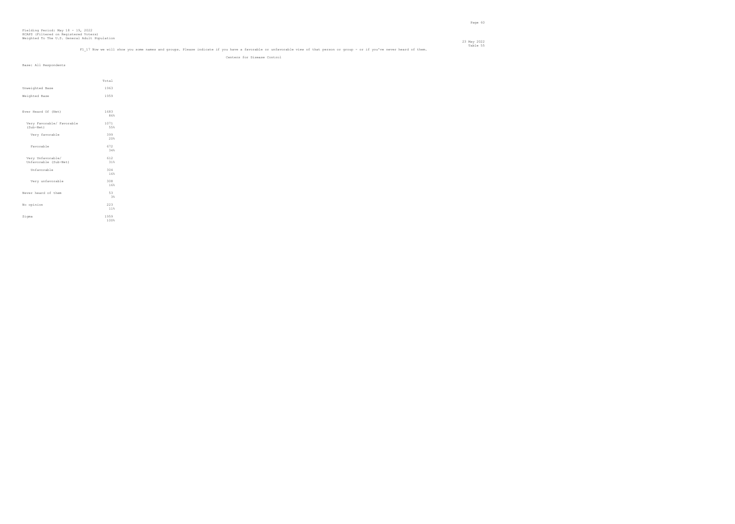### Table 55<br>Fl 17 Now we will show you some names and groups. Please indicate if you have a favorable or unfavorable view of that person or group - or if you've never heard of them.

Centers for Disease Control

| Base: All Respondents                      |              |  |
|--------------------------------------------|--------------|--|
|                                            | Total        |  |
| Unweighted Base                            | 1963         |  |
| Weighted Base                              | 1959         |  |
|                                            |              |  |
| Ever Heard Of (Net)                        | 1683<br>86%  |  |
| Very Favorable/ Favorable<br>(Sub-Net)     | 1071<br>55%  |  |
| Very favorable                             | 399<br>20%   |  |
| Favorable                                  | 672<br>34%   |  |
| Very Unfavorable/<br>Unfavorable (Sub-Net) | 612<br>31%   |  |
| Unfavorable                                | 304<br>16%   |  |
| Very unfavorable                           | 308<br>16%   |  |
| Never heard of them                        | 53<br>3%     |  |
| No opinion                                 | 223<br>11%   |  |
| Sigma                                      | 1959<br>100% |  |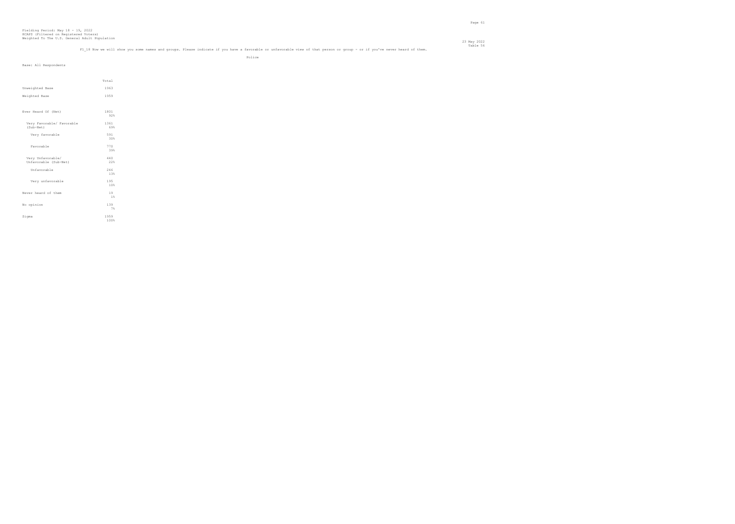#### 23 May 2022 Table 56<br>Fl 18 Now we will show you some names and groups. Please indicate if you have a favorable or unfavorable view of that person or group - or if you've never heard of them.

Police and the state of the state of the state of the state of the state of the state of the state of the state of the state of the state of the state of the state of the state of the state of the state of the state of the

| Base: All Respondents                      |              |
|--------------------------------------------|--------------|
|                                            | Total        |
| Unweighted Base                            | 1963         |
| Weighted Base                              | 1959         |
| Ever Heard Of (Net)                        | 1801<br>92%  |
| Very Favorable/ Favorable<br>(Sub-Net)     | 1361<br>69%  |
| Very favorable                             | 591<br>30%   |
| Favorable                                  | 770<br>39%   |
| Very Unfavorable/<br>Unfavorable (Sub-Net) | 440<br>22%   |
| Unfavorable                                | 246<br>13%   |
| Very unfavorable                           | 195<br>10%   |
| Never heard of them                        | 19<br>$1\%$  |
| No opinion                                 | 139<br>7%    |
| Sigma                                      | 1959<br>100% |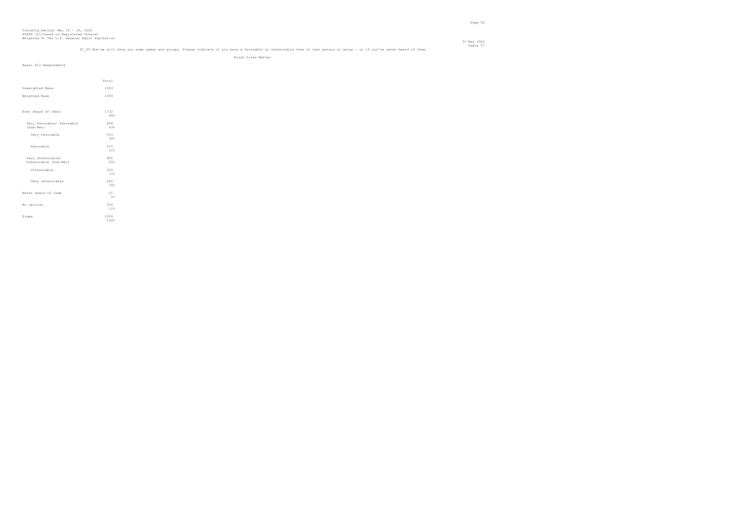## Table 57<br>F1\_20 Now we will show you some names and groups. Please indicate if you have a favorable or unfavorable view of that person or group - or if you've never heard of them.

Black Lives Matter

|                           | Total |
|---------------------------|-------|
| Unweighted Base           | 1963  |
| Weighted Base             | 1959  |
|                           |       |
| Ever Heard Of (Net)       | 1732  |
|                           | 88%   |
| Very Favorable/ Favorable | 848   |
| (Sub-Net)                 | 43%   |
| Very favorable            | 433   |
|                           | 22%   |
| Favorable                 | 415   |
|                           | 21%   |
| Very Unfavorable/         | 885   |
| Unfavorable (Sub-Net)     | 45%   |
| Unfavorable               | 224   |
|                           | 11%   |
| Very unfavorable          | 660   |
|                           | 34%   |
| Never heard of them       | 21    |
|                           | 1%    |
| No opinion                | 206   |
|                           | 11%   |
| Sigma                     | 1959  |
|                           | 100%  |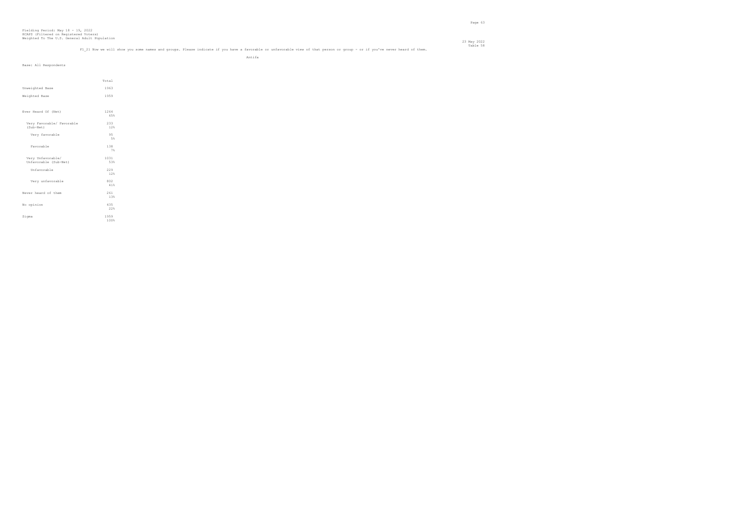#### 23 May 2022 Table 58<br>F1 21 Now we will show you some names and groups. Please indicate if you have a favorable or unfavorable view of that person or group - or if you've never heard of them.

Antifa

| Base: All Respondents                      |              |  |
|--------------------------------------------|--------------|--|
|                                            | Total        |  |
| Unweighted Base                            | 1963         |  |
| Weighted Base                              | 1959         |  |
|                                            |              |  |
| Ever Heard Of (Net)                        | 1264<br>65%  |  |
| Very Favorable/ Favorable<br>(Sub-Net)     | 233<br>12%   |  |
| Very favorable                             | 95<br>5%     |  |
| Favorable                                  | 138<br>7%    |  |
| Very Unfavorable/<br>Unfavorable (Sub-Net) | 1031<br>53%  |  |
| Unfavorable                                | 229<br>12%   |  |
| Very unfavorable                           | 802<br>41%   |  |
| Never heard of them                        | 261<br>13%   |  |
| No opinion                                 | 435<br>22%   |  |
| Sigma                                      | 1959<br>100% |  |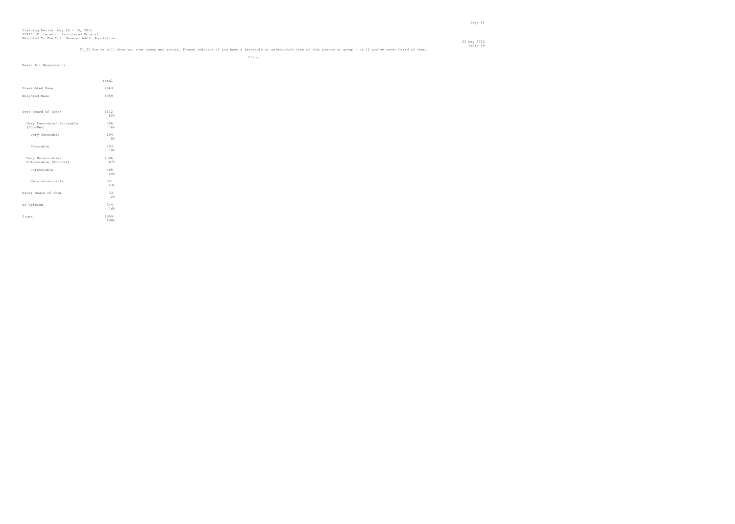#### 23 May 2022 Table 59 m<br>F1 22 Now we will show you some names and groups. Please indicate if you have a favorable or unfavorable view of that person or group - or if you've never heard of them.

| Base: All Respondents                      |                                             |
|--------------------------------------------|---------------------------------------------|
|                                            |                                             |
|                                            | Total                                       |
| Unweighted Base                            | 1963                                        |
| Weighted Base                              | 1959                                        |
|                                            |                                             |
| Ever Heard Of (Net)                        | 1612                                        |
|                                            | 82%                                         |
| Very Favorable/ Favorable<br>(Sub-Net)     | 306<br>16%                                  |
| Very favorable                             |                                             |
|                                            | $\begin{array}{c} 104 \\ 58 \end{array}$    |
| Favorable                                  | $\begin{array}{c} 203 \\ 108 \end{array}$   |
|                                            |                                             |
| Very Unfavorable/<br>Unfavorable (Sub-Net) | $\begin{array}{r} 1306 \\ 67\% \end{array}$ |
| Unfavorable                                | 465<br>24%                                  |
|                                            |                                             |
| Very unfavorable                           | 841<br>43%                                  |
| Never heard of them                        | 33                                          |
|                                            | $2\%$                                       |
| No opinion                                 | 314<br>16%                                  |
| Sigma                                      | 1959                                        |
|                                            | 100%                                        |
|                                            |                                             |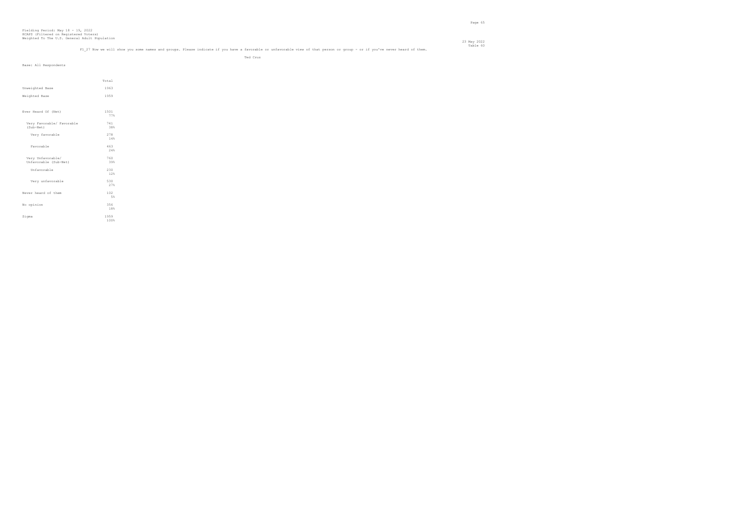#### 23 May 2022 Table 60 m<br>Fl 27 Now we will show you some names and groups. Please indicate if you have a favorable or unfavorable view of that person or group - or if you've never heard of them.

Ted Cruz

| Base: All Respondents     |       |
|---------------------------|-------|
|                           |       |
|                           |       |
|                           | Total |
| Unweighted Base           | 1963  |
| Weighted Base             | 1959  |
|                           |       |
| Ever Heard Of (Net)       | 1501  |
|                           | 77%   |
| Very Favorable/ Favorable | 741   |
| (Sub-Net)                 | 38%   |
| Very favorable            | 278   |
|                           | 14%   |
| Favorable                 | 463   |
|                           | 24%   |
| Very Unfavorable/         | 760   |
| Unfavorable (Sub-Net)     | 39%   |
| Unfavorable               | 230   |
|                           | 12%   |
| Very unfavorable          | 530   |
|                           | 27%   |
| Never heard of them       | 102   |
|                           | 5%    |
| No opinion                | 356   |
|                           | 18%   |
| Sigma                     | 1959  |
|                           | 100%  |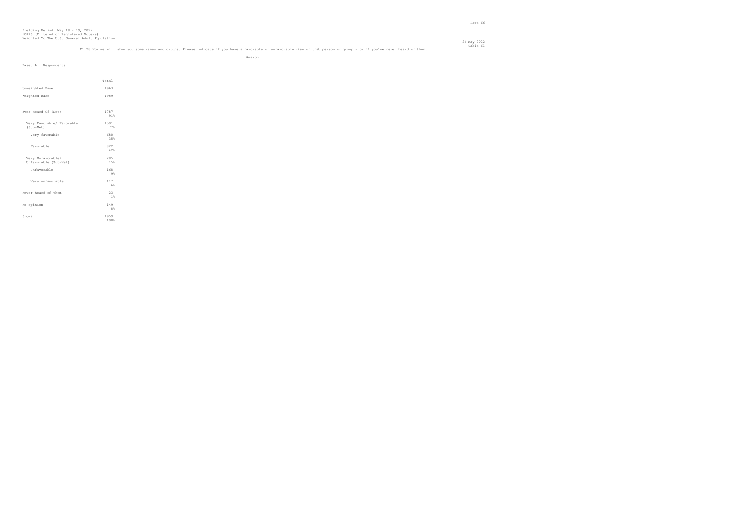$\begin{array}{c} 149 \\ 88 \end{array}$ 

1959<br>100%

#### Table 61 f you've never heard of them.

No opinion

Sigma

#### 23 May 2022

|                           | F1 28 Now we will show you some names and groups. Please indicate if you have a favorable or unfavorable view of that person or group - or if |        |  |
|---------------------------|-----------------------------------------------------------------------------------------------------------------------------------------------|--------|--|
|                           |                                                                                                                                               | Amazon |  |
| Base: All Respondents     |                                                                                                                                               |        |  |
|                           |                                                                                                                                               |        |  |
|                           | Total                                                                                                                                         |        |  |
| Unweighted Base           | 1963                                                                                                                                          |        |  |
| Weighted Base             | 1959                                                                                                                                          |        |  |
|                           |                                                                                                                                               |        |  |
| Ever Heard Of (Net)       | 1787                                                                                                                                          |        |  |
|                           | 91%                                                                                                                                           |        |  |
| Very Favorable/ Favorable | 1501                                                                                                                                          |        |  |
| (Sub-Net)                 | 77%                                                                                                                                           |        |  |
| Very favorable            | 680                                                                                                                                           |        |  |
|                           | 35%                                                                                                                                           |        |  |
| Favorable                 | 822                                                                                                                                           |        |  |
|                           | 42%                                                                                                                                           |        |  |
| Very Unfavorable/         | 285                                                                                                                                           |        |  |
| Unfavorable (Sub-Net)     | 15%                                                                                                                                           |        |  |
| Unfavorable               | 168                                                                                                                                           |        |  |
|                           | 9%                                                                                                                                            |        |  |
| Very unfavorable          | 117                                                                                                                                           |        |  |
|                           | 6%                                                                                                                                            |        |  |
| Never heard of them       | 23                                                                                                                                            |        |  |
|                           | $1\%$                                                                                                                                         |        |  |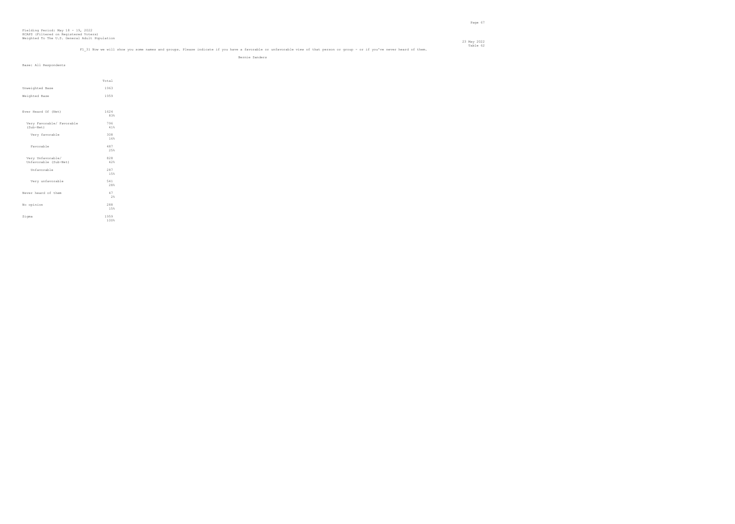## Table 62 Table 62<br>Fl 31 Now we will show you some names and groups. Please indicate if you have a favorable or unfavorable view of that person or group - or if you've never heard of them.

Bernie Sanders

|                                            | Total        |
|--------------------------------------------|--------------|
| Unweighted Base                            | 1963         |
| Weighted Base                              | 1959         |
|                                            |              |
| Ever Heard Of (Net)                        | 1624<br>83%  |
| Very Favorable/ Favorable<br>(Sub-Net)     | 796<br>41%   |
| Very favorable                             | 308<br>16%   |
| Favorable                                  | 487<br>25%   |
| Very Unfavorable/<br>Unfavorable (Sub-Net) | 828<br>42%   |
| Unfavorable                                | 287<br>15%   |
| Very unfavorable                           | 541<br>28%   |
| Never heard of them                        | 47<br>2%     |
| No opinion                                 | 288<br>15%   |
| Sigma                                      | 1959<br>100% |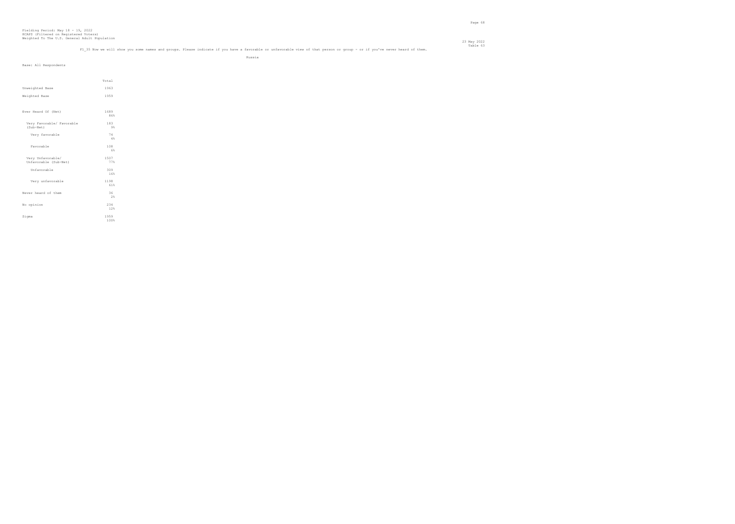## Table 63<br>Fl 35 Now we will show you some names and groups. Please indicate if you have a favorable or unfavorable view of that person or group - or if you've never heard of them.

|                                            |                                             | Russia |  |  |
|--------------------------------------------|---------------------------------------------|--------|--|--|
| Base: All Respondents                      |                                             |        |  |  |
|                                            | Total                                       |        |  |  |
| Unweighted Base                            | 1963                                        |        |  |  |
| Weighted Base                              | 1959                                        |        |  |  |
|                                            |                                             |        |  |  |
| Ever Heard Of (Net)                        | 1689<br>86%                                 |        |  |  |
| Very Favorable/ Favorable<br>(Sub-Net)     | 183<br>$9\%$                                |        |  |  |
| Very favorable                             | $\begin{array}{c} 7\,4 \\ 4\,8 \end{array}$ |        |  |  |
| Favorable                                  | $\begin{array}{c} 108 \\ 68 \end{array}$    |        |  |  |
| Very Unfavorable/<br>Unfavorable (Sub-Net) | 1507<br>77%                                 |        |  |  |
| Unfavorable                                | 309<br>16%                                  |        |  |  |
| Very unfavorable                           | 1198<br>61%                                 |        |  |  |
| Never heard of them                        | 36<br>2%                                    |        |  |  |
| No opinion                                 | 234<br>12%                                  |        |  |  |
| Sigma                                      | 1959<br>100%                                |        |  |  |
|                                            |                                             |        |  |  |
|                                            |                                             |        |  |  |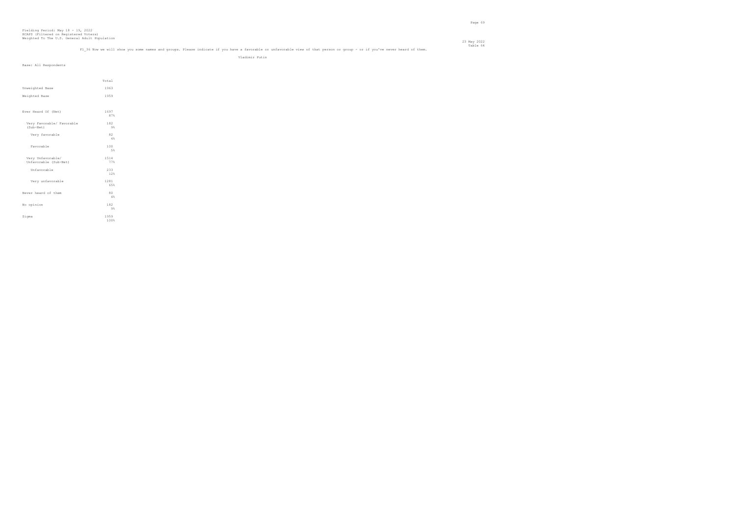## Table 64 Table 64 Table 64 Table 64 Table 64 Table 64 Table or unfavorable or unfavorable view of that person or group - or if you've never heard of them.<br>Fl 36 Now we will show you some names and groups. Please indicate i

Vladimir Putin

|                                            | Total        |
|--------------------------------------------|--------------|
| Unweighted Base                            | 1963         |
| Weighted Base                              | 1959         |
| Ever Heard Of (Net)                        | 1697<br>87%  |
| Very Favorable/ Favorable<br>(Sub-Net)     | 182<br>9%    |
| Very favorable                             | 82<br>4%     |
| Favorable                                  | 100<br>5%    |
| Very Unfavorable/<br>Unfavorable (Sub-Net) | 1514<br>77%  |
| Unfavorable                                | 233<br>12%   |
| Very unfavorable                           | 1281<br>65%  |
| Never heard of them                        | 80<br>4%     |
| No opinion                                 | 182<br>9%    |
| Sigma                                      | 1959<br>100% |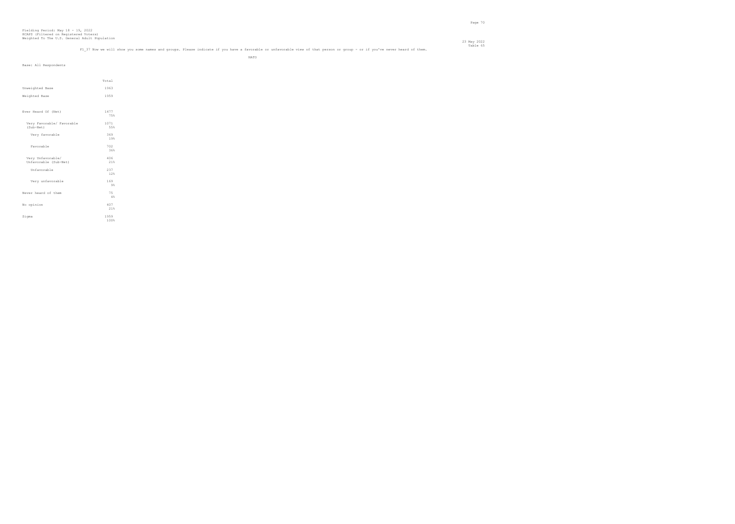#### 23 May 2022 Table 65 radic of the some names and groups. Please indicate if you have a favorable or unfavorable view of that person or group - or if you've never heard of them. Table 65 radic of the meer we will show you some names an

| $\overline{\phantom{a}}$ |  |  |  |  |  |  |  |  |  |  |
|--------------------------|--|--|--|--|--|--|--|--|--|--|
|                          |  |  |  |  |  |  |  |  |  |  |
|                          |  |  |  |  |  |  |  |  |  |  |

| Base: All Respondents                      |                                          |
|--------------------------------------------|------------------------------------------|
|                                            |                                          |
|                                            | Total                                    |
| Unweighted Base                            | 1963                                     |
|                                            |                                          |
| Weighted Base                              | 1959                                     |
|                                            |                                          |
| Ever Heard Of (Net)                        | 1477                                     |
|                                            | 75%                                      |
| Very Favorable/ Favorable                  | 1071                                     |
| (Sub-Net)                                  | 55%                                      |
| Very favorable                             | 369                                      |
|                                            | 19%                                      |
| Favorable                                  | 702                                      |
|                                            | 36%                                      |
| Very Unfavorable/<br>Unfavorable (Sub-Net) | 406<br>21%                               |
|                                            |                                          |
| Unfavorable                                | 237<br>12%                               |
|                                            |                                          |
| Very unfavorable                           | $\begin{array}{c} 169 \\ 98 \end{array}$ |
|                                            |                                          |
| Never heard of them                        | 75<br>4%                                 |
|                                            | 407                                      |
| No opinion                                 | 21%                                      |
| Sigma                                      | 1959                                     |
|                                            | 100%                                     |
|                                            |                                          |
|                                            |                                          |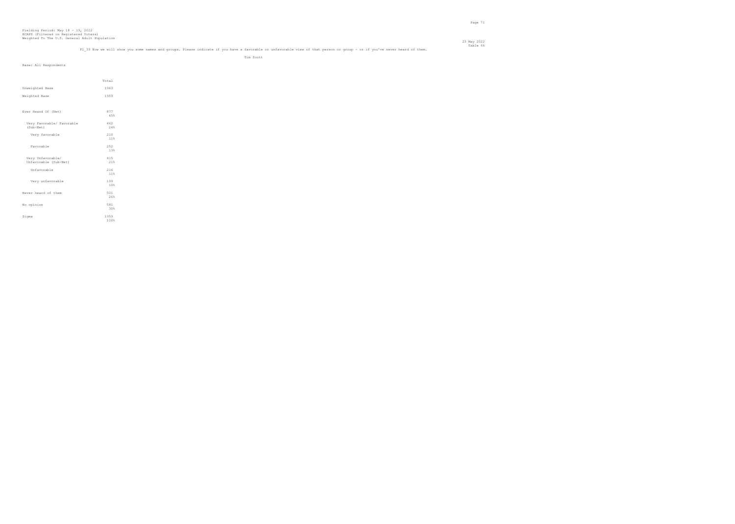#### 23 May 2022 Table 66 Table 66 Table 10 Table 66 Table 66 Table 96 Table or unfavorable view of that person or group - or if you've never heard of them.<br>Fl 39 Now we will show you some names and groups. Please indicate if you have a fa

Tim Scott

| Total        |
|--------------|
| 1963         |
| 1959         |
|              |
| 877          |
| 45%          |
| 462          |
| 24%          |
| 210<br>11%   |
|              |
| 252<br>13%   |
|              |
| 415<br>21%   |
| 216          |
| 11%          |
| 199          |
| 10%          |
| 501          |
| 26%          |
| 581          |
| 30%          |
| 1959<br>100% |
|              |
|              |
|              |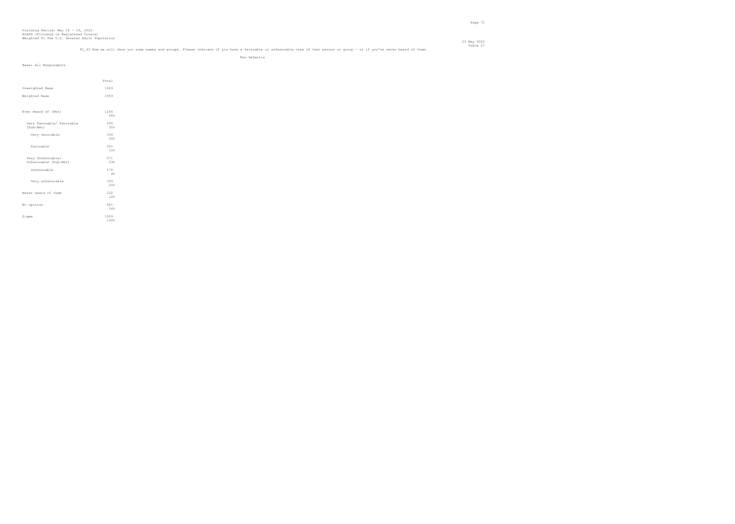## Table 67<br>Fl 40 Now we will show you some names and groups. Please indicate if you have a favorable or unfavorable view of that person or group - or if you've never heard of them.

Ron DeSantis

| Base: All Respondents                      |              |  |
|--------------------------------------------|--------------|--|
|                                            | Total        |  |
| Unweighted Base                            | 1963         |  |
| Weighted Base                              | 1959         |  |
| Ever Heard Of (Net)                        | 1266<br>65%  |  |
| Very Favorable/ Favorable<br>$(Sub-Net)$   | 695<br>35%   |  |
| Very favorable                             | 394<br>20%   |  |
| Favorable                                  | 301<br>15%   |  |
| Very Unfavorable/<br>Unfavorable (Sub-Net) | 571<br>29%   |  |
| Unfavorable                                | 178<br>9%    |  |
| Very unfavorable                           | 393<br>20%   |  |
| Never heard of them                        | 232<br>12%   |  |
| No opinion                                 | 461<br>24%   |  |
| Sigma                                      | 1959<br>100% |  |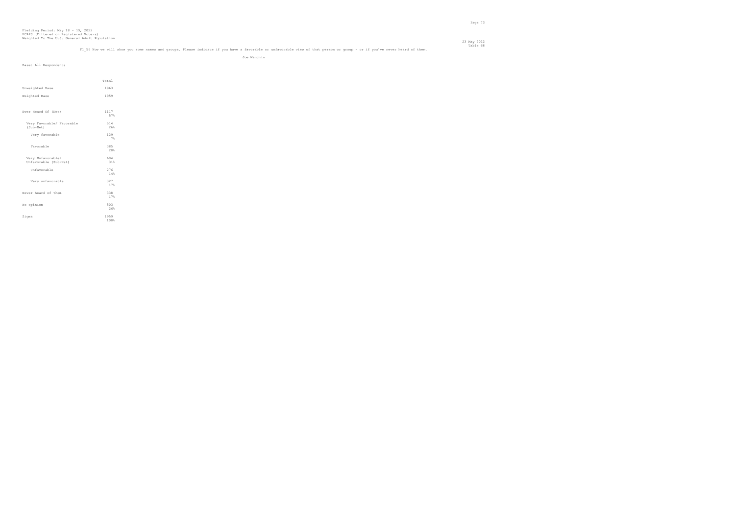### Table 68 Table 68<br>Fl 56 Now we will show you some names and groups. Please indicate if you have a favorable or unfavorable view of that person or group - or if you've never heard of them.

23 May 2022

Joe Manchin

| Base: All Respondents     |                                          |
|---------------------------|------------------------------------------|
|                           |                                          |
|                           |                                          |
|                           | Total                                    |
|                           |                                          |
| Unweighted Base           | 1963                                     |
| Weighted Base             | 1959                                     |
|                           |                                          |
|                           |                                          |
| Ever Heard Of (Net)       | 1117                                     |
|                           | 57%                                      |
| Very Favorable/ Favorable | 514                                      |
| (Sub-Net)                 | 26%                                      |
|                           |                                          |
| Very favorable            | $\begin{array}{c} 129 \\ 78 \end{array}$ |
|                           |                                          |
| Favorable                 | 385                                      |
|                           | 20%                                      |
| Very Unfavorable/         | 604                                      |
| Unfavorable (Sub-Net)     | 31%                                      |
| Unfavorable               | 276                                      |
|                           | $1\,4\,$                                 |
|                           |                                          |
| Very unfavorable          | 327<br>17%                               |
|                           |                                          |
| Never heard of them       | 338                                      |
|                           | 17%                                      |
| No opinion                | 503                                      |
|                           | 26%                                      |
|                           |                                          |
| Sigma                     | 1959<br>100%                             |
|                           |                                          |
|                           |                                          |
|                           |                                          |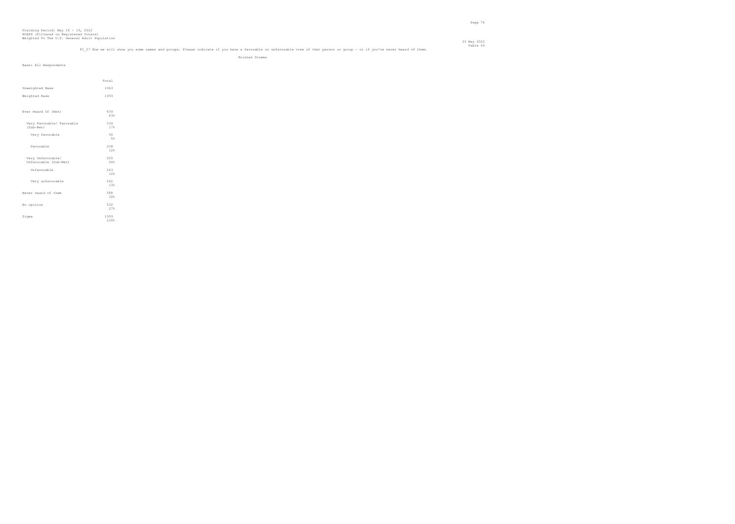## Table 69 m<br>Fl 57 Now we will show you some names and groups. Please indicate if you have a favorable or unfavorable view of that person or group - or if you've never heard of them.

Kristen Sinema

| Base: All Respondents                      |              |  |
|--------------------------------------------|--------------|--|
|                                            | Total        |  |
| Unweighted Base                            | 1963         |  |
| Weighted Base                              | 1959         |  |
|                                            |              |  |
| Ever Heard Of (Net)                        | 839<br>43%   |  |
| Very Favorable/ Favorable<br>(Sub-Net)     | 334<br>17%   |  |
| Very favorable                             | 96<br>5%     |  |
| Favorable                                  | 238<br>12%   |  |
| Very Unfavorable/<br>Unfavorable (Sub-Net) | 505<br>26%   |  |
| Unfavorable                                | 243<br>12%   |  |
| Very unfavorable                           | 262<br>13%   |  |
| Never heard of them                        | 588<br>30%   |  |
| No opinion                                 | 532<br>27%   |  |
| Sigma                                      | 1959<br>100% |  |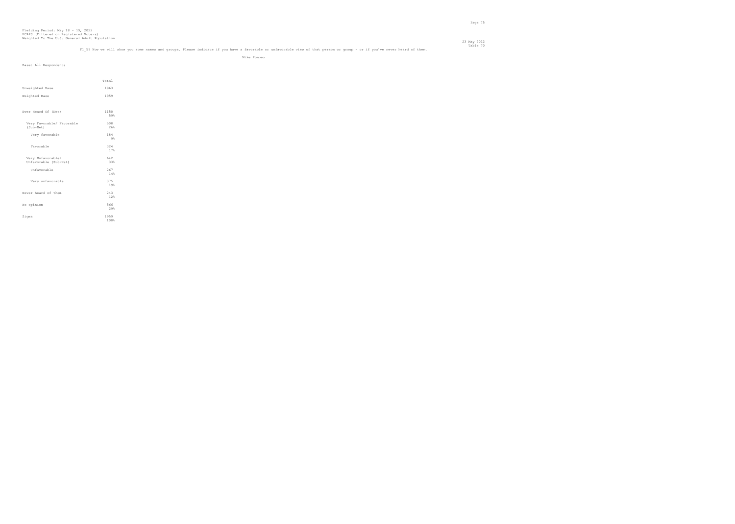## Table 70 m<br>Fl 59 Now we will show you some names and groups. Please indicate if you have a favorable or unfavorable view of that person or group - or if you've never heard of them.

Mike Pompeo

| Base: All Respondents                      |              |
|--------------------------------------------|--------------|
|                                            | Total        |
| Unweighted Base                            | 1963         |
| Weighted Base                              | 1959         |
| Ever Heard Of (Net)                        | 1150         |
| Very Favorable/ Favorable                  | 59%<br>508   |
| (Sub-Net)                                  | 26%          |
| Very favorable                             | 184<br>9%    |
| Favorable                                  | 324<br>17%   |
| Very Unfavorable/<br>Unfavorable (Sub-Net) | 642<br>33%   |
| Unfavorable                                | 267<br>14%   |
| Very unfavorable                           | 375<br>19%   |
| Never heard of them                        | 243<br>12%   |
| No opinion                                 | 566<br>29%   |
| Sigma                                      | 1959<br>100% |
|                                            |              |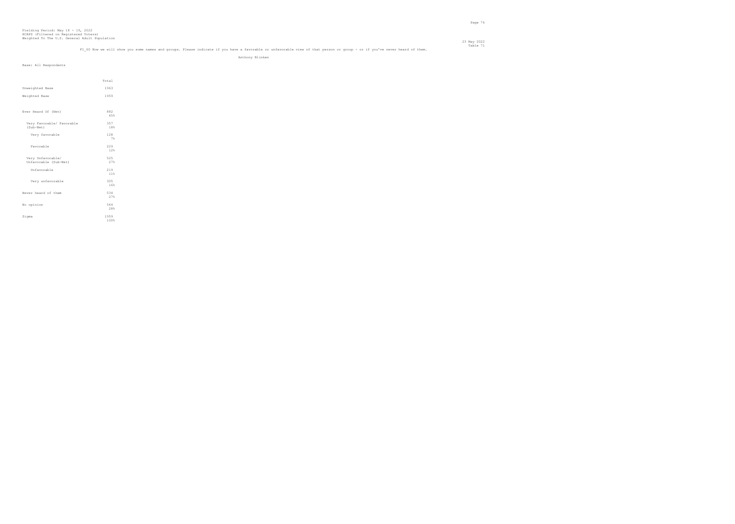## Table 71 Table 71 Table 71 Table 71<br>Fi 60 Now we will show you some names and groups. Please indicate if you have a favorable or unfavorable view of that person or group - or if you've never heard of them.

Anthony Blinken

|                           | Total |
|---------------------------|-------|
| Unweighted Base           | 1963  |
| Weighted Base             | 1959  |
|                           |       |
|                           |       |
| Ever Heard Of (Net)       | 882   |
|                           | 45%   |
| Very Favorable/ Favorable | 357   |
| (Sub-Net)                 | 18%   |
| Very favorable            | 128   |
|                           | 7%    |
| Favorable                 | 229   |
|                           | 12%   |
| Very Unfavorable/         | 525   |
| Unfavorable (Sub-Net)     | 27%   |
| Unfavorable               | 219   |
|                           | 11%   |
| Very unfavorable          | 305   |
|                           | 16%   |
| Never heard of them       | 534   |
|                           | 27%   |
| No opinion                | 544   |
|                           | 28%   |
| Sigma                     | 1959  |
|                           | 100%  |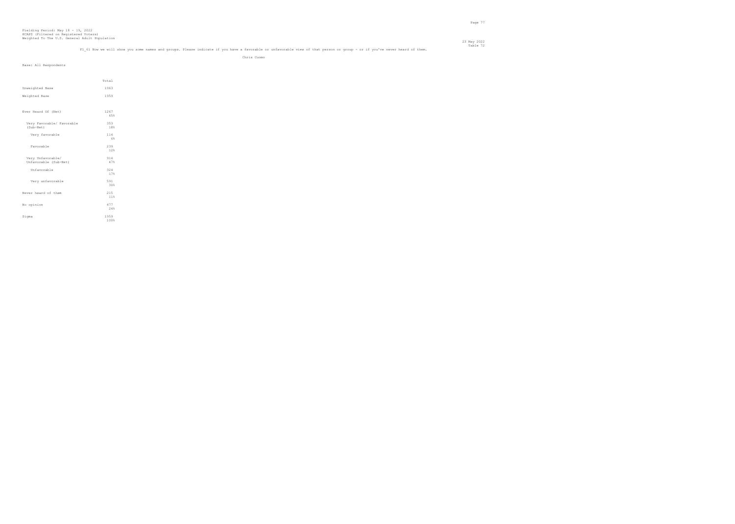### Table 72<br>F1 61 Now we will show you some names and groups. Please indicate if you have a favorable or unfavorable view of that person or group - or if you've never heard of them.

Chris Cuomo

| Base: All Respondents                      |              |
|--------------------------------------------|--------------|
|                                            |              |
|                                            | Total        |
| Unweighted Base                            | 1963         |
| Weighted Base                              | 1959         |
|                                            |              |
| Ever Heard Of (Net)                        | 1267<br>65%  |
| Very Favorable/ Favorable<br>(Sub-Net)     | 353<br>18%   |
| Very favorable                             | 114<br>$6\%$ |
| Favorable                                  | 239<br>12%   |
| Very Unfavorable/<br>Unfavorable (Sub-Net) | 914<br>47%   |
| Unfavorable                                | 324<br>17%   |
| Very unfavorable                           | 591<br>30%   |
| Never heard of them                        | 215<br>11%   |
| No opinion                                 | 477<br>24%   |
| Sigma                                      | 1959<br>100% |
|                                            |              |
|                                            |              |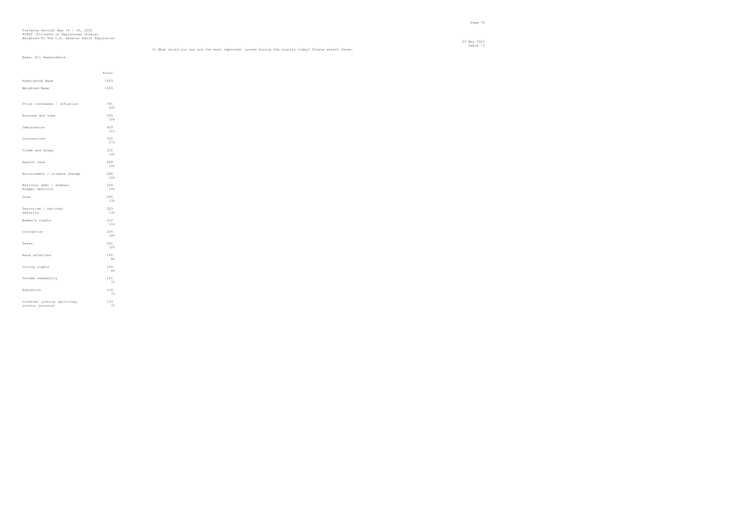# Fielding Period: May 18 - 19, 2022 HCAPS (Filtered on Registered Voters) Weighted To The U.S. General Adult Population

23 May 2022

Base: All Respondents

 Total Unweighted Base 1963 Weighted Base 1959 Price increases / inflation  $\begin{array}{c} 781 \\ 40\% \end{array}$ Economy and jobs 595 30% Immigration  $^{420}_{21\%}$ Coronavirus  $\begin{array}{c} 331 \\ 17\% \end{array}$ Crime and drugs  $322$ <br> $16%$ Health care  $\begin{array}{c} 288 \\ 15\% \end{array}$ Environment / climate change  $\begin{array}{c} 286 \\ 15\% \end{array}$ National debt / federal 268 budget deficits 14%  $Guns$  $\begin{array}{c} 256 \\ 13\% \end{array}$ Terrorism / national 253 security 13% Women's rights  $\begin{array}{c} 212 \\ 11\% \end{array}$ Corruption  $\frac{204}{10\%}$ Taxes  $\begin{array}{c} 201 \\ 10\% \end{array}$ Race relations  $\begin{array}{c} 165 \\ 8\% \end{array}$ Voting rights  $\begin{array}{c} 149 \\ 88 \end{array}$ Income inequality  $\begin{array}{r} 141 \\ 78 \end{array}$ Education  $\begin{array}{r} 134 \\ \hline 78 \end{array}$ Criminal justice (policing, 133 courts, prisons) 7%

Table 73<br>Il What would you say are the most important issues facing the country today? Please select three.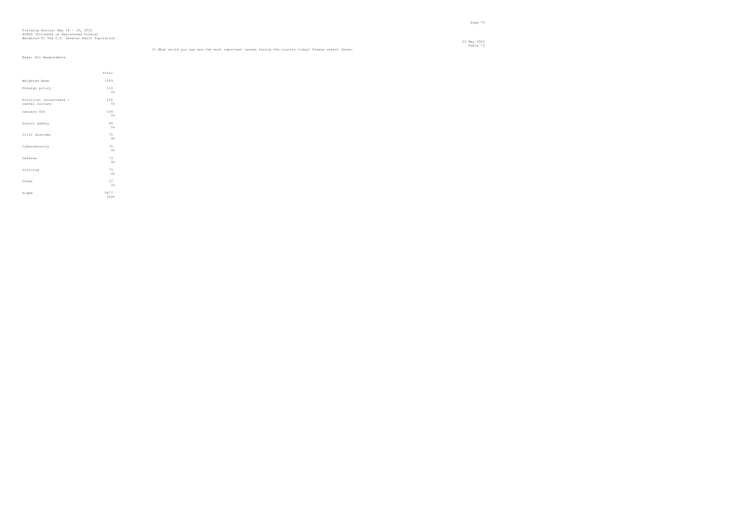23 May 2022 Table 73<br>Il What would you say are the most important issues facing the country today? Please select three.

# Fielding Period: May 18 - 19, 2022 HCAPS (Filtered on Registered Voters) Weighted To The U.S. General Adult Population

|                                           | Total        |
|-------------------------------------------|--------------|
| Weighted Base                             | 1959         |
| Foreign policy                            | 110<br>6%    |
| Political correctness /<br>cancel culture | 105<br>5%    |
| January 6th                               | 104<br>5%    |
| School safety                             | 89<br>5%     |
| Civil disorder                            | 75<br>4%     |
| Cybersecurity                             | 75<br>4%     |
| Defense                                   | 73<br>4%     |
| Policing                                  | 73<br>4%     |
| Other                                     | 37<br>2%     |
| Sigma                                     | 5877<br>300% |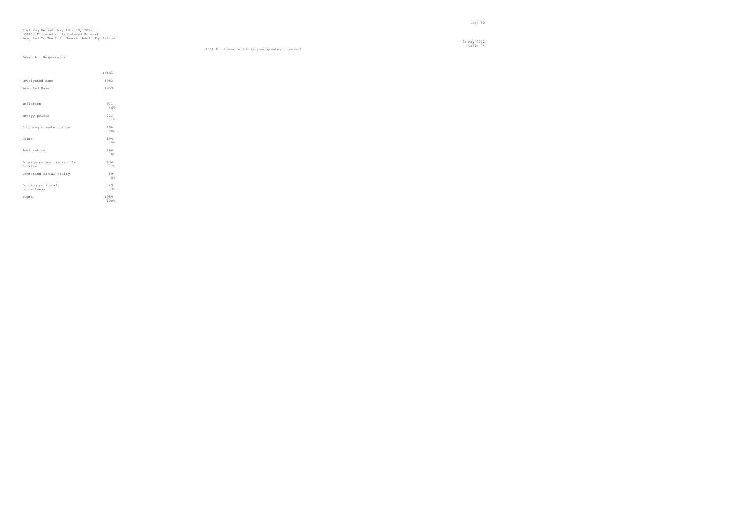Table 74 ISS1 Right now, which is your greatest concern?

|                            | Total      |  |
|----------------------------|------------|--|
| Unweighted Base            | 1963       |  |
| Weighted Base              | 1959       |  |
|                            |            |  |
| Inflation                  | 911        |  |
|                            | 46%        |  |
| Energy prices              | 221<br>11% |  |
|                            |            |  |
| Stopping climate change    | 196<br>10% |  |
|                            |            |  |
| Crime                      | 194<br>10% |  |
|                            | 164        |  |
| Immigration                | 8%         |  |
| Foreign policy issues like | 134        |  |
| Ukraine                    | 7%         |  |
| Promoting racial equity    | 89         |  |
|                            | 5%         |  |
| Curbing political          | 49         |  |
| correctness                | 3%         |  |
| Sigma                      | 1959       |  |
|                            | 100%       |  |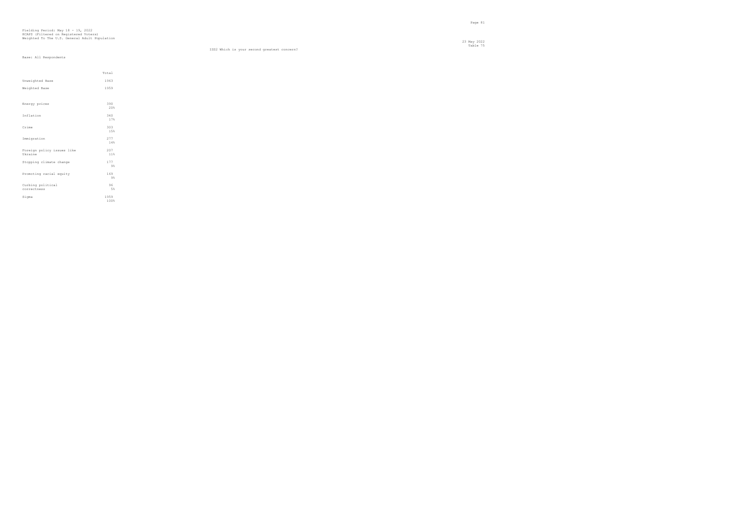### Table 75 ISS2 Which is your second greatest concern?

|                                       | Total        |  |
|---------------------------------------|--------------|--|
| Unweighted Base                       | 1963         |  |
| Weighted Base                         | 1959         |  |
|                                       |              |  |
| Energy prices                         | 390<br>20%   |  |
| Inflation                             | 340<br>17%   |  |
| Crime                                 | 303<br>15%   |  |
| Immigration                           | 277<br>14%   |  |
| Foreign policy issues like<br>Ukraine | 207<br>11%   |  |
| Stopping climate change               | 177<br>9%    |  |
| Promoting racial equity               | 169<br>9%    |  |
| Curbing political<br>correctness      | 96<br>5%     |  |
| Sigma                                 | 1959<br>100% |  |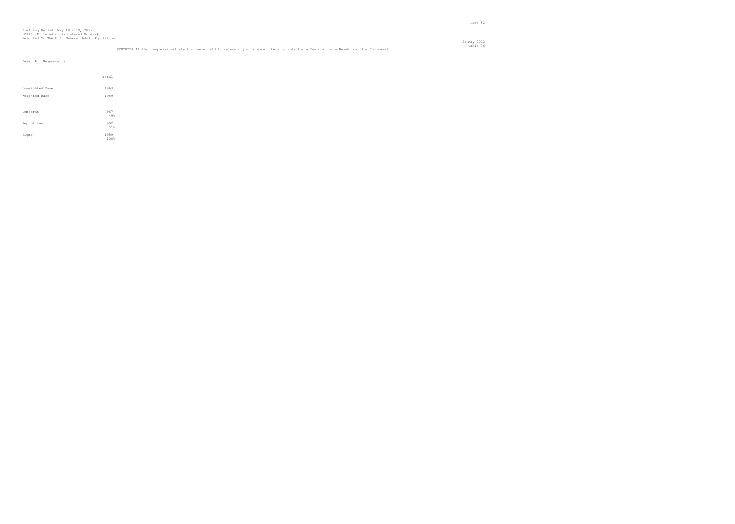## Table 76 CON2022A If the congressional election were held today would you be more likely to vote for a Democrat or a Republican for Congress?

|                 | Total        |  |
|-----------------|--------------|--|
| Unweighted Base | 1963         |  |
| Weighted Base   | 1959         |  |
|                 |              |  |
| Democrat        | 967<br>49%   |  |
| Republican      | 992<br>51%   |  |
| Sigma           | 1959<br>100% |  |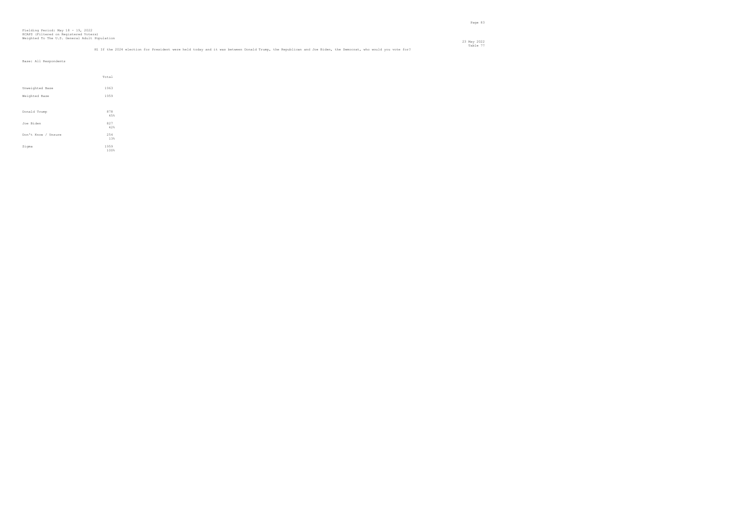|                     | Total      |  |
|---------------------|------------|--|
| Unweighted Base     | 1963       |  |
| Weighted Base       | 1959       |  |
|                     |            |  |
| Donald Trump        | 878<br>45% |  |
|                     |            |  |
| Joe Biden           | 827<br>42% |  |
|                     |            |  |
| Don't Know / Unsure | 254        |  |
|                     | 13%        |  |
| Sigma               | 1959       |  |
|                     | 100%       |  |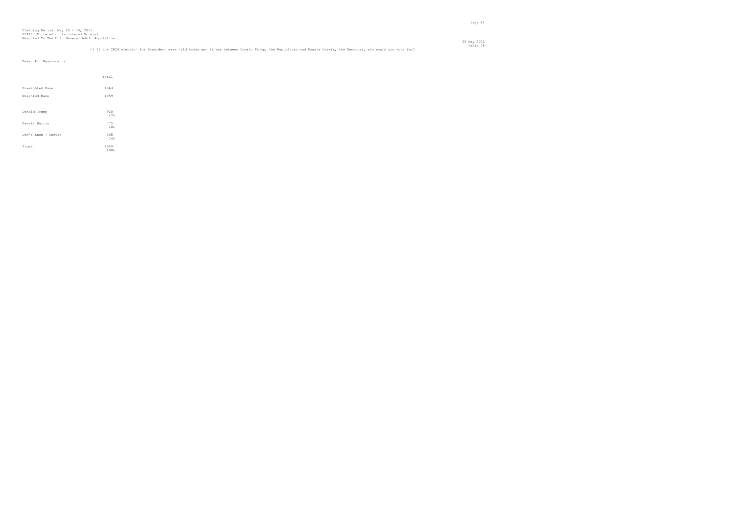|                     | Total      |  |
|---------------------|------------|--|
| Unweighted Base     | 1963       |  |
| Weighted Base       | 1959       |  |
|                     |            |  |
| Donald Trump        | 920<br>47% |  |
| Kamala Harris       | 775        |  |
|                     | 40%        |  |
| Don't Know / Unsure | 265<br>14% |  |
| Sigma               | 1959       |  |
|                     | 100%       |  |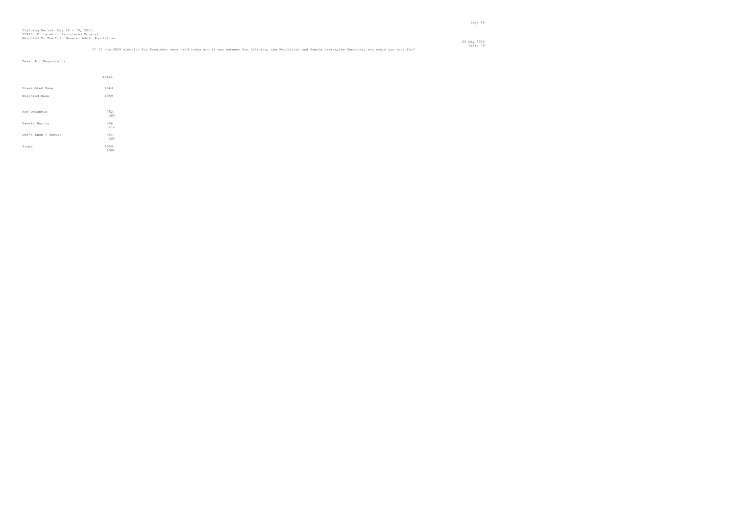## Table 79 H7 If the 2024 election for President were held today and it was between Ron DeSantis, the Republican and Kamala Harris,the Democrat, who would you vote for?

|                     | Total        |
|---------------------|--------------|
| Unweighted Base     | 1963         |
| Weighted Base       | 1959         |
|                     |              |
| Ron DeSantis        | 752<br>38%   |
| Kamala Harris       | 806<br>41%   |
| Don't Know / Unsure | 401<br>20%   |
| Sigma               | 1959<br>100% |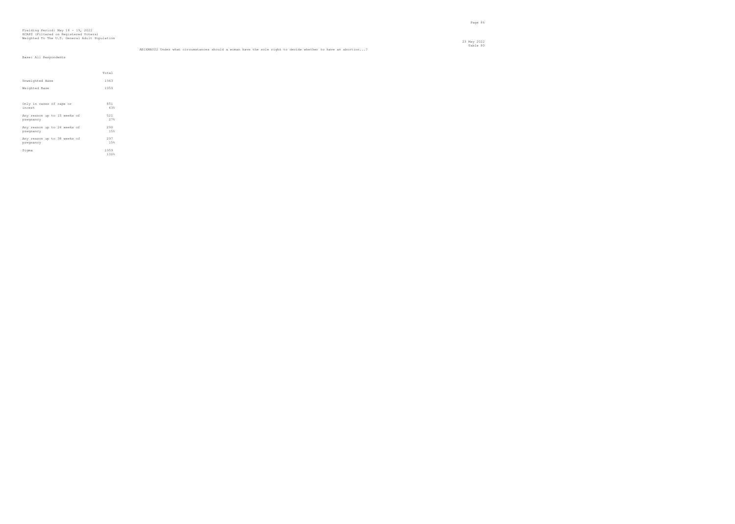|                                           | Total        |
|-------------------------------------------|--------------|
| Unweighted Base                           | 1963         |
| Weighted Base                             | 1959         |
|                                           |              |
| Only in cases of rape or<br>incest        | 851<br>43%   |
| Any reason up to 15 weeks of<br>pregnancy | 521<br>27%   |
| Any reason up to 24 weeks of<br>pregnancy | 290<br>15%   |
| Any reason up to 38 weeks of<br>pregnancy | 297<br>15%   |
| Sigma                                     | 1959<br>100% |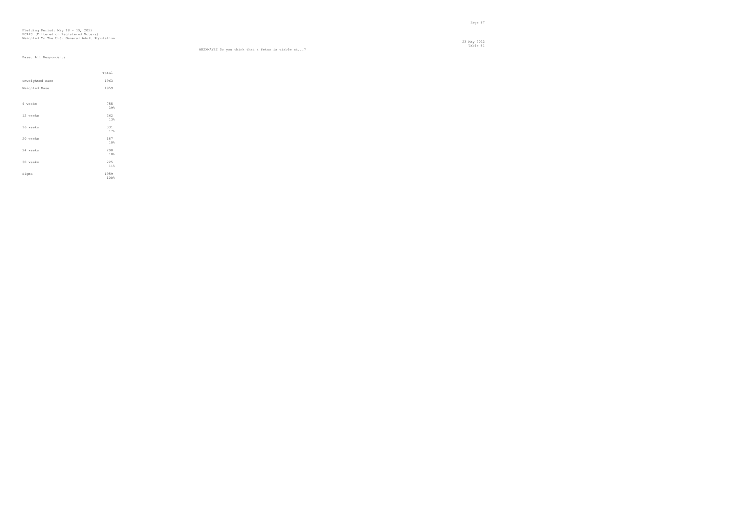23 May 2022 Table 81 AB2XMAY22 Do you think that a fetus is viable at...?

|                 | Total        |
|-----------------|--------------|
| Unweighted Base | 1963         |
| Weighted Base   | 1959         |
|                 |              |
| 6 weeks         | 755<br>39%   |
| 12 weeks        | 262<br>13%   |
| 16 weeks        | 331<br>17%   |
| 20 weeks        | 187<br>10%   |
| 24 weeks        | 200<br>10%   |
| 30 weeks        | 225<br>11%   |
| Sigma           | 1959<br>100% |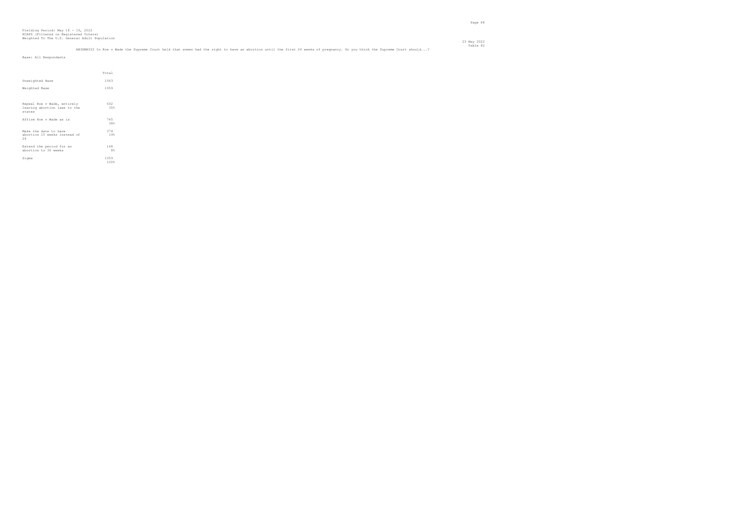| AB3XMAY22 In Roe v Wade the Supreme Court held that women had the right to have an abortion until the first 24 weeks of pregnancy. Do you think the Supreme Court should? |  |
|---------------------------------------------------------------------------------------------------------------------------------------------------------------------------|--|
|                                                                                                                                                                           |  |
|                                                                                                                                                                           |  |

en de la provincia de la provincia de la provincia de la provincia de la provincia de la provincia de la provi<br>Page 88

|                                                                       | Total        |  |
|-----------------------------------------------------------------------|--------------|--|
| Unweighted Base                                                       | 1963         |  |
| Weighted Base                                                         | 1959         |  |
|                                                                       |              |  |
| Repeal Roe v Wade, entirely<br>leaving abortion laws to the<br>states | 692<br>35%   |  |
| Affirm Roe v Wade as is                                               | 745<br>38%   |  |
| Make the date to have<br>abortion 15 weeks instead of<br>24           | 374<br>19%   |  |
| Extend the period for an<br>abortion to 36 weeks                      | 148<br>8%    |  |
| Sigma                                                                 | 1959<br>100% |  |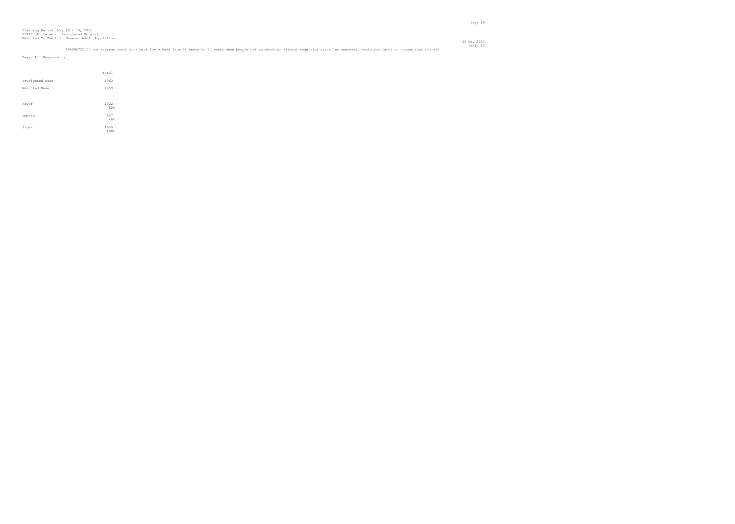## Table 83<br>AB4XMAY22 If the supreme court cuts back Roe v Wade from 24 weeks to 20 weeks when people get an abortion without requiring state law approval, would you favor or oppose that change?

en de la provincia de la provincia de la provincia de la provincia de la provincia de la provincia de la provi<br>Page 89

|                 | Total        |
|-----------------|--------------|
| Unweighted Base | 1963         |
| Weighted Base   | 1959         |
|                 |              |
| Favor           | 1022<br>52%  |
| Oppose          | 937<br>48%   |
| Sigma           | 1959<br>100% |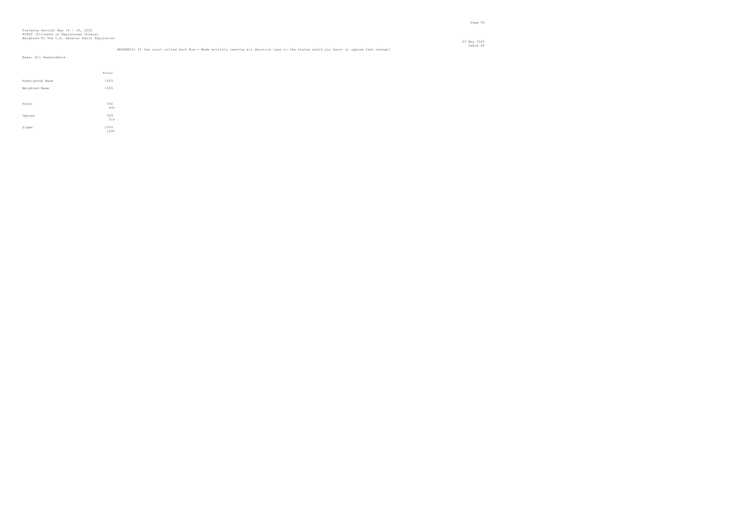en de la provincia de la provincia de la provincia de la provincia de la provincia de la provincia de la provi<br>Page 90

|                 | Total        |
|-----------------|--------------|
| Unweighted Base | 1963         |
| Weighted Base   | 1959         |
|                 |              |
| Favor           | 966<br>49%   |
| Oppose          | 993<br>51%   |
| Sigma           | 1959<br>100% |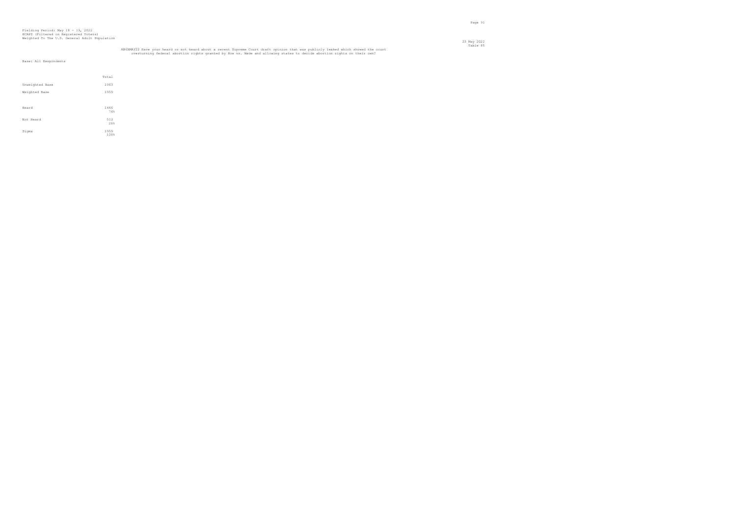# AB6XMAY22 Have your heard or not heard about a recent Supreme Court draft opinion that was publicly leaked which showed the court<br>overturning federal abortion rights granted by Roe vs. Wade and allowing states to decide ab

en de la provincia de la provincia de la provincia de la provincia de la provincia de la provincia de la provi<br>Page 91

|                 | Total |
|-----------------|-------|
| Unweighted Base | 1963  |
| Weighted Base   | 1959  |
|                 |       |
| Heard           | 1446  |
|                 | 74%   |
| Not Heard       | 513   |
|                 | 26%   |
| Sigma           | 1959  |
|                 | 100%  |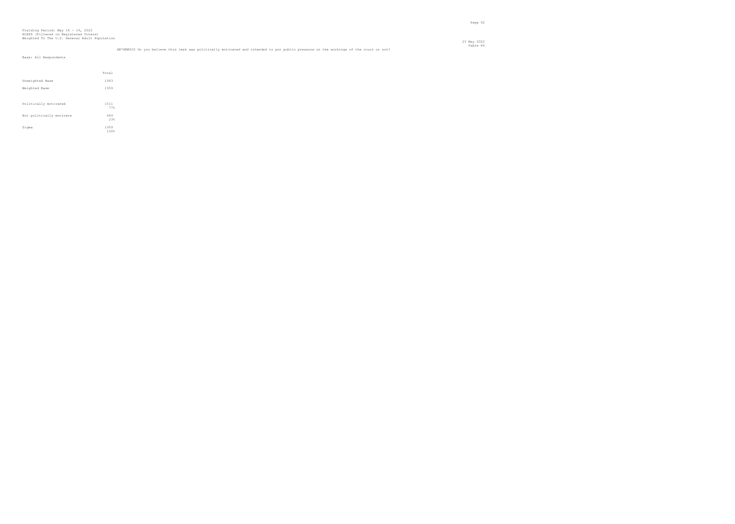en de la provincia de la provincia de la provincia de la provincia de la provincia de la provincia de la provi<br>Page 92

|                          | Total        |
|--------------------------|--------------|
| Unweighted Base          | 1963         |
| Weighted Base            | 1959         |
|                          |              |
| Politically motivated    | 1511<br>77%  |
| Not politically motivate | 449<br>23%   |
| Sigma                    | 1959<br>100% |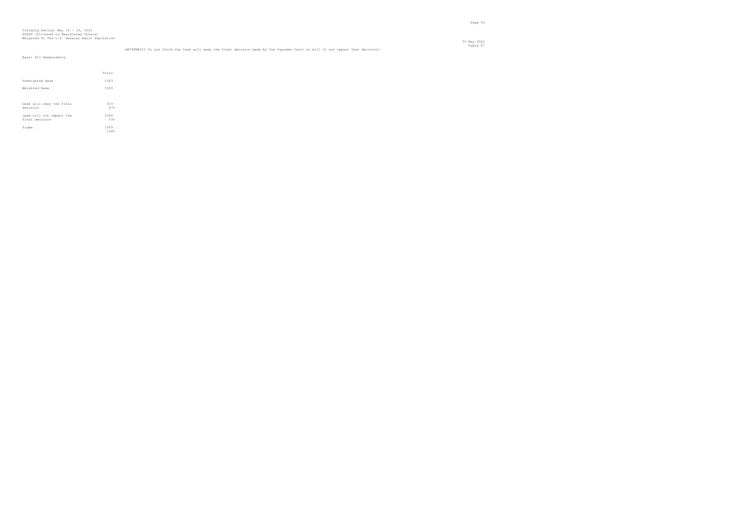en de la provincia de la provincia de la provincia de la provincia de la provincia de la provincia de la provi<br>Page 93

Table 87 AB78XMAY22 Do you think the leak will sway the final decision made by the Supreme Court or will it not impact that decision?

| Base: All Respondents                      |              |  |  |
|--------------------------------------------|--------------|--|--|
|                                            |              |  |  |
|                                            | Total        |  |  |
| Unweighted Base                            | 1963         |  |  |
| Weighted Base                              | 1959         |  |  |
|                                            |              |  |  |
| Leak will sway the final<br>decision       | 919<br>47%   |  |  |
| Leak will not impact the<br>final decision | 1040<br>53%  |  |  |
| Sigma                                      | 1959<br>100% |  |  |
|                                            |              |  |  |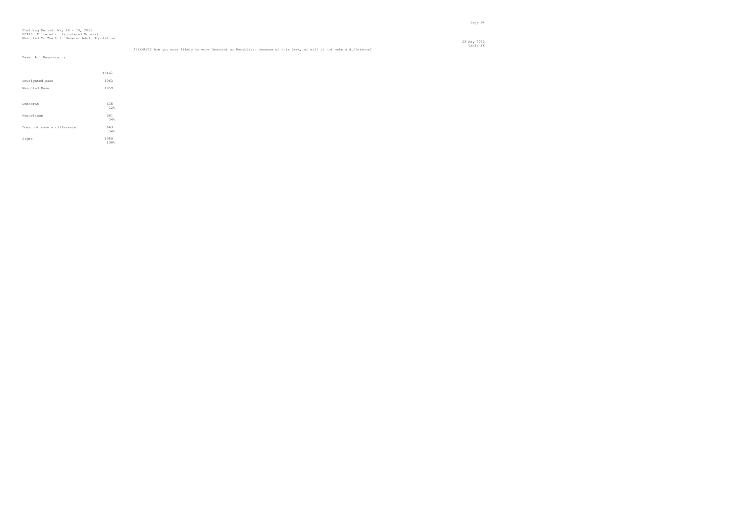Table 88 AB9XMAY22 Are you more likely to vote Democrat or Republican because of this leak, or will it not make a difference?

|                            | Total        |
|----------------------------|--------------|
| Unweighted Base            | 1963         |
| Weighted Base              | 1959         |
|                            |              |
| Democrat                   | 635          |
|                            | 32%          |
| Republican                 | 661<br>34%   |
| Does not make a difference | 663          |
|                            | 34%          |
| Sigma                      | 1959<br>100% |
|                            |              |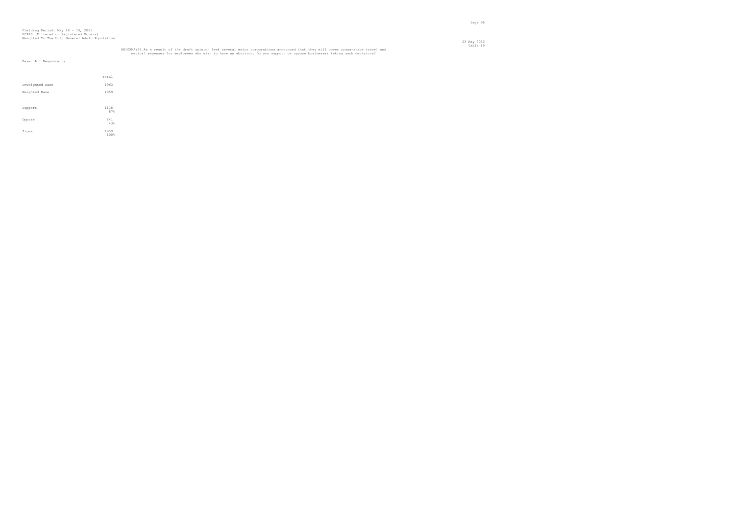# AB10XMAY22 As a result of the draft opinion leak several major corporations announced that they will cover cross-state travel and Table 89<br>medical expenses for employees who wish to have an abortion. Do you support or oppo

en de la provincia de la provincia de la provincia de la provincia de la provincia de la provincia de la provi<br>Page 95

|                 | Total      |
|-----------------|------------|
| Unweighted Base | 1963       |
| Weighted Base   | 1959       |
|                 |            |
| Support         | 1118       |
|                 | 57%        |
| Oppose          | 841<br>43% |
|                 |            |
| Sigma           | 1959       |
|                 | 100%       |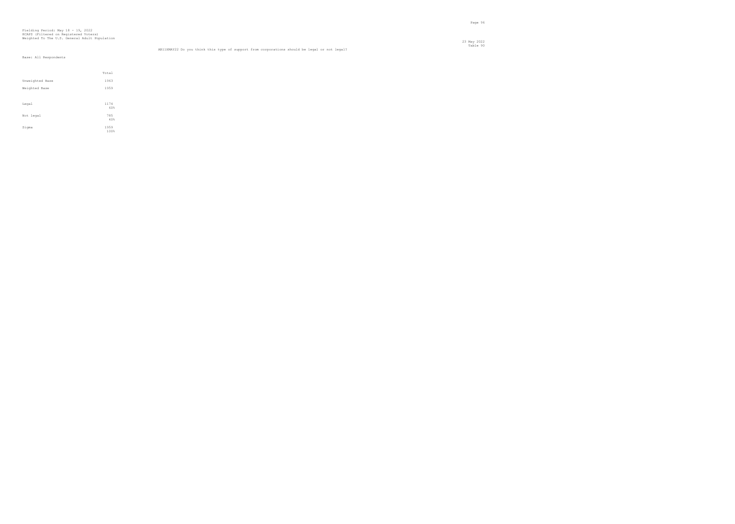# Fielding Period: May 18 - 19, 2022 HCAPS (Filtered on Registered Voters) Weighted To The U.S. General Adult Population

 23 May 2022 Table 90 AB11XMAY22 Do you think this type of support from corporations should be legal or not legal?

|                 | Total        |  |
|-----------------|--------------|--|
| Unweighted Base | 1963         |  |
| Weighted Base   | 1959         |  |
|                 |              |  |
| Legal           | 1174<br>60%  |  |
| Not legal       | 785<br>40%   |  |
| Sigma           | 1959<br>100% |  |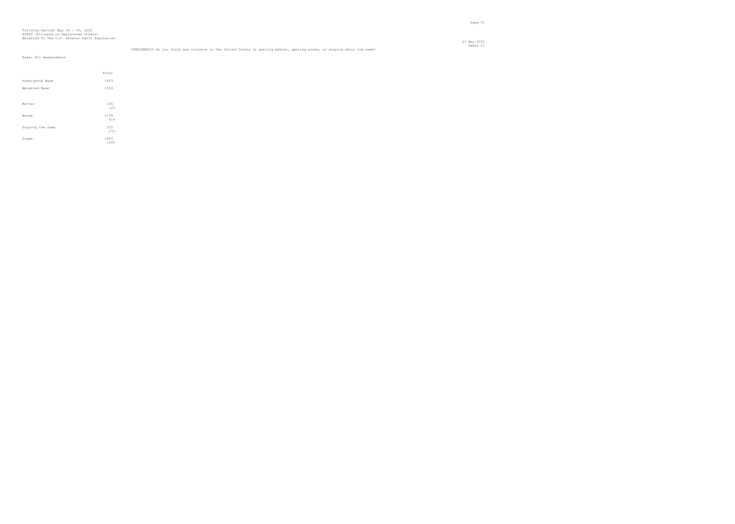en de la provincia de la provincia de la provincia de la provincia de la provincia de la provincia de la provi<br>Page 97

| Total        |
|--------------|
| 1963         |
| 1959         |
|              |
| 236<br>12%   |
|              |
| 1199<br>61%  |
| 525          |
| 27%          |
| 1959<br>100% |
|              |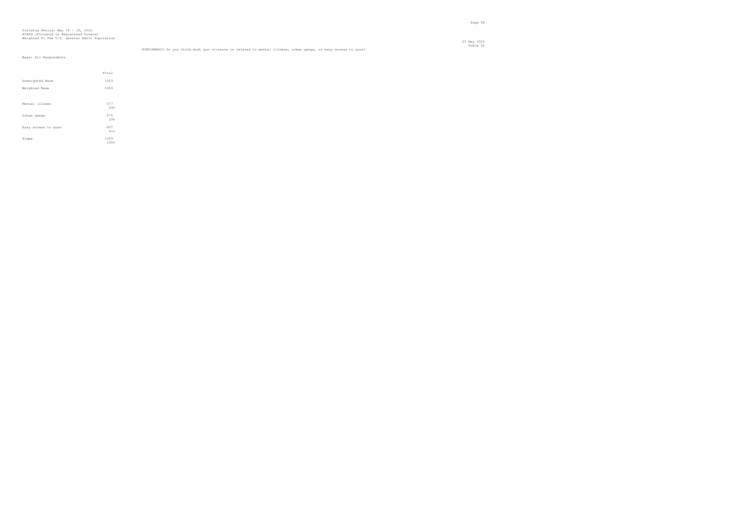|                     | Total        |  |
|---------------------|--------------|--|
| Unweighted Base     | 1963         |  |
| Weighted Base       | 1959         |  |
|                     |              |  |
| Mental illness      | 577<br>29%   |  |
| Urban gangs         | 575<br>29%   |  |
| Easy access to guns | 807<br>41%   |  |
| Sigma               | 1959<br>100% |  |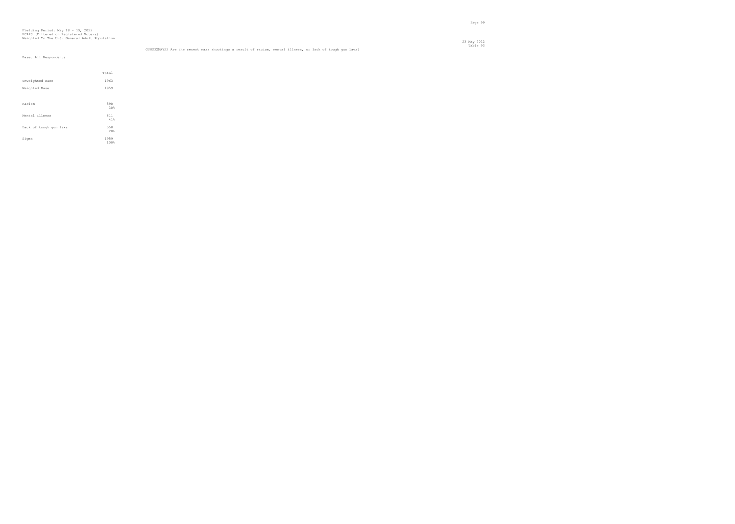# Fielding Period: May 18 - 19, 2022 HCAPS (Filtered on Registered Voters) Weighted To The U.S. General Adult Population

Table 93 GUNS3XMAY22 Are the recent mass shootings a result of racism, mental illness, or lack of tough gun laws?

|                        | Total        |  |
|------------------------|--------------|--|
| Unweighted Base        | 1963         |  |
| Weighted Base          | 1959         |  |
|                        |              |  |
| Racism                 | 590<br>30%   |  |
| Mental illness         | 811<br>41%   |  |
| Lack of tough gun laws | 558<br>28%   |  |
| Sigma                  | 1959<br>100% |  |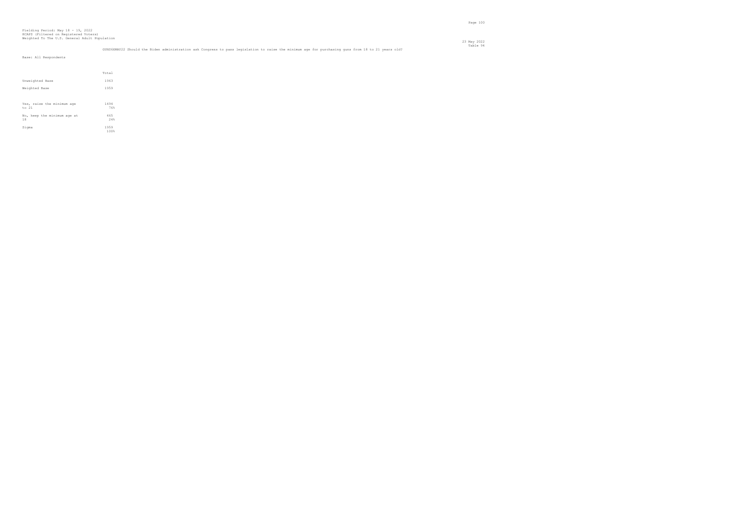Total Unweighted Base 1963 Weighted Base 1959 Yes, raise the minimum age 1494 to 21 76% No, keep the minimum age at 465 18 24% Sigma  $\frac{1959}{100\%}$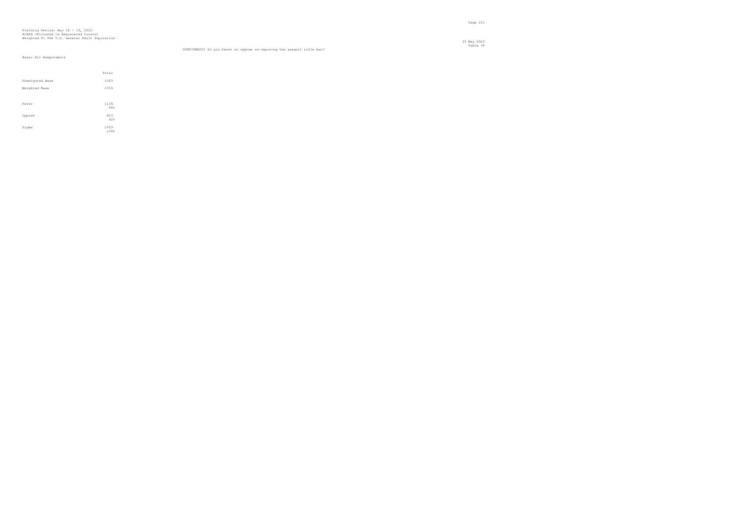23 May 2022 Table 95 GUNS7XMAY22 Do you favor or oppose re-imposing the assault rifle ban?

|                 | Total        |
|-----------------|--------------|
| Unweighted Base | 1963         |
| Weighted Base   | 1959         |
|                 |              |
| Favor           | 1136<br>58%  |
| Oppose          | 823<br>42%   |
| Sigma           | 1959<br>100% |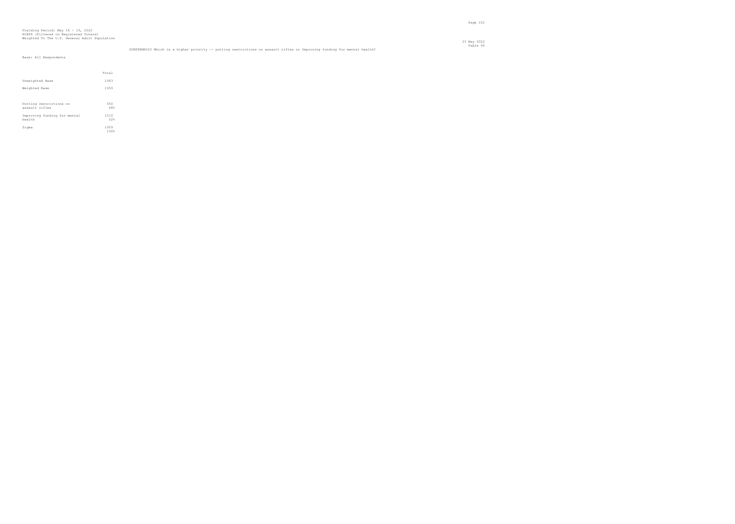Page 102

Table 96 GUNS8XMAY22 Which is a higher priority -- putting restrictions on assault rifles or Improving funding for mental health?

|                                           | Total        |  |
|-------------------------------------------|--------------|--|
| Unweighted Base                           | 1963         |  |
| Weighted Base                             | 1959         |  |
|                                           |              |  |
| Putting restrictions on<br>assault rifles | 950<br>48%   |  |
| Improving funding for mental<br>health    | 1010<br>52%  |  |
| Sigma                                     | 1959<br>100% |  |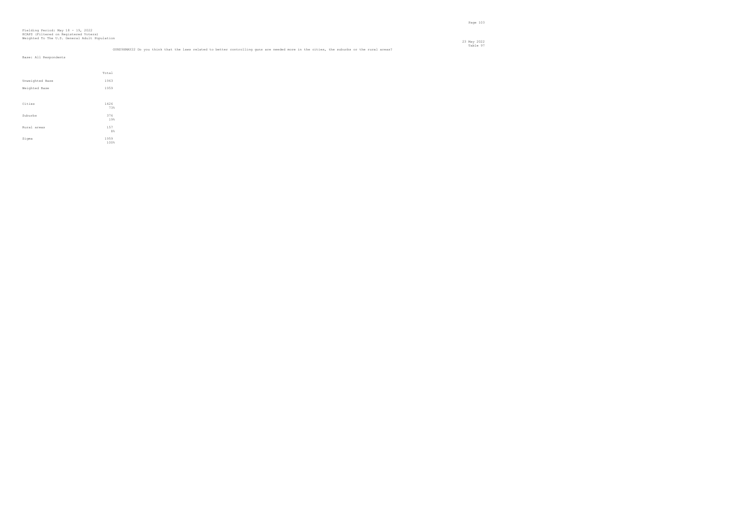Page 103

Table 97 GUNS9XMAY22 Do you think that the laws related to better controlling guns are needed more in the cities, the suburbs or the rural areas?

|                 | Total        |
|-----------------|--------------|
| Unweighted Base | 1963         |
| Weighted Base   | 1959         |
|                 |              |
| Cities          | 1426<br>73%  |
| Suburbs         | 376<br>19%   |
| Rural areas     | 157<br>8%    |
| Sigma           | 1959<br>100% |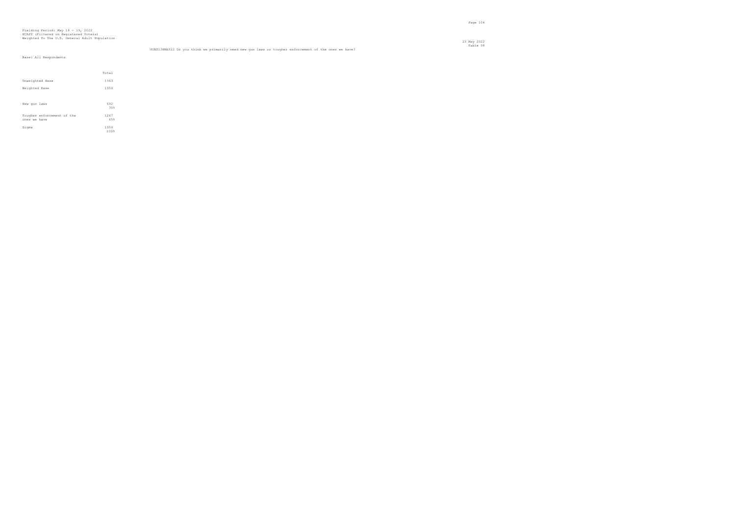# Fielding Period: May 18 - 19, 2022 HCAPS (Filtered on Registered Voters) Weighted To The U.S. General Adult Population

23 May 2022

|                                            | Total        |
|--------------------------------------------|--------------|
| Unweighted Base                            | 1963         |
| Weighted Base                              | 1959         |
|                                            |              |
| New qun laws                               | 692<br>35%   |
| Tougher enforcement of the<br>ones we have | 1267<br>65%  |
| Sigma                                      | 1959<br>100% |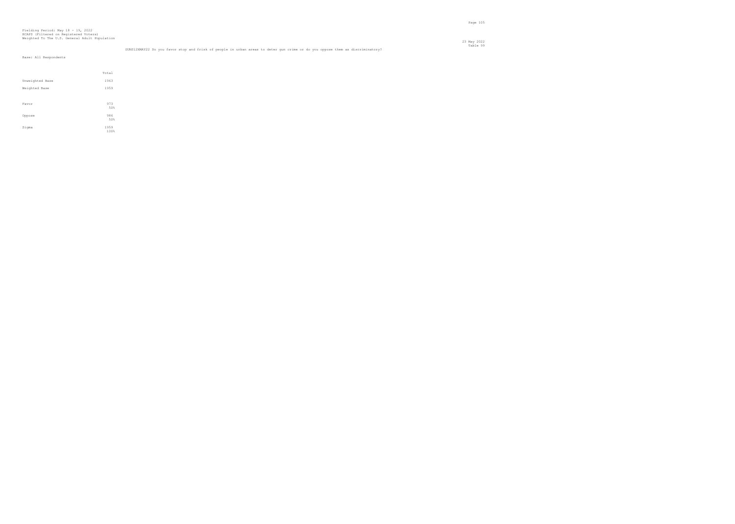| GUNS12XMAY22 Do you favor stop and frisk of people in urban areas to deter qun crime or do you oppose them as discriminatory? |  |
|-------------------------------------------------------------------------------------------------------------------------------|--|

|                 | Total        |
|-----------------|--------------|
| Unweighted Base | 1963         |
| Weighted Base   | 1959         |
|                 |              |
| Favor           | 973<br>50%   |
| Oppose          | 986<br>50%   |
| Sigma           | 1959<br>100% |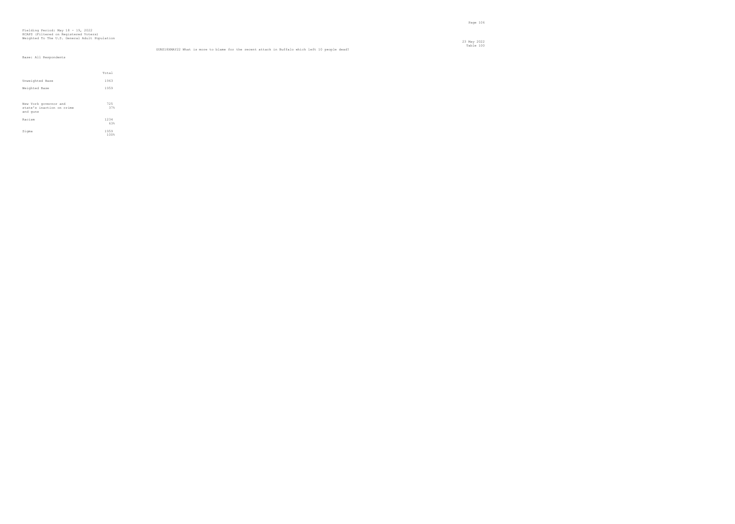# Fielding Period: May 18 - 19, 2022 HCAPS (Filtered on Registered Voters) Weighted To The U.S. General Adult Population

 23 May 2022 Table 100 GUNS18XMAY22 What is more to blame for the recent attack in Buffalo which left 10 people dead?

|                                                                | Total        |  |
|----------------------------------------------------------------|--------------|--|
| Unweighted Base                                                | 1963         |  |
| Weighted Base                                                  | 1959         |  |
|                                                                |              |  |
| New York governor and<br>state's inaction on crime<br>and guns | 725<br>37%   |  |
| Racism                                                         | 1234<br>63%  |  |
| Sigma                                                          | 1959<br>100% |  |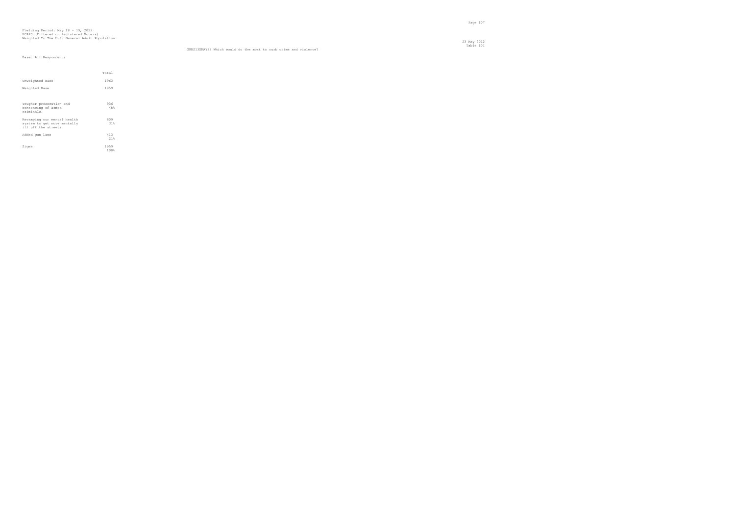23 May 2022 Table 101 GUNS13XMAY22 Which would do the most to curb crime and violence?

|                                                                                   | Total        |  |
|-----------------------------------------------------------------------------------|--------------|--|
| Unweighted Base                                                                   | 1963         |  |
| Weighted Base                                                                     | 1959         |  |
|                                                                                   |              |  |
| Tougher prosecution and<br>sentencing of armed<br>criminals.                      | 936<br>48%   |  |
| Revamping our mental health<br>system to get more mentally<br>ill off the streets | 609<br>31%   |  |
| Added gun laws                                                                    | 413<br>21%   |  |
| Sigma                                                                             | 1959<br>100% |  |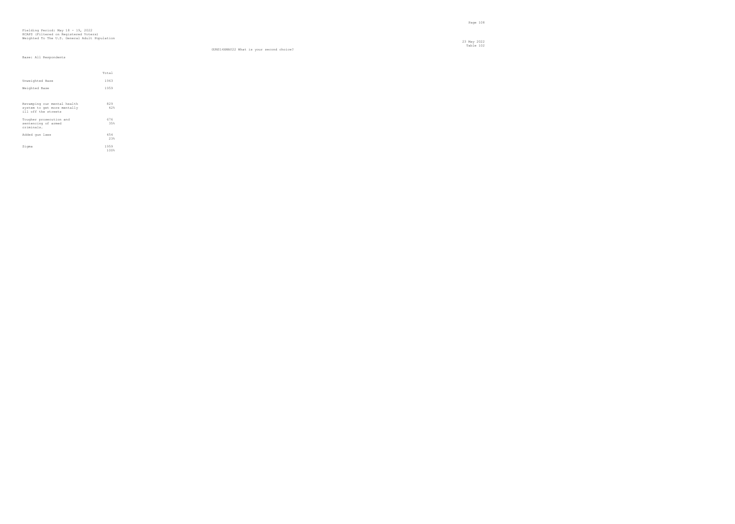#### Table 102 GUNS14XMAY22 What is your second choice?

|                                                                                   | Total        |  |
|-----------------------------------------------------------------------------------|--------------|--|
| Unweighted Base                                                                   | 1963         |  |
| Weighted Base                                                                     | 1959         |  |
|                                                                                   |              |  |
| Revamping our mental health<br>system to get more mentally<br>ill off the streets | 829<br>42%   |  |
| Tougher prosecution and<br>sentencing of armed<br>criminals.                      | 676<br>35%   |  |
| Added gun laws                                                                    | 454<br>23%   |  |
| Sigma                                                                             | 1959<br>100% |  |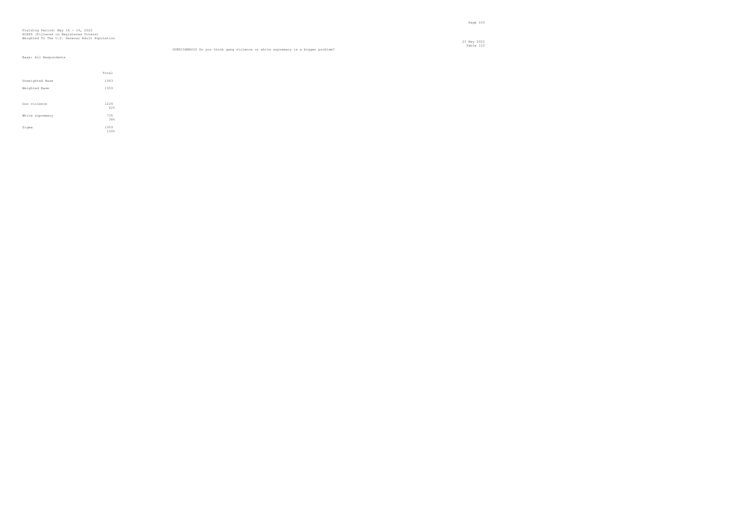#### Table 103 GUNS15XMAY22 Do you think gang violence or white supremacy is a bigger problem?

|                 | Total        |
|-----------------|--------------|
| Unweighted Base | 1963         |
| Weighted Base   | 1959         |
|                 |              |
| Gun violence    | 1224<br>62%  |
| White supremacy | 735<br>38%   |
| Sigma           | 1959<br>100% |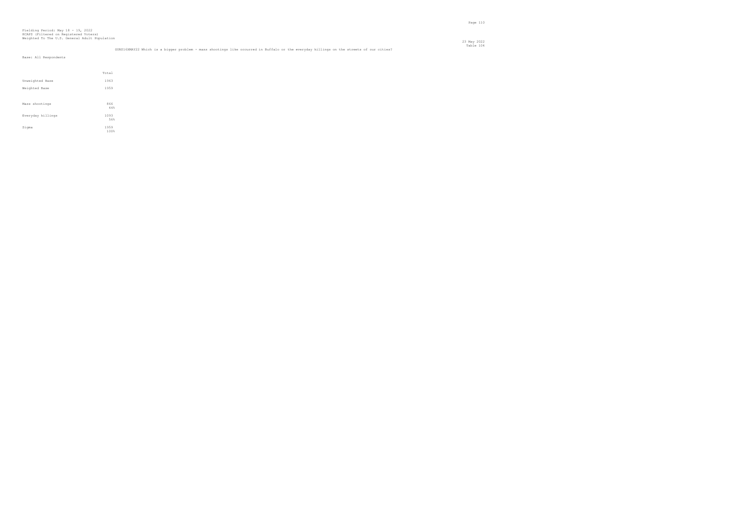|                   | Total        |
|-------------------|--------------|
| Unweighted Base   | 1963         |
| Weighted Base     | 1959         |
|                   |              |
| Mass shootings    | 866<br>44%   |
| Everyday killings | 1093<br>56%  |
| Sigma             | 1959<br>100% |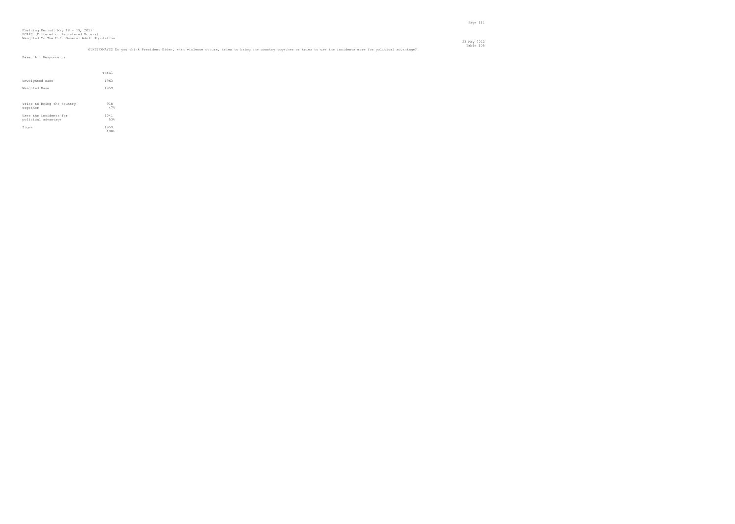|                                                                                                                                                                  | Table 105 |
|------------------------------------------------------------------------------------------------------------------------------------------------------------------|-----------|
| GUNS17XMAY22 Do you think President Biden, when violence occurs, tries to bring the country together or tries to use the incidents more for political advantage? |           |

| Base: All Respondents |       |
|-----------------------|-------|
|                       |       |
|                       | Total |
| Unweighted Base       | 1963  |
| Weighted Base         | 1959  |
|                       |       |
|                       |       |

| Tries to bring the country | 918          |
|----------------------------|--------------|
| together                   | 47%          |
| Uses the incidents for     | 1041         |
| political advantage        | 53%          |
| Sigma                      | 1959<br>100% |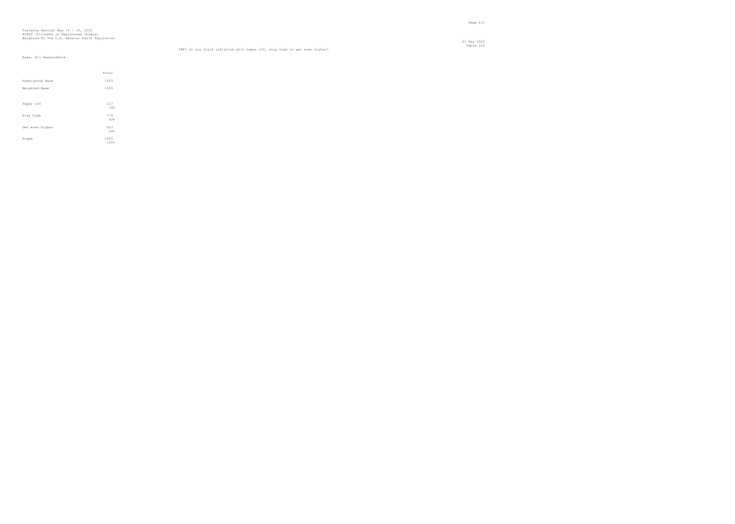#### Table 106 INF3 Do you think inflation will taper off, stay high or get even higher?

|                 | Total        |
|-----------------|--------------|
|                 |              |
| Unweighted Base | 1963         |
| Weighted Base   | 1959         |
|                 |              |
| Taper off       | 317<br>16%   |
| Stay high       | 779<br>40%   |
| Get even higher | 863<br>44%   |
| Sigma           | 1959<br>100% |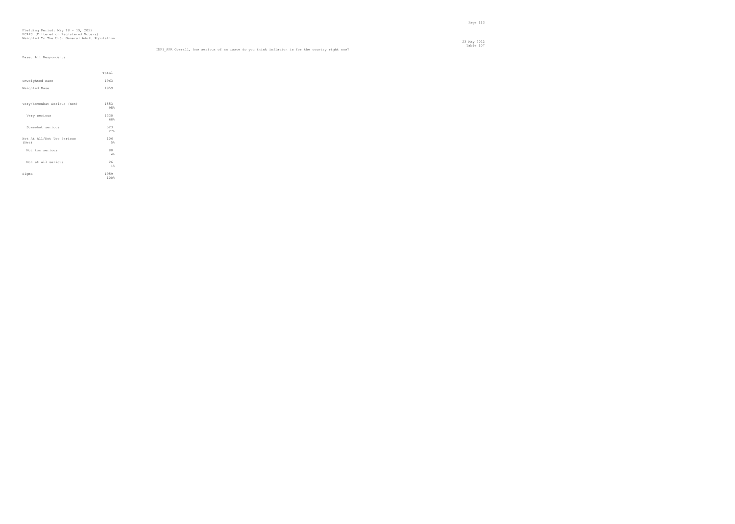# Fielding Period: May 18 - 19, 2022 HCAPS (Filtered on Registered Voters) Weighted To The U.S. General Adult Population

23 May 2022

INF1 APR Overall, how serious of an issue do you think inflation is for the country right now? Base: All Respondents

|                                     | Total        |
|-------------------------------------|--------------|
| Unweighted Base                     | 1963         |
| Weighted Base                       | 1959         |
|                                     |              |
| Very/Somewhat Serious (Net)         | 1853<br>95%  |
| Very serious                        | 1330<br>68%  |
| Somewhat serious                    | 523<br>27%   |
| Not At All/Not Too Serious<br>(Net) | 106<br>5%    |
| Not too serious                     | 80<br>4%     |
| Not at all serious                  | 26<br>1%     |
| Sigma                               | 1959<br>100% |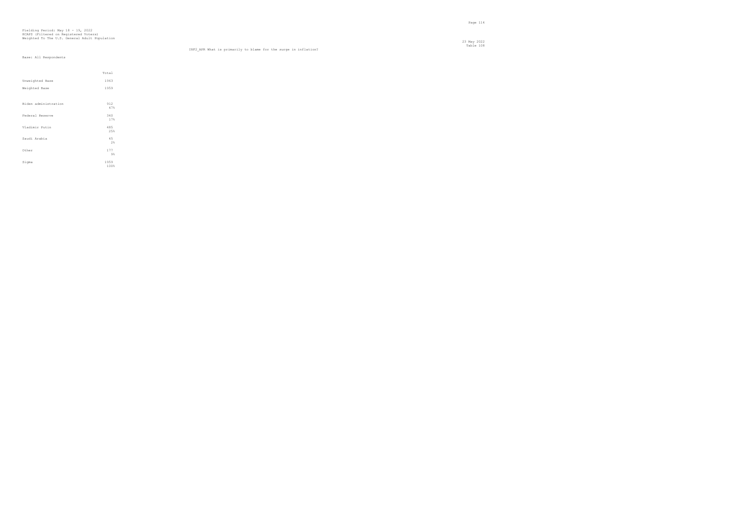23 May 2022 Table 108 INF2\_APR What is primarily to blame for the surge in inflation?

|                      | Total        |  |
|----------------------|--------------|--|
| Unweighted Base      | 1963         |  |
| Weighted Base        | 1959         |  |
|                      |              |  |
| Biden administration | 912<br>47%   |  |
| Federal Reserve      | 340<br>17%   |  |
| Vladimir Putin       | 485<br>25%   |  |
| Saudi Arabia         | 45<br>2%     |  |
| Other                | 177<br>$9\%$ |  |
| Sigma                | 1959<br>100% |  |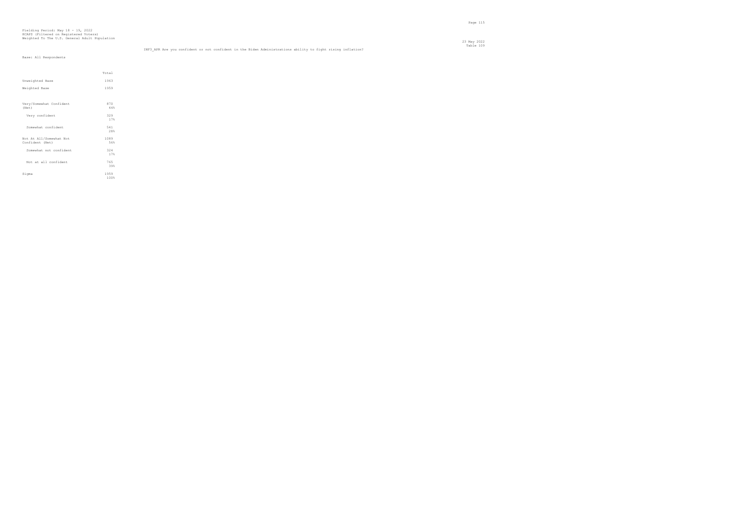# Fielding Period: May 18 - 19, 2022 HCAPS (Filtered on Registered Voters) Weighted To The U.S. General Adult Population

Table 109 INF3\_APR Are you confident or not confident in the Biden Administrations ability to fight rising inflation?

|                 | Base: All Respondents |  |
|-----------------|-----------------------|--|
|                 |                       |  |
|                 |                       |  |
|                 |                       |  |
|                 |                       |  |
| Unweighted Base |                       |  |

Total

| Unweighted Base                            | 1963         |  |
|--------------------------------------------|--------------|--|
| Weighted Base                              | 1959         |  |
|                                            |              |  |
| Very/Somewhat Confident<br>(Net)           | 870<br>44%   |  |
| Very confident                             | 329<br>17%   |  |
| Somewhat confident                         | 541<br>28%   |  |
| Not At All/Somewhat Not<br>Confident (Net) | 1089<br>56%  |  |
| Somewhat not confident                     | 324<br>17%   |  |
| Not at all confident                       | 765<br>39%   |  |
| Sigma                                      | 1959<br>100% |  |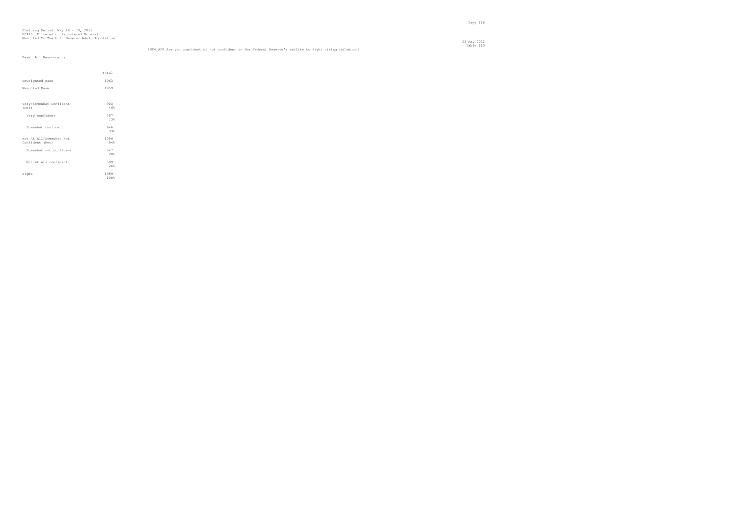# Fielding Period: May 18 - 19, 2022 HCAPS (Filtered on Registered Voters) Weighted To The U.S. General Adult Population

Table 110 INF4\_APR Are you confident or not confident in the Federal Reserve's ability to fight rising inflation?

|                                            | Total        |  |
|--------------------------------------------|--------------|--|
| Unweighted Base                            | 1963         |  |
| Weighted Base                              | 1959         |  |
|                                            |              |  |
| Very/Somewhat Confident<br>(Net)           | 903<br>46%   |  |
| Very confident                             | 257<br>13%   |  |
| Somewhat confident                         | 646<br>33%   |  |
| Not At All/Somewhat Not<br>Confident (Net) | 1056<br>54%  |  |
| Somewhat not confident                     | 547<br>28%   |  |
| Not at all confident                       | 509<br>26%   |  |
| Sigma                                      | 1959<br>100% |  |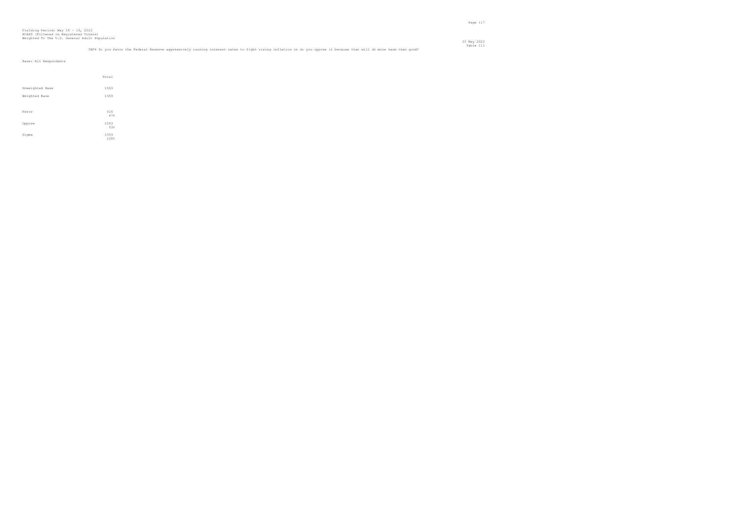|                 | Total        |
|-----------------|--------------|
| Unweighted Base | 1963         |
| Weighted Base   | 1959         |
| Favor           | 916<br>47%   |
| Oppose          | 1043<br>53%  |
| Sigma           | 1959<br>100% |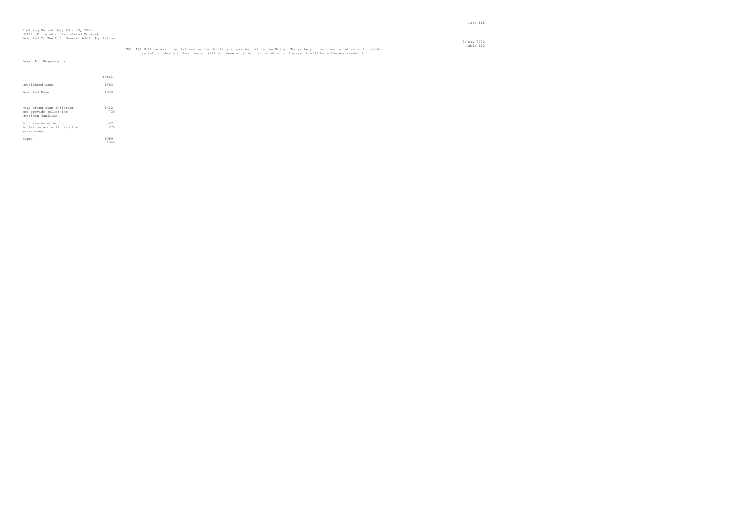|                                                                          | Total        |
|--------------------------------------------------------------------------|--------------|
| Unweighted Base                                                          | 1963         |
| Weighted Base                                                            | 1959         |
|                                                                          |              |
| Help bring down inflation<br>and provide relief for<br>American families | 1422<br>73%  |
| Not have an effect on<br>inflation and will harm the<br>environment      | 537<br>27%   |
| Sigma                                                                    | 1959<br>100% |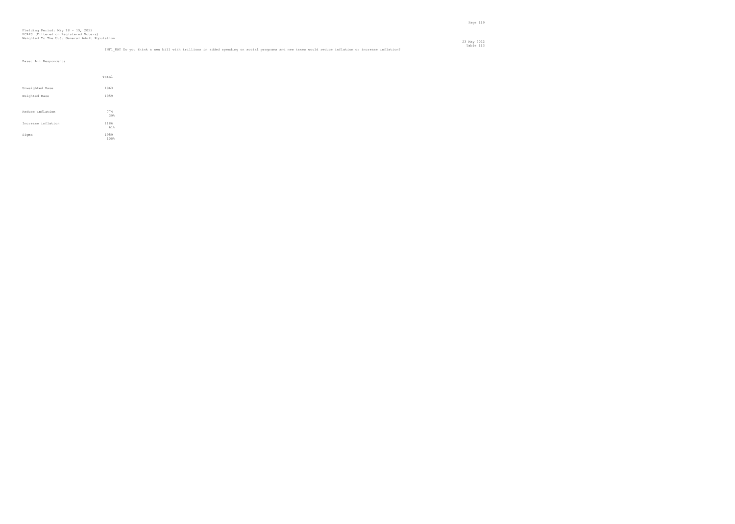### Table 113 INF1\_MAY Do you think a new bill with trillions in added spending on social programs and new taxes would reduce inflation or increase inflation?

|                    | Total        |  |
|--------------------|--------------|--|
| Unweighted Base    | 1963         |  |
| Weighted Base      | 1959         |  |
|                    |              |  |
| Reduce inflation   | 774<br>39%   |  |
| Increase inflation | 1186<br>61%  |  |
| Sigma              | 1959<br>100% |  |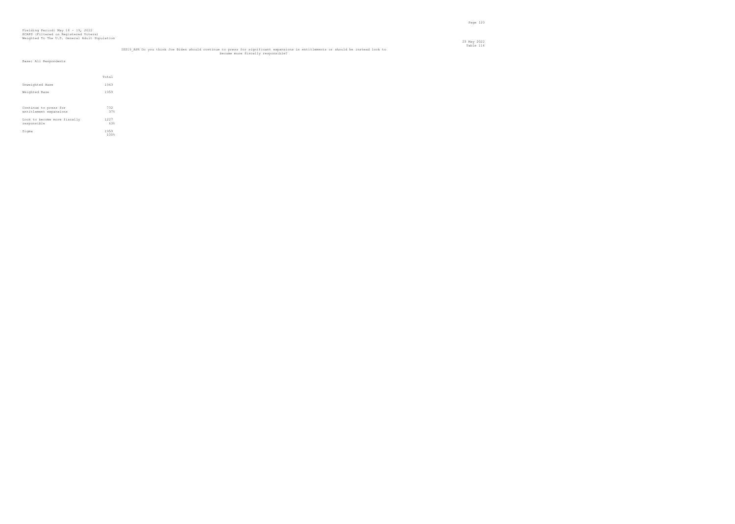|                                                 | Total        |  |
|-------------------------------------------------|--------------|--|
| Unweighted Base                                 | 1963         |  |
| Weighted Base                                   | 1959         |  |
| Continue to press for<br>entitlement expansions | 732<br>37%   |  |
| Look to become more fiscally<br>responsible     | 1227<br>63%  |  |
| Sigma                                           | 1959<br>100% |  |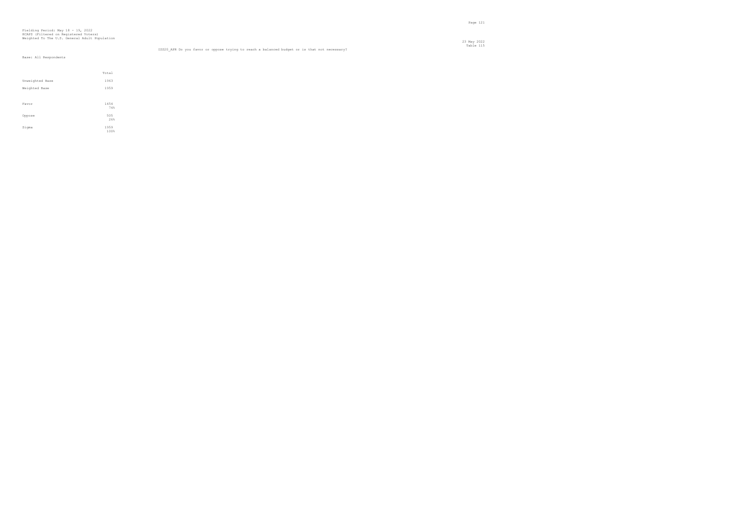## Fielding Period: May 18 - 19, 2022 HCAPS (Filtered on Registered Voters) Weighted To The U.S. General Adult Population

|                 | Total        |  |
|-----------------|--------------|--|
| Unweighted Base | 1963         |  |
| Weighted Base   | 1959         |  |
|                 |              |  |
| Favor           | 1454<br>74%  |  |
| Oppose          | 505<br>26%   |  |
| Sigma           | 1959<br>100% |  |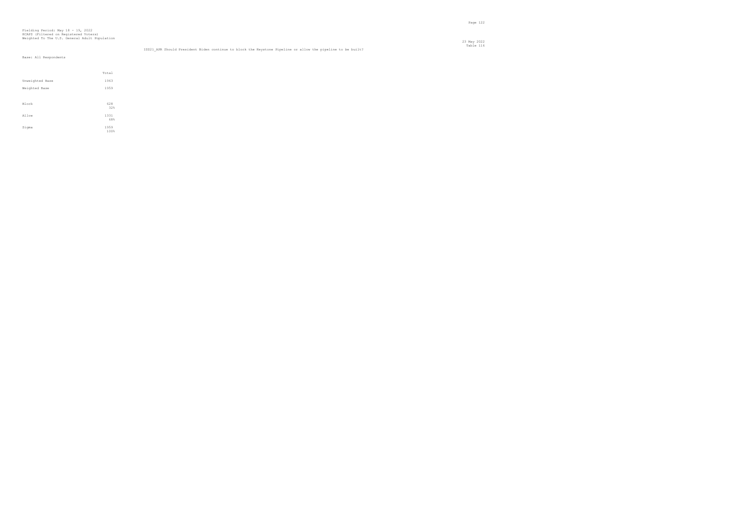## Fielding Period: May 18 - 19, 2022 HCAPS (Filtered on Registered Voters) Weighted To The U.S. General Adult Population

|                 | Total        |
|-----------------|--------------|
| Unweighted Base | 1963         |
| Weighted Base   | 1959         |
|                 |              |
| Block           | 628<br>32%   |
| Allow           | 1331<br>68%  |
| Sigma           | 1959<br>100% |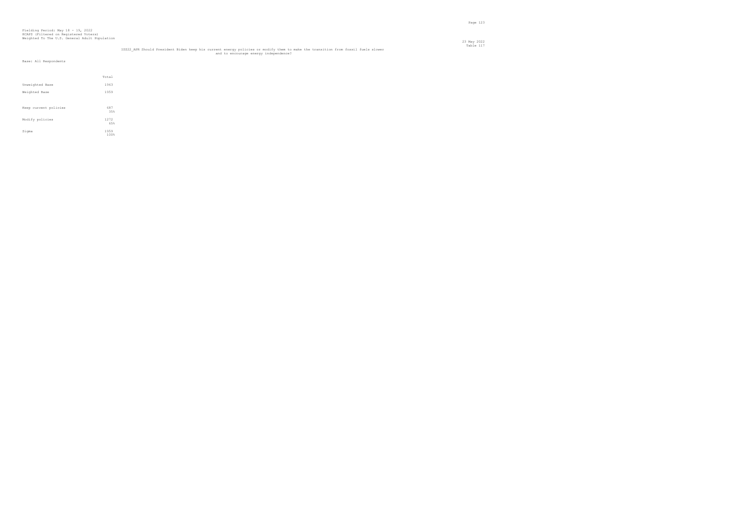|                       | Total        |
|-----------------------|--------------|
| Unweighted Base       | 1963         |
| Weighted Base         | 1959         |
|                       |              |
| Keep current policies | 687<br>35%   |
| Modify policies       | 1272<br>65%  |
| Sigma                 | 1959<br>100% |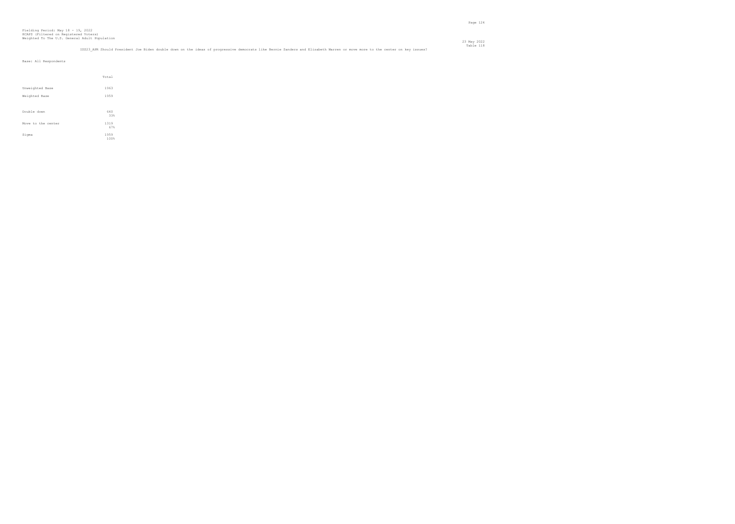|                    | Total        |
|--------------------|--------------|
| Unweighted Base    | 1963         |
| Weighted Base      | 1959         |
| Double down        | 640<br>33%   |
| Move to the center | 1319<br>67%  |
| Sigma              | 1959<br>100% |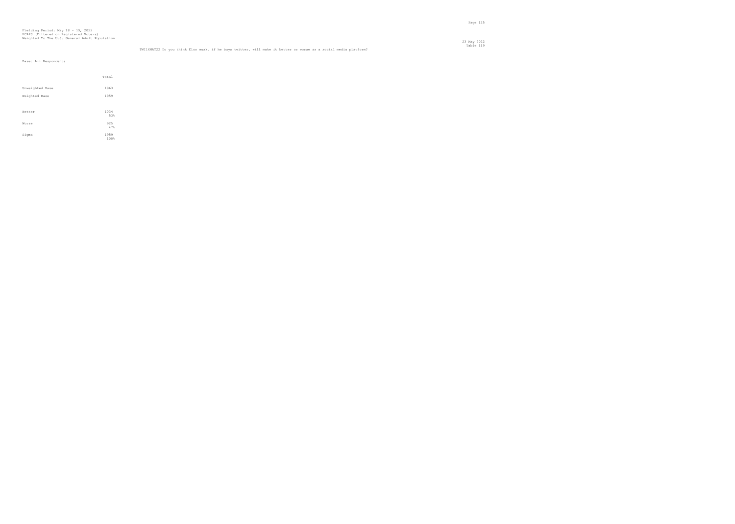23 May 2022

|                 | Total       |
|-----------------|-------------|
| Unweighted Base | 1963        |
| Weighted Base   | 1959        |
|                 |             |
| Better          | 1034<br>53% |
| Worse           | 925<br>47%  |
| Sigma           | 1959        |
|                 | 100%        |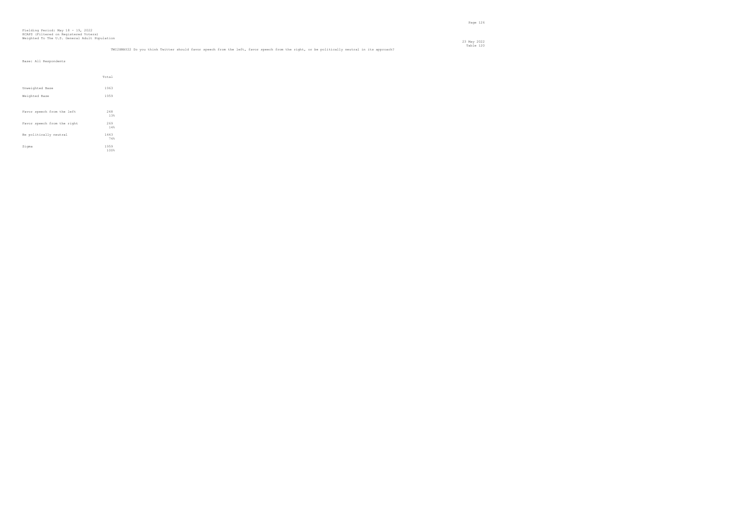### TWIZXMAY22 Do you think Twitter should favor speech from the left, favor speech from the right, or be politically neutral in its approach?<br>Table 120

23 May 2022

|                             | Total        |
|-----------------------------|--------------|
| Unweighted Base             | 1963         |
| Weighted Base               | 1959         |
|                             |              |
| Favor speech from the left  | 248<br>13%   |
| Favor speech from the right | 269<br>14%   |
| Be politically neutral      | 1443<br>74%  |
| Sigma                       | 1959<br>100% |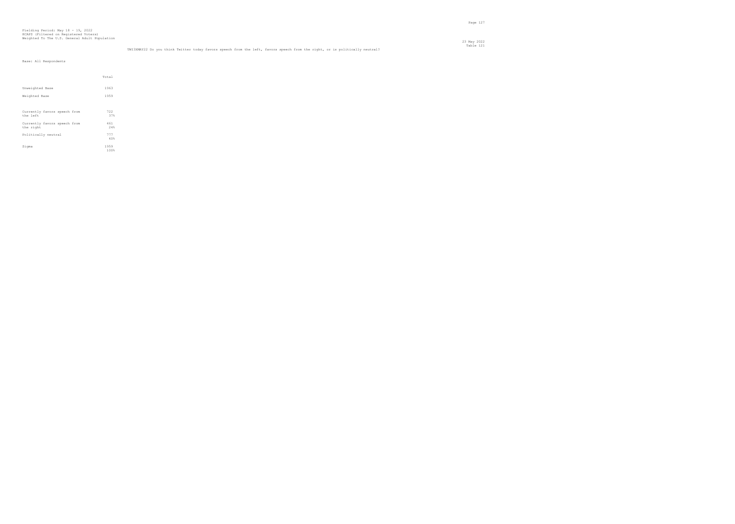|                                          | Total        |
|------------------------------------------|--------------|
| Unweighted Base                          | 1963         |
| Weighted Base                            | 1959         |
|                                          |              |
| Currently favors speech from<br>the left | 722<br>37%   |
| Currently favors speech from             | 461          |
| the right                                | 24%          |
| Politically neutral                      | 777<br>40%   |
| Sigma                                    | 1959<br>100% |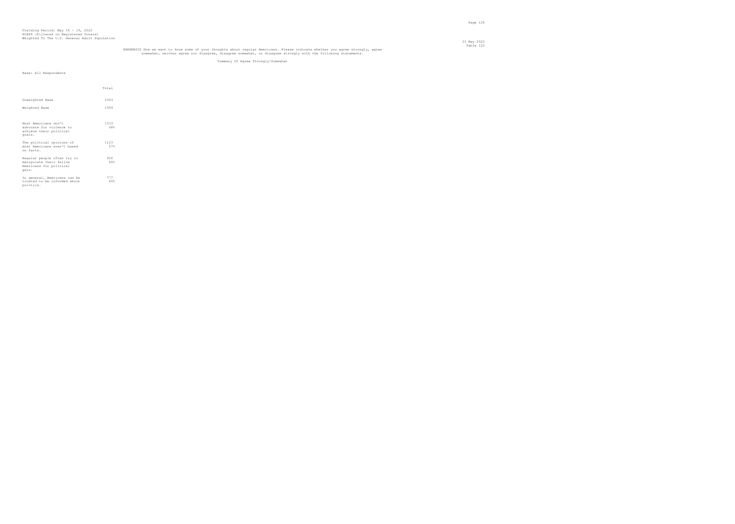## HARXMAY22 Now we want to know some of your thoughts about regular Americans. Please indicate whether you agree strongly, agree<br>somewhat, neither agree nor disagree, disagree somewhat, or disagree strongly with the followin

Summary Of Agree Strongly/Somewhat

|                                                                                            | Total       |
|--------------------------------------------------------------------------------------------|-------------|
| Unweighted Base                                                                            | 1963        |
| Weighted Base                                                                              | 1959        |
|                                                                                            |             |
| Most Americans don't<br>advocate for violence to<br>achieve their political<br>goals.      | 1333<br>68% |
| The political opinions of<br>most Americans aren't based<br>on facts.                      | 1123<br>57% |
| Regular people often try to<br>manipulate their fellow<br>Americans for political<br>gain. | 906<br>46%  |
| In general, Americans can be<br>trusted to be informed about<br>politics.                  | 777<br>40%  |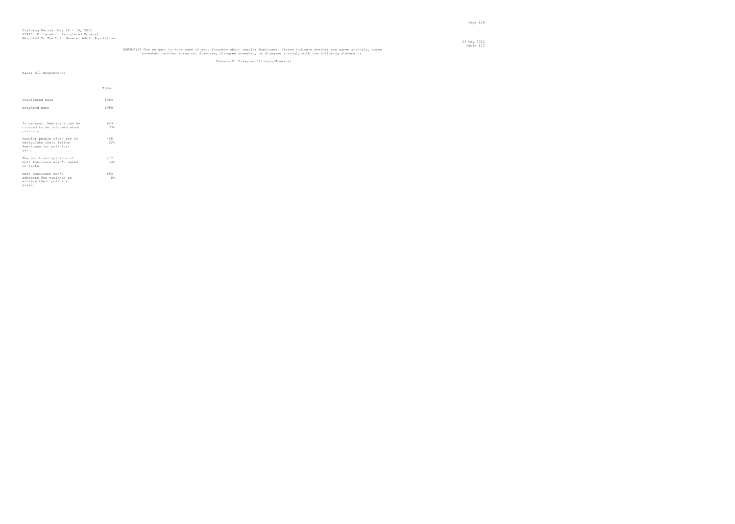## HARXMAY22 Now we want to know some of your thoughts about regular Americans. Please indicate whether you agree strongly, agree<br>somewhat, neither agree nor disagree, disagree somewhat, or disagree strongly with the followin

Summary Of Disagree Strongly/Somewhat

|                                                    | Total     |
|----------------------------------------------------|-----------|
|                                                    |           |
| Unweighted Base                                    | 1963      |
| Weighted Base                                      | 1959      |
|                                                    |           |
| In general, Americans can be                       | 643       |
| trusted to be informed about                       | 33%       |
| politics.                                          |           |
| Regular people often try to                        | 428       |
| manipulate their fellow<br>Americans for political | 22%       |
| gain.                                              |           |
| The political opinions of                          | 277       |
| most Americans aren't based<br>on facts.           | 14%       |
|                                                    |           |
| Most Americans don't<br>advocate for violence to   | 153<br>8% |
| achieve their political                            |           |
| goals.                                             |           |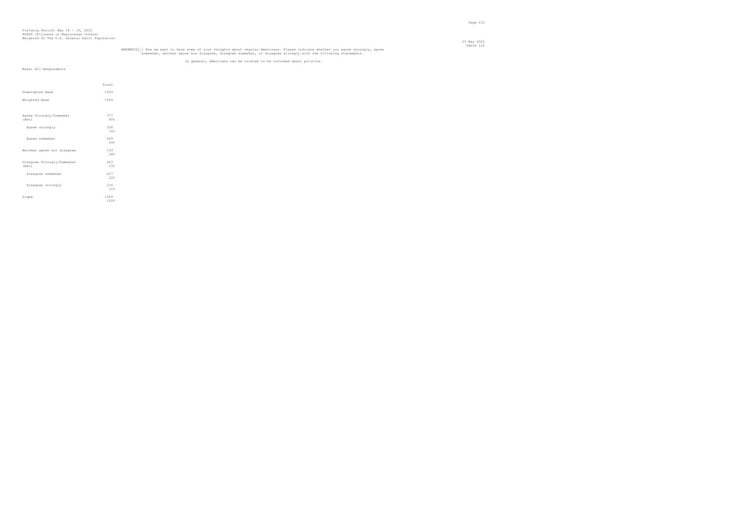## HARXMAY22\_1 Now we want to know some of your thoughts about regular Americans. Please indicate whether you agree strongly, agree<br>somewhat, neither agree nor disagree, disagree somewhat, or disagree strongly with the follow

#### In general, Americans can be trusted to be informed about politics.

|                                     | Total        |
|-------------------------------------|--------------|
| Unweighted Base                     | 1963         |
| Weighted Base                       | 1959         |
|                                     |              |
| Agree Strongly/Somewhat<br>(Net)    | 777<br>40%   |
| Agree strongly                      | 308<br>16%   |
| Agree somewhat                      | 469<br>2.4%  |
| Neither agree nor disagree          | 539<br>28%   |
| Disagree Strongly/Somewhat<br>(Net) | 643<br>33%   |
| Disagree somewhat                   | 427<br>22%   |
| Disagree strongly                   | 216<br>11%   |
| Sigma                               | 1959<br>100% |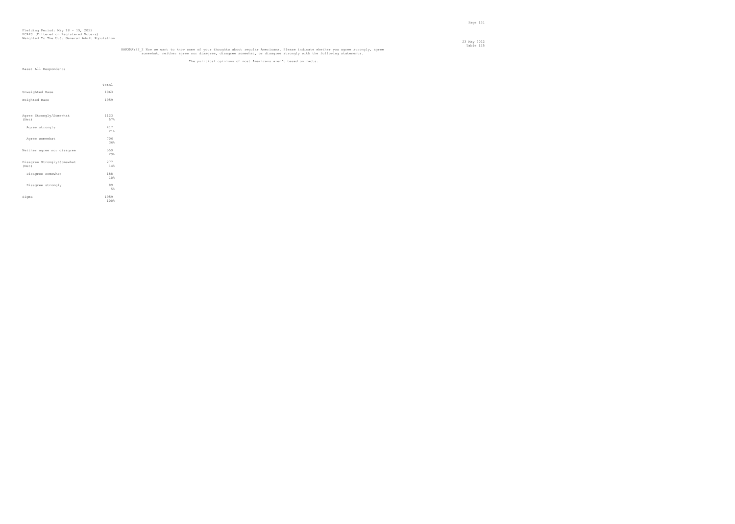## HARXMAY22\_2 Now we want to know some of your thoughts about regular Americans. Please indicate whether you agree strongly, agree<br>somewhat, neither agree nor disagree, disagree somewhat, or disagree strongly with the follow

#### The political opinions of most Americans aren't based on facts.

|                                     | Total        |  |
|-------------------------------------|--------------|--|
| Unweighted Base                     | 1963         |  |
| Weighted Base                       | 1959         |  |
|                                     |              |  |
| Agree Strongly/Somewhat<br>(Net)    | 1123<br>57%  |  |
| Agree strongly                      | 417<br>21%   |  |
| Agree somewhat                      | 706<br>36%   |  |
| Neither agree nor disagree          | 559<br>29%   |  |
| Disagree Strongly/Somewhat<br>(Net) | 277<br>14%   |  |
| Disagree somewhat                   | 188<br>10%   |  |
| Disagree strongly                   | 89<br>5%     |  |
| Sigma                               | 1959<br>100% |  |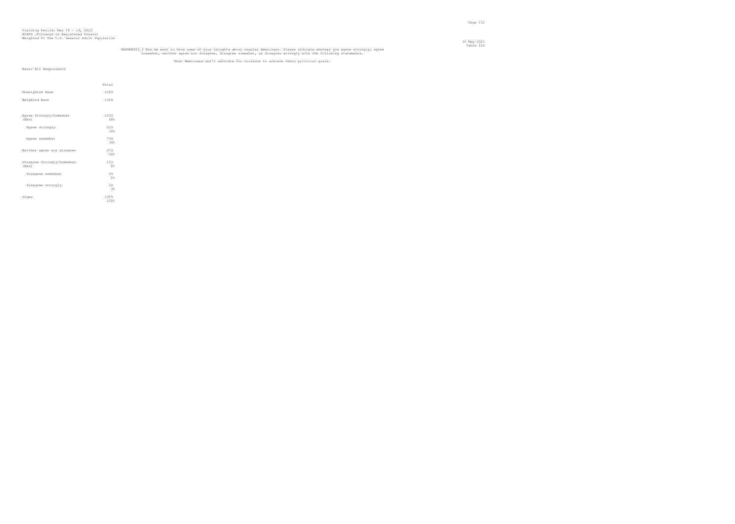## HARXMAY22\_3 Now we want to know some of your thoughts about regular Americans. Please indicate whether you agree strongly, agree<br>somewhat, neither agree nor disagree, disagree somewhat, or disagree strongly with the follow

#### Most Americans don't advocate for violence to achieve their political goals.

|                                     | Total        |  |
|-------------------------------------|--------------|--|
| Unweighted Base                     | 1963         |  |
| Weighted Base                       | 1959         |  |
|                                     |              |  |
| Agree Strongly/Somewhat<br>(Net)    | 1333<br>68%  |  |
| Agree strongly                      | 629<br>32%   |  |
| Agree somewhat                      | 704<br>36%   |  |
| Neither agree nor disagree          | 473<br>2.4%  |  |
| Disagree Strongly/Somewhat<br>(Net) | 153<br>8%    |  |
| Disagree somewhat                   | 99<br>5%     |  |
| Disagree strongly                   | 54<br>3%     |  |
| Sigma                               | 1959<br>100% |  |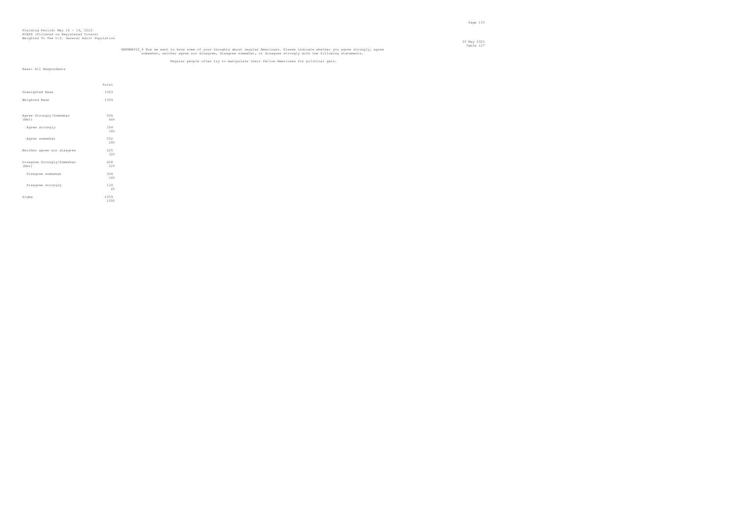## HARXMAY22\_4 Now we want to know some of your thoughts about regular Americans. Please indicate whether you agree strongly, agree<br>somewhat, neither agree nor disagree, disagree somewhat, or disagree strongly with the follow

#### Regular people often try to manipulate their fellow Americans for political gain.

|                                     | Total        |
|-------------------------------------|--------------|
| Unweighted Base                     | 1963         |
| Weighted Base                       | 1959         |
|                                     |              |
| Agree Strongly/Somewhat<br>(Net)    | 906<br>46%   |
| Agree strongly                      | 354<br>18%   |
| Agree somewhat                      | 552<br>28%   |
| Neither agree nor disagree          | 625<br>32%   |
| Disagree Strongly/Somewhat<br>(Net) | 428<br>22%   |
| Disagree somewhat                   | 304<br>16%   |
| Disagree strongly                   | 124<br>6%    |
| Sigma                               | 1959<br>100% |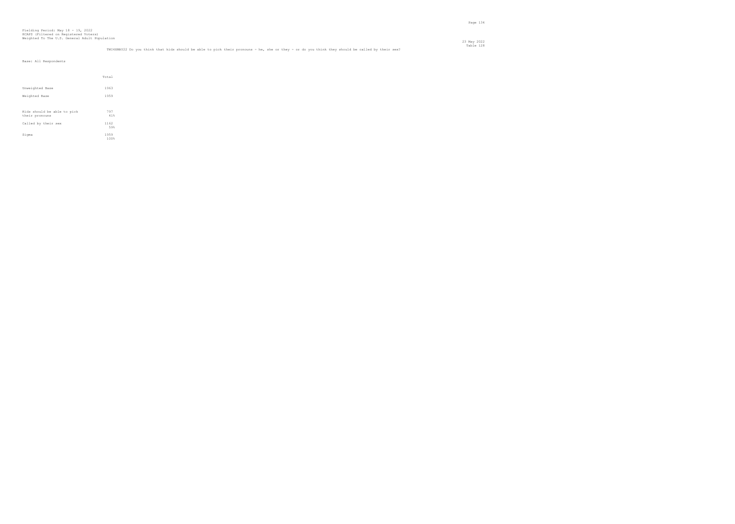### TMI4XMAY22 Do you think that kids should be able to pick their pronouns - he, she or they - or do you think they should be called by their sex?<br>Table 128

23 May 2022

|                                               | Total        |
|-----------------------------------------------|--------------|
| Unweighted Base                               | 1963         |
| Weighted Base                                 | 1959         |
| Kids should be able to pick<br>their pronouns | 797<br>41%   |
| Called by their sex                           | 1162<br>59%  |
| Sigma                                         | 1959<br>100% |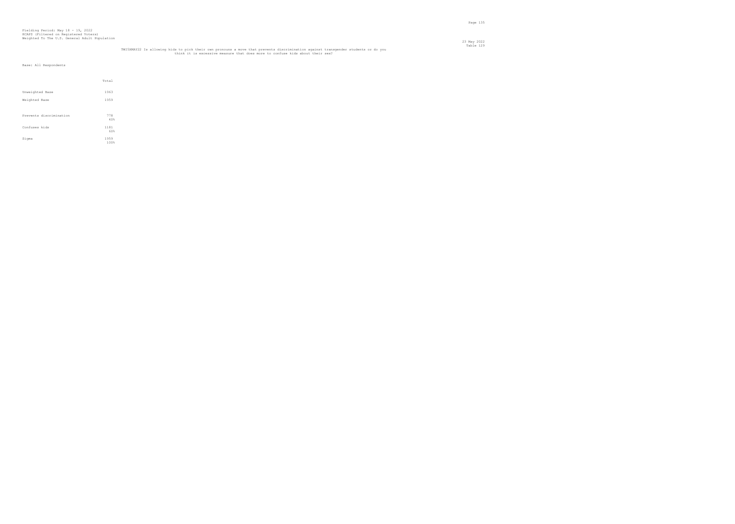|                         | Total        |
|-------------------------|--------------|
| Unweighted Base         | 1963         |
| Weighted Base           | 1959         |
|                         |              |
| Prevents discrimination | 778<br>40%   |
| Confuses kids           | 1181<br>60%  |
| Sigma                   | 1959<br>100% |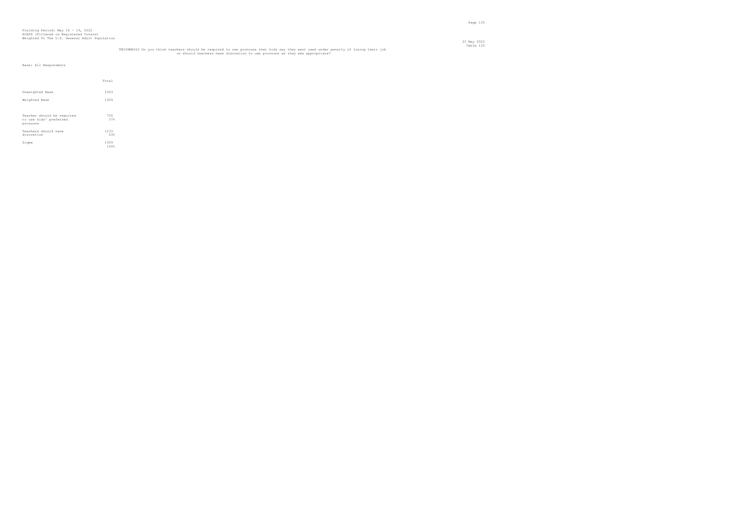|                                                                  | Total        |  |
|------------------------------------------------------------------|--------------|--|
| Unweighted Base                                                  | 1963         |  |
| Weighted Base                                                    | 1959         |  |
|                                                                  |              |  |
| Teacher should be required<br>to use kids' preferred<br>pronouns | 726<br>37%   |  |
| Teachers should have<br>discretion                               | 1233<br>63%  |  |
| Sigma                                                            | 1959<br>100% |  |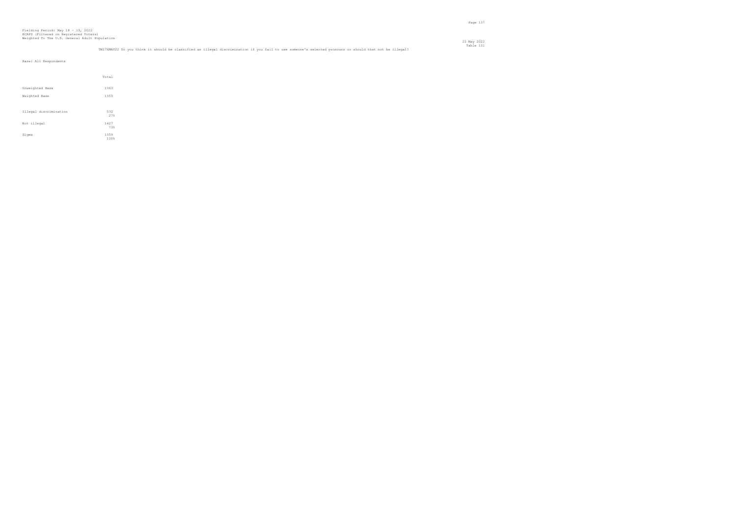### TWI7XMAY22 Do you think it should be classified as illegal discrimination if you fail to use someone's selected pronouns or should that not be illegal?<br>Table 131

23 May 2022

|                        | Total        |
|------------------------|--------------|
| Unweighted Base        | 1963         |
| Weighted Base          | 1959         |
|                        |              |
| Illegal discrimination | 532<br>27%   |
| Not illegal            | 1427<br>73%  |
| Sigma                  | 1959<br>100% |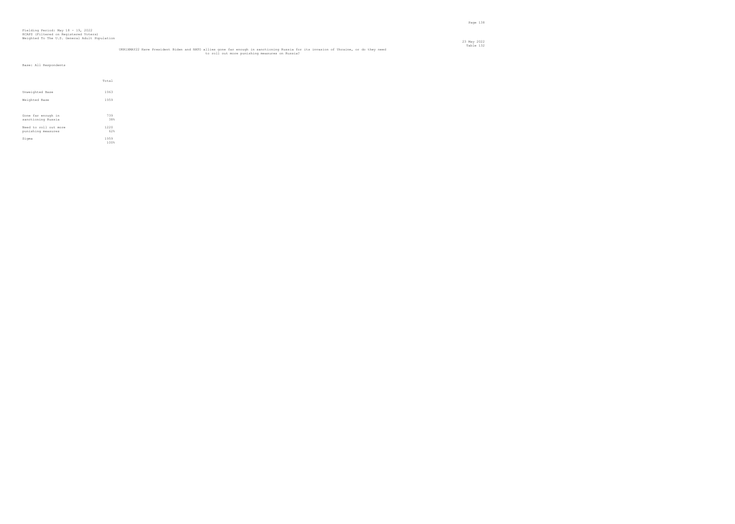## UKR1XMAY22 Have President Biden and NATO allies gone far enough in sanctioning Russia for its invasion of Ukraine, or do they need<br>to roll out more punishing measures on Russia?

|                                             | Total        |
|---------------------------------------------|--------------|
| Unweighted Base                             | 1963         |
| Weighted Base                               | 1959         |
|                                             |              |
| Gone far enough in<br>sanctioning Russia    | 739<br>38%   |
| Need to roll out more<br>punishing measures | 1220<br>62%  |
| Sigma                                       | 1959<br>100% |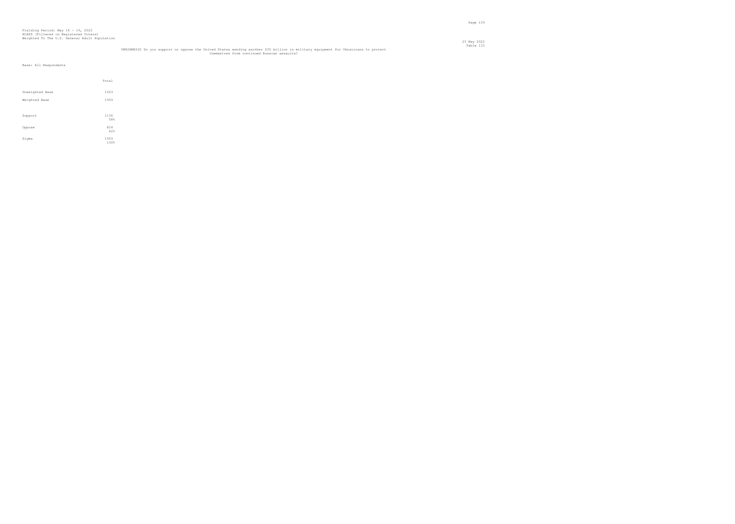## UKR2XMAY22 Do you support or oppose the United States sending another \$30 billion in military equipment for Ukrainians to protect<br>themselves from continued Russian assaults?

|                 | Total        |
|-----------------|--------------|
| Unweighted Base | 1963         |
| Weighted Base   | 1959         |
| Support         | 1136<br>58%  |
| Oppose          | 824<br>42%   |
| Sigma           | 1959<br>100% |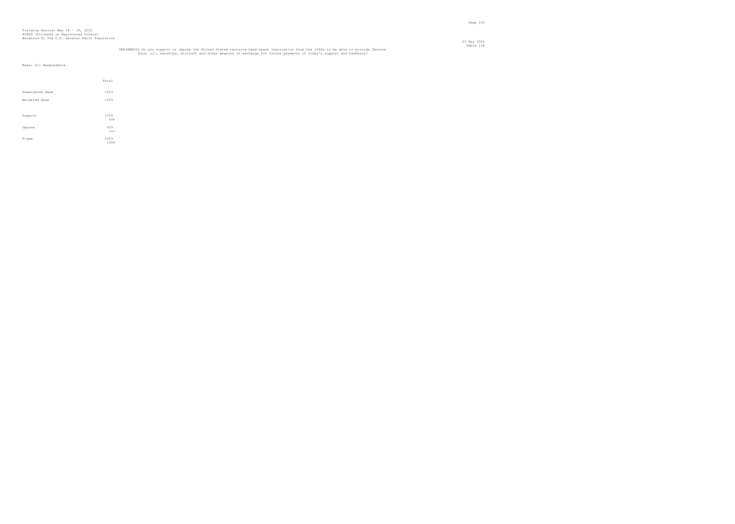# Table 134<br>UKR3XMAY22 Do you support or oppose the United States reviving Lend-Lease legislation from the 1940s to be able to provide Ukraine<br>food, oil, warships, aircraft and other weapons in exchange for future payments o

|                 | Total        |
|-----------------|--------------|
| Unweighted Base | 1963         |
| Weighted Base   | 1959         |
|                 |              |
| Support         | 1350<br>69%  |
| Oppose          | 609<br>31%   |
| Sigma           | 1959<br>100% |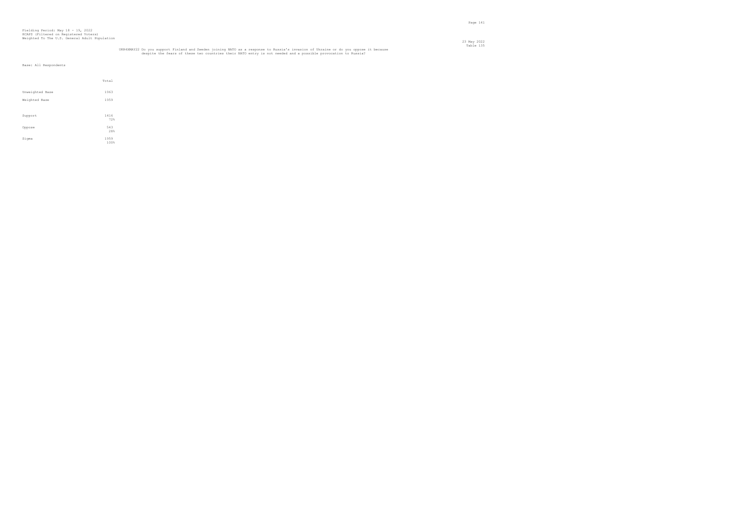## UKR4XMAY22 Do you support Finland and Sweden joining NATO as a response to Russia's invasion of Ukraine or do you oppose it because<br>despite the fears of these two countries their NATO entry is not needed and a possible pro

|                 | Total        |
|-----------------|--------------|
| Unweighted Base | 1963         |
| Weighted Base   | 1959         |
|                 |              |
| Support         | 1416<br>72%  |
| Oppose          | 543<br>28%   |
| Sigma           | 1959<br>100% |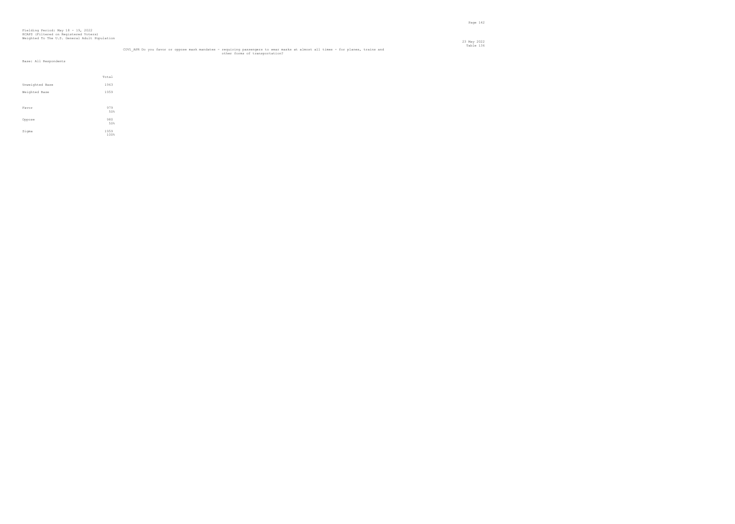|                 | Total |
|-----------------|-------|
| Unweighted Base | 1963  |
| Weighted Base   | 1959  |
|                 |       |
| Favor           | 979   |
|                 | 50%   |
| Oppose          | 980   |
|                 | 50%   |
| Sigma           | 1959  |
|                 | 100%  |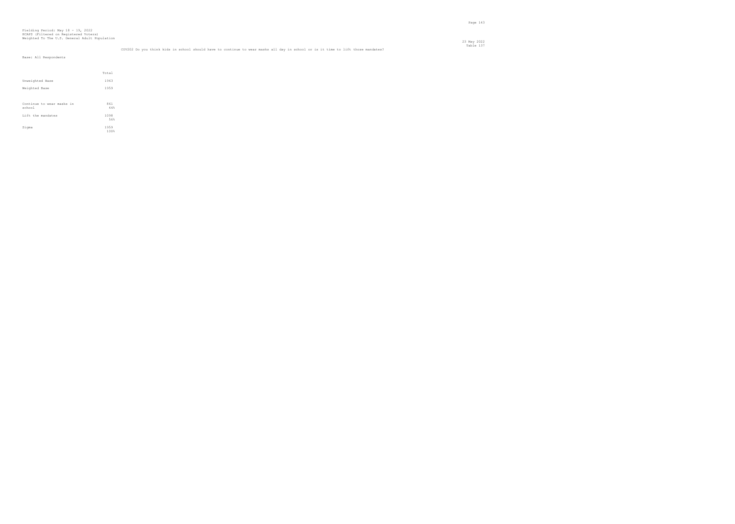| Base: All Respondents               |              |  |  |  |
|-------------------------------------|--------------|--|--|--|
|                                     |              |  |  |  |
|                                     | Total        |  |  |  |
| Unweighted Base                     | 1963         |  |  |  |
| Weighted Base                       | 1959         |  |  |  |
|                                     |              |  |  |  |
| Continue to wear masks in<br>school | 861<br>44%   |  |  |  |
| Lift the mandates                   | 1098<br>56%  |  |  |  |
| Sigma                               | 1959<br>100% |  |  |  |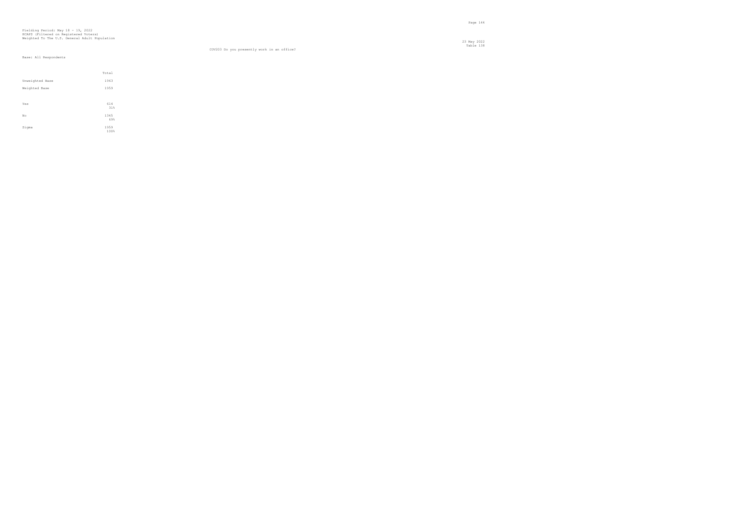#### Table 138 COV203 Do you presently work in an office?

|                  | Total        |
|------------------|--------------|
| Unweighted Base  | 1963         |
| Weighted Base    | 1959         |
|                  |              |
| Yes              | 614<br>31%   |
| $_{\mathrm{No}}$ | 1345<br>69%  |
| Sigma            | 1959<br>100% |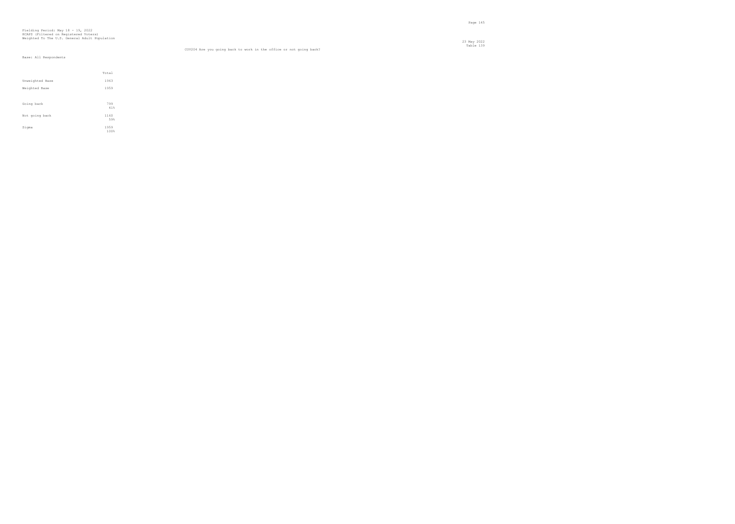23 May 2022 Table 139 COV204 Are you going back to work in the office or not going back?

|                 | Total        |
|-----------------|--------------|
| Unweighted Base | 1963         |
| Weighted Base   | 1959         |
|                 |              |
| Going back      | 799<br>41%   |
| Not going back  | 1160<br>59%  |
| Sigma           | 1959<br>100% |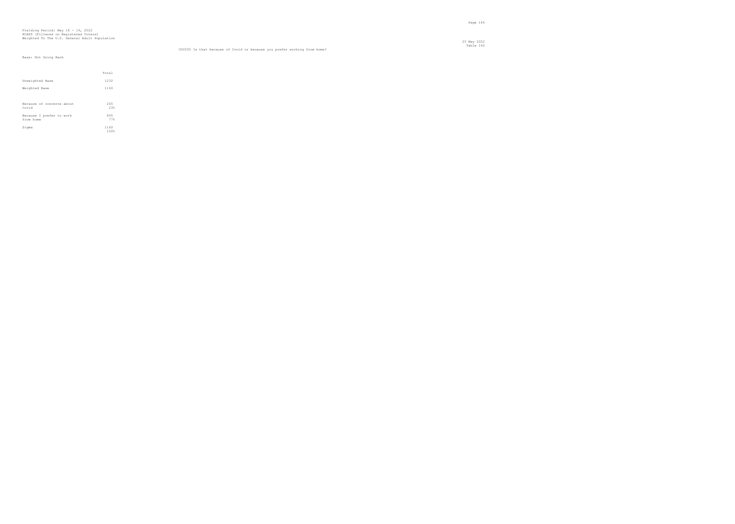#### Table 140 COV205 Is that because of Covid or because you prefer working from home?

# Base: Not Going Back

|                                       | Total        |  |
|---------------------------------------|--------------|--|
| Unweighted Base                       | 1232         |  |
| Weighted Base                         | 1160         |  |
|                                       |              |  |
| Because of concerns about<br>Covid    | 265<br>23%   |  |
| Because I prefer to work<br>from home | 895<br>77%   |  |
| Sigma                                 | 1160<br>100% |  |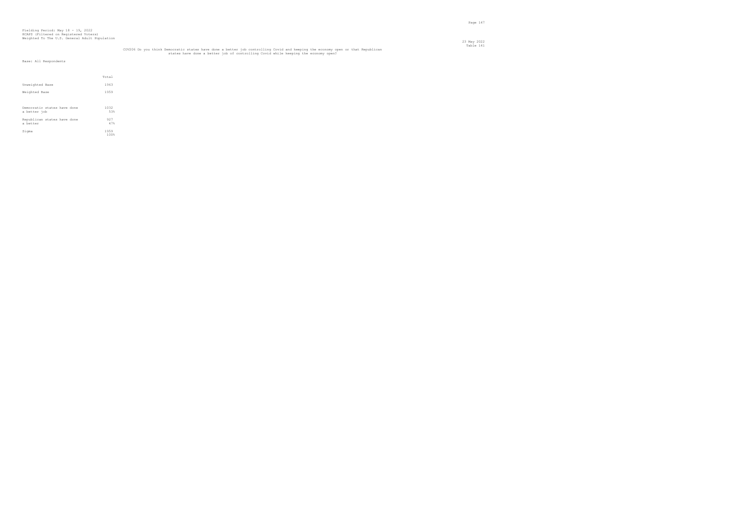|                                             | Total        |  |
|---------------------------------------------|--------------|--|
| Unweighted Base                             | 1963         |  |
| Weighted Base                               | 1959         |  |
| Democratic states have done<br>a better job | 1032<br>53%  |  |
| Republican states have done<br>a better     | 927<br>47%   |  |
| Sigma                                       | 1959<br>100% |  |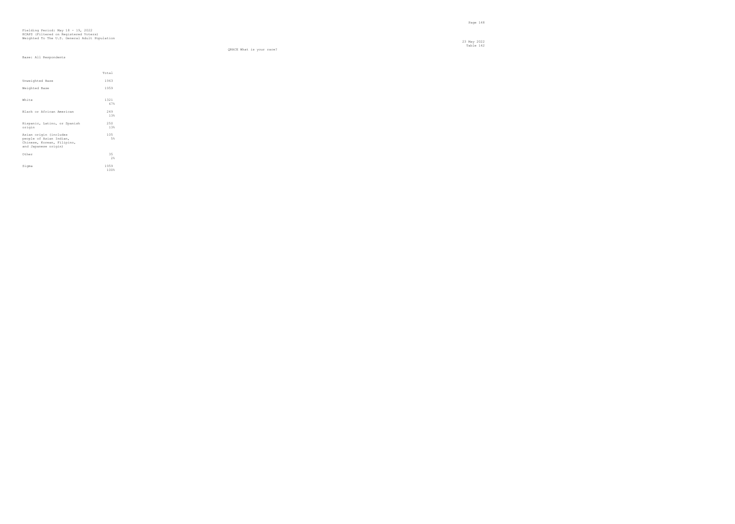23 May 2022 Table 142

QRACE What is your race?

|                                                                                                         | Total        |
|---------------------------------------------------------------------------------------------------------|--------------|
| Unweighted Base                                                                                         | 1963         |
| Weighted Base                                                                                           | 1959         |
| White                                                                                                   | 1321<br>67%  |
| Black or African American                                                                               | 249<br>13%   |
| Hispanic, Latino, or Spanish<br>origin                                                                  | 250<br>13%   |
| Asian origin (includes<br>people of Asian Indian,<br>Chinese, Korean, Filipino,<br>and Japanese origin) | 105<br>5%    |
| Other                                                                                                   | 35<br>2      |
| Sigma                                                                                                   | 1959<br>100% |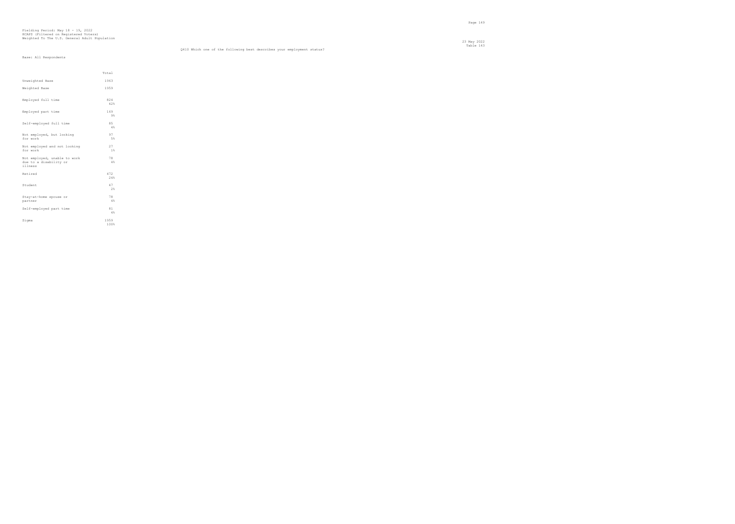#### Table 143 Q410 Which one of the following best describes your employment status?

|                                                                   | Total        |  |
|-------------------------------------------------------------------|--------------|--|
| Unweighted Base                                                   | 1963         |  |
| Weighted Base                                                     | 1959         |  |
| Employed full time                                                | 824<br>42%   |  |
| Employed part time                                                | 169<br>9%    |  |
| Self-employed full time                                           | 85<br>4%     |  |
| Not employed, but looking<br>for work                             | 97<br>5%     |  |
| Not employed and not looking<br>for work                          | 27<br>1%     |  |
| Not employed, unable to work<br>due to a disability or<br>illness | 78<br>4%     |  |
| Retired                                                           | 472<br>24%   |  |
| Student                                                           | 47<br>2%     |  |
| Stay-at-home spouse or<br>partner                                 | 78<br>4%     |  |
| Self-employed part time                                           | 81<br>4%     |  |
| Sigma                                                             | 1959<br>100% |  |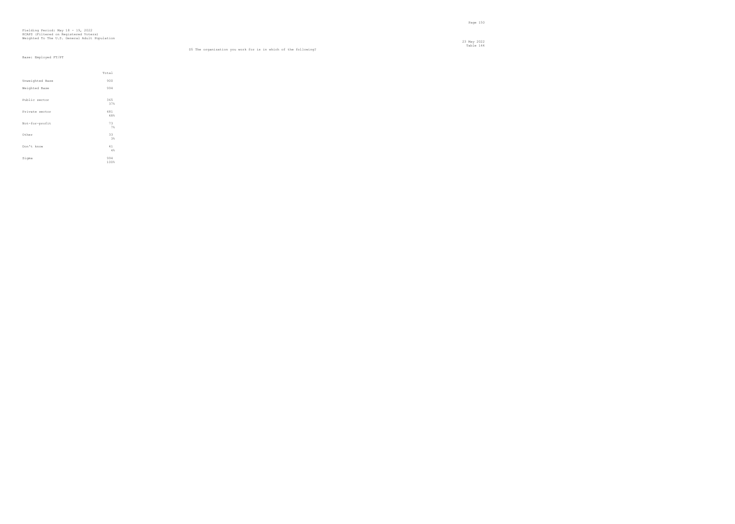23 May 2022 Table 144 D5 The organization you work for is in which of the following?

#### Base: Employed FT/PT

|                 | Total       |
|-----------------|-------------|
| Unweighted Base | 900         |
| Weighted Base   | 994         |
| Public sector   | 365<br>37%  |
| Private sector  | 481<br>48%  |
| Not-for-profit  | 73<br>7%    |
| Other           | 33<br>3%    |
| Don't know      | 41<br>4%    |
| Sigma           | 994<br>100% |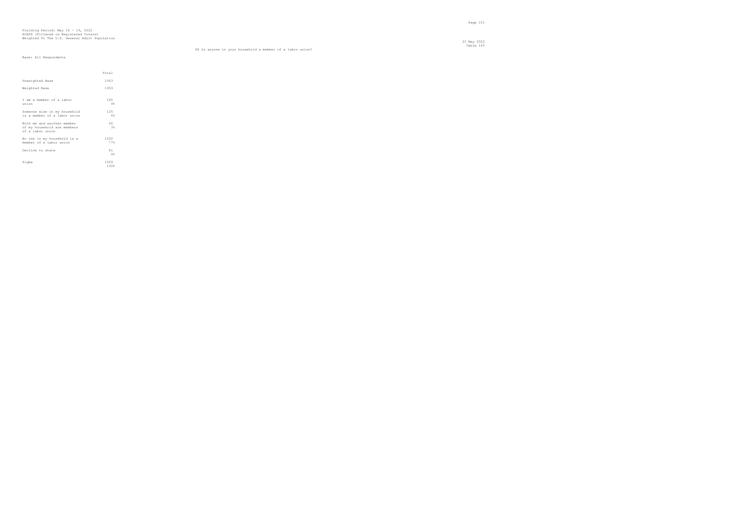# D6 Is anyone in your household a member of a labor union?

|                                                                               | Total        |
|-------------------------------------------------------------------------------|--------------|
| Unweighted Base                                                               | 1963         |
| Weighted Base                                                                 | 1959         |
| I am a member of a labor<br>union                                             | 185<br>9%    |
| Someone else in my household<br>is a member of a labor union                  | 125<br>6%    |
| Both me and another member<br>of my household are members<br>of a labor union | 66<br>3%     |
| No one in my household is a<br>member of a labor union                        | 1502<br>77%  |
| Decline to state                                                              | 81<br>4%     |
| Sigma                                                                         | 1959<br>100% |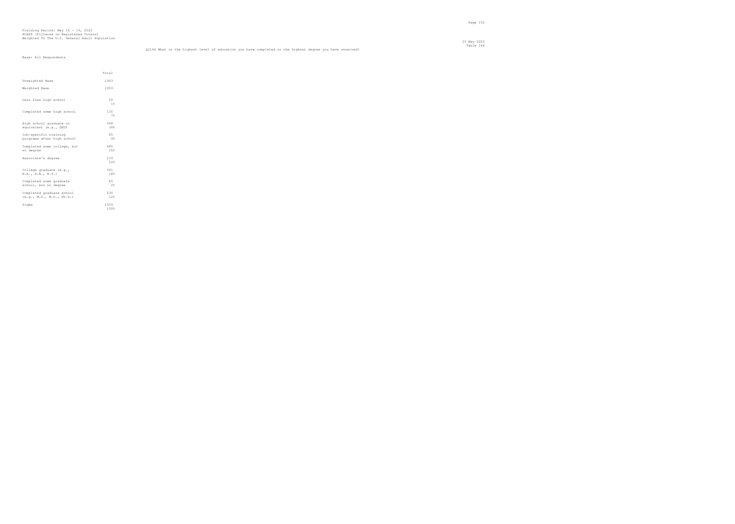# Fielding Period: May 18 - 19, 2022 HCAPS (Filtered on Registered Voters) Weighted To The U.S. General Adult Population

|                                                        | Total        |  |
|--------------------------------------------------------|--------------|--|
| Unweighted Base                                        | 1963         |  |
| Weighted Base                                          | 1959         |  |
| Less than high school                                  | 25<br>1%     |  |
| Completed some high school                             | 135<br>7%    |  |
| High school graduate or<br>equivalent (e.g., GED)      | 348<br>18%   |  |
| Job-specific training<br>programs after high school    | 85<br>4%     |  |
| Completed some college, but<br>no degree               | 485<br>25%   |  |
| Associate's degree                                     | 239<br>12%   |  |
| College graduate (e.g.,<br>B.A., A.B., B.S.)           | 361<br>18%   |  |
| Completed some graduate<br>school, but no degree       | 4.5<br>2%    |  |
| Completed graduate school<br>(e.g., M.S., M.D., Ph.D.) | 236<br>12%   |  |
| Sigma                                                  | 1959<br>100% |  |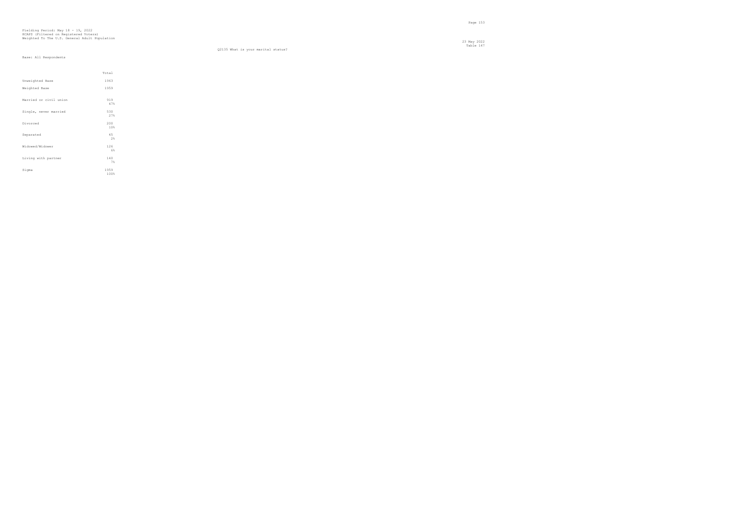23 May 2022 Table 14 23 May 2022<br>Table 147

Q2135 What is your marital status?

|                        | Total        |
|------------------------|--------------|
| Unweighted Base        | 1963         |
| Weighted Base          | 1959         |
| Married or civil union | 919<br>47%   |
| Single, never married  | 530<br>27%   |
| Divorced               | 200<br>10%   |
| Separated              | 45<br>2%     |
| Widowed/Widower        | 126<br>6%    |
| Living with partner    | 140<br>7%    |
| Sigma                  | 1959<br>100% |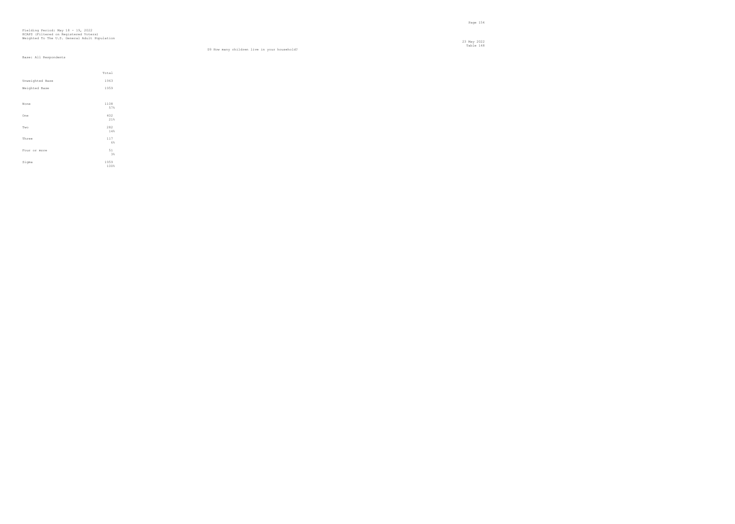#### Table 148 D9 How many children live in your household?

23 May 2022

|                 | Total        |
|-----------------|--------------|
| Unweighted Base | 1963         |
| Weighted Base   | 1959         |
|                 |              |
| None            | 1108<br>57%  |
| One             | 402<br>21%   |
| Two             | 282<br>14%   |
| Three           | 117<br>6%    |
| Four or more    | 51<br>3%     |
| Sigma           | 1959<br>100% |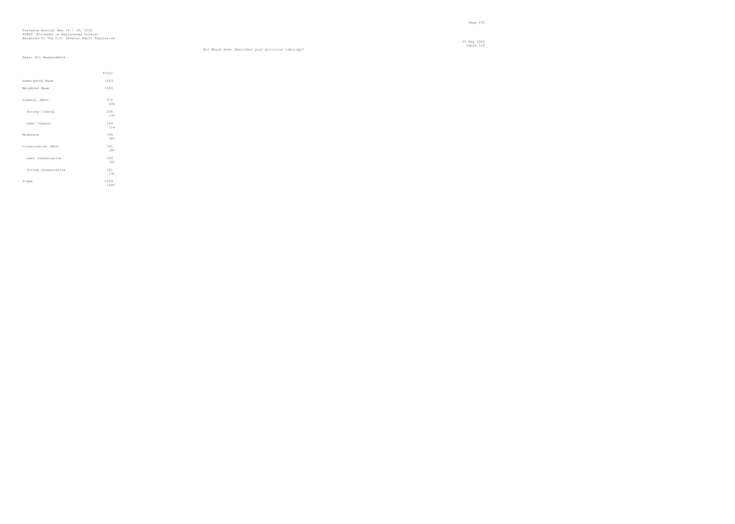#### Table 149 M12 Which best describes your political ideology?

|                     | Total        |  |
|---------------------|--------------|--|
| Unweighted Base     | 1963         |  |
| Weighted Base       | 1959         |  |
| Liberal (Net)       | 472<br>2.4%  |  |
| Strong liberal      | 248<br>13%   |  |
| Lean liberal        | 224<br>11%   |  |
| Moderate            | 746<br>38%   |  |
| Conservative (Net)  | 741<br>38%   |  |
| Lean conservative   | 360<br>18%   |  |
| Strong conservative | 381<br>19%   |  |
| Sigma               | 1959<br>100% |  |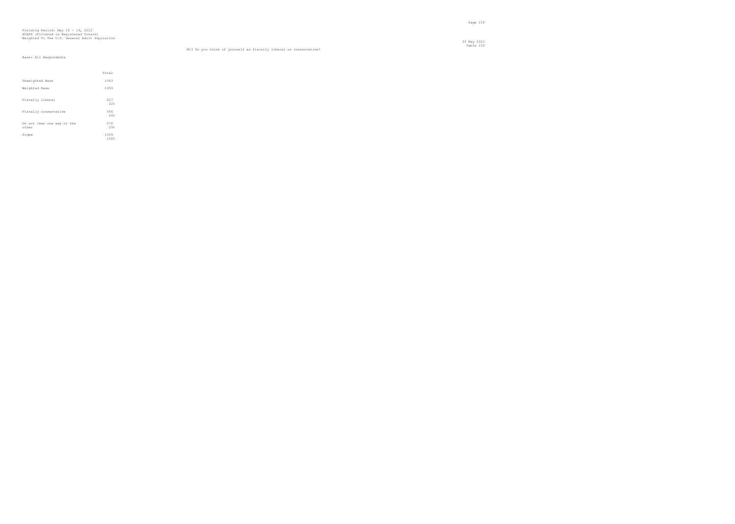23 May 2022 Table 150 M13 Do you think of yourself as fiscally liberal or conservative?

|                                     | Total        |
|-------------------------------------|--------------|
| Unweighted Base                     | 1963         |
| Weighted Base                       | 1959         |
| Fiscally liberal                    | 427<br>22%   |
| Fiscally conservative               | 956<br>49%   |
| Do not lean one way or the<br>other | 576<br>29%   |
| Sigma                               | 1959<br>100% |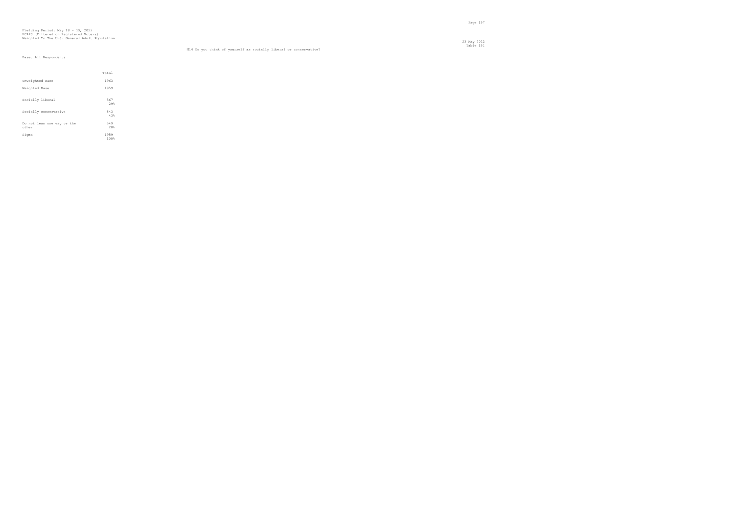23 May 2022 Table 151 M14 Do you think of yourself as socially liberal or conservative?

|                                     | Total        |
|-------------------------------------|--------------|
| Unweighted Base                     | 1963         |
| Weighted Base                       | 1959         |
| Socially liberal                    | 567<br>29%   |
| Socially conservative               | 843<br>43%   |
| Do not lean one way or the<br>other | 549<br>28%   |
| Sigma                               | 1959<br>100% |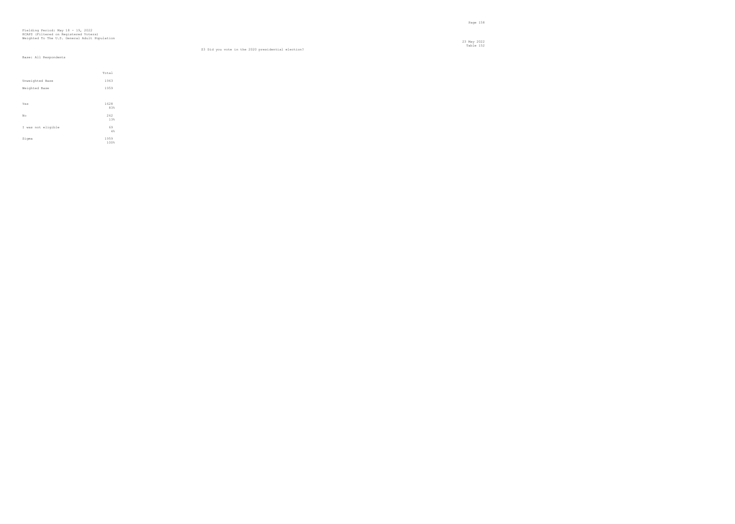#### Table 152 S3 Did you vote in the 2020 presidential election?

|                    | Total        |
|--------------------|--------------|
| Unweighted Base    | 1963         |
| Weighted Base      | 1959         |
|                    |              |
| Yes                | 1628<br>83%  |
| No                 | 262          |
|                    | 13%          |
| I was not eligible | 69<br>4%     |
|                    |              |
| Sigma              | 1959<br>100% |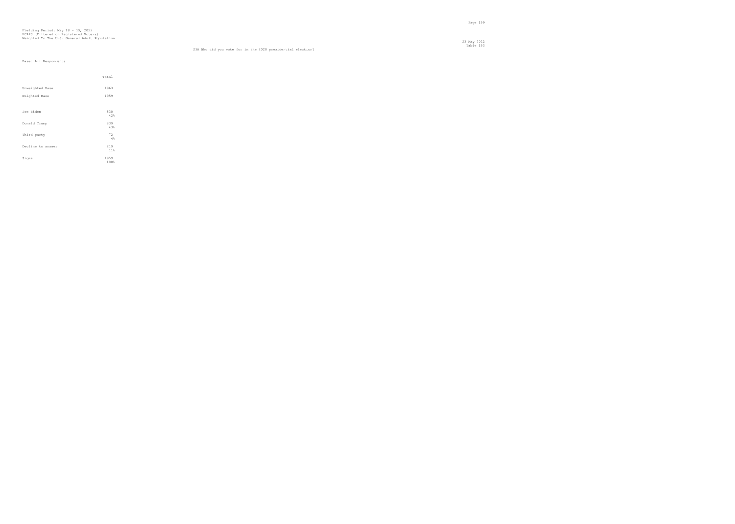Page 159

23 May 2022

|                   | Total        |
|-------------------|--------------|
| Unweighted Base   | 1963         |
| Weighted Base     | 1959         |
|                   |              |
| Joe Biden         | 830<br>42%   |
| Donald Trump      | 839<br>43%   |
| Third party       | 72<br>$4\%$  |
| Decline to answer | 219<br>11%   |
| Sigma             | 1959<br>100% |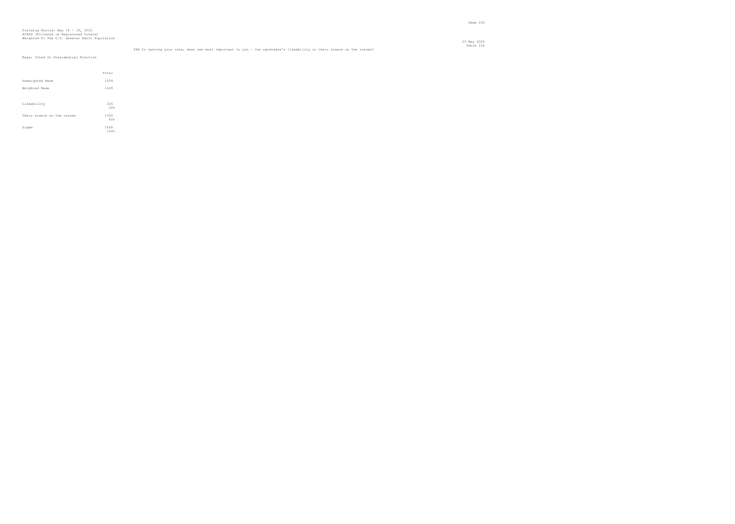Base: Voted In Presidential Election

|                            | Total        |  |
|----------------------------|--------------|--|
| Unweighted Base            | 1654         |  |
| Weighted Base              | 1628         |  |
|                            |              |  |
| Likeability                | 326<br>20%   |  |
| Their stance on the issues | 1302<br>80%  |  |
| Sigma                      | 1628<br>100% |  |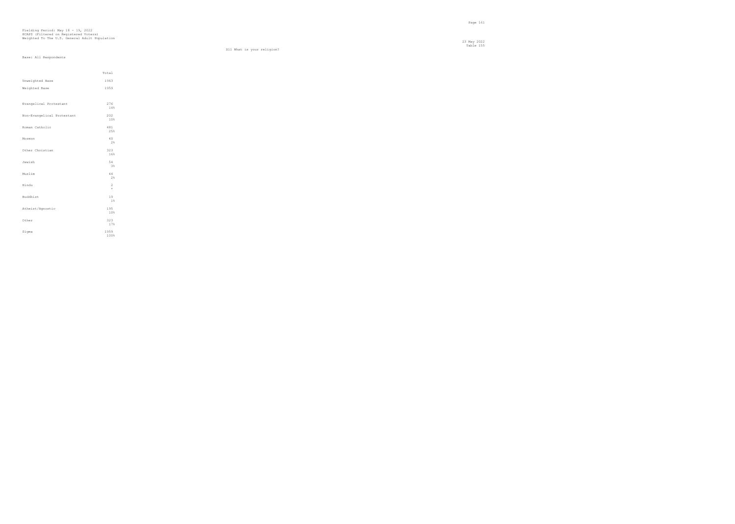23 May 2022 Table 155

D11 What is your religion?

|                            | Total          |  |
|----------------------------|----------------|--|
| Unweighted Base            | 1963           |  |
| Weighted Base              | 1959           |  |
|                            |                |  |
| Evangelical Protestant     | 276<br>14%     |  |
|                            |                |  |
| Non-Evangelical Protestant | 202<br>10%     |  |
|                            |                |  |
| Roman Catholic             | 481<br>25%     |  |
| Mormon                     | 40             |  |
|                            | 2%             |  |
| Other Christian            | 323            |  |
|                            | 16%            |  |
| Jewish                     | 54             |  |
|                            | 3%             |  |
| Muslim                     | 44<br>2%       |  |
| Hindu                      | $\overline{c}$ |  |
|                            | $\star$        |  |
| Buddhist                   | 19             |  |
|                            | $1\%$          |  |
| Atheist/Agnostic           | 195            |  |
|                            | 10%            |  |
| Other                      | 323<br>17%     |  |
| Sigma                      | 1959           |  |
|                            | 100%           |  |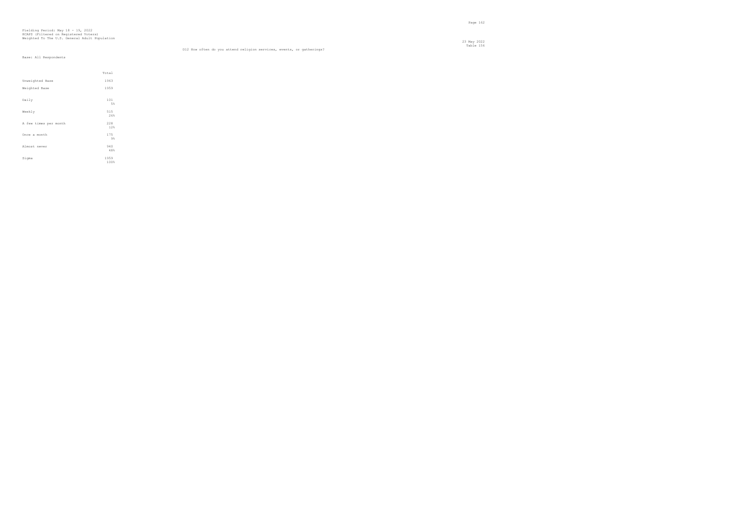23 May 2022 Table 156 D12 How often do you attend religion services, events, or gatherings?

|                       | Total      |  |
|-----------------------|------------|--|
| Unweighted Base       | 1963       |  |
| Weighted Base         | 1959       |  |
|                       |            |  |
| Daily                 | 101<br>5%  |  |
|                       |            |  |
| Weekly                | 515<br>26% |  |
|                       |            |  |
| A few times per month | 228        |  |
|                       | 12%        |  |
| Once a month          | 175        |  |
|                       | 9%         |  |
| Almost never          | 940        |  |
|                       | 48%        |  |
| Sigma                 | 1959       |  |
|                       | 100%       |  |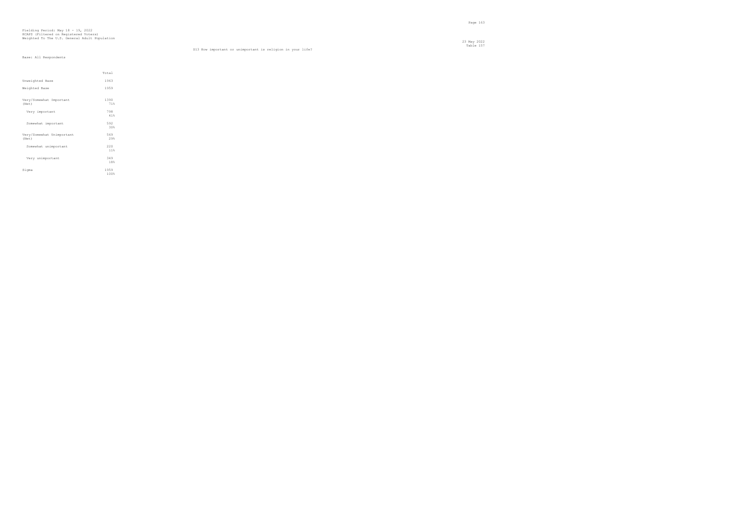23 May 2022 Table 157 D13 How important or unimportant is religion in your life?

|                                    | Total        |  |
|------------------------------------|--------------|--|
| Unweighted Base                    | 1963         |  |
| Weighted Base                      | 1959         |  |
| Very/Somewhat Important<br>(Net)   | 1390<br>71%  |  |
| Very important                     | 798<br>41%   |  |
| Somewhat important                 | 592<br>30%   |  |
| Very/Somewhat Unimportant<br>(Net) | 569<br>29%   |  |
| Somewhat unimportant               | 220<br>11%   |  |
| Very unimportant                   | 349<br>18%   |  |
| Sigma                              | 1959<br>100% |  |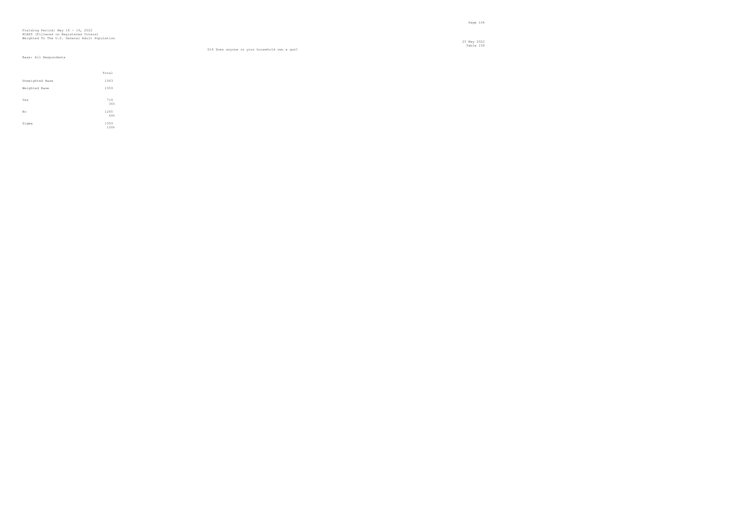23 May 2022 Table 158

#### D14 Does anyone in your household own a gun?

|                 | Total        |  |
|-----------------|--------------|--|
| Unweighted Base | 1963         |  |
| Weighted Base   | 1959         |  |
|                 |              |  |
| Yes             | 714<br>36%   |  |
| No              | 1245         |  |
|                 | 64%          |  |
| Sigma           | 1959<br>100% |  |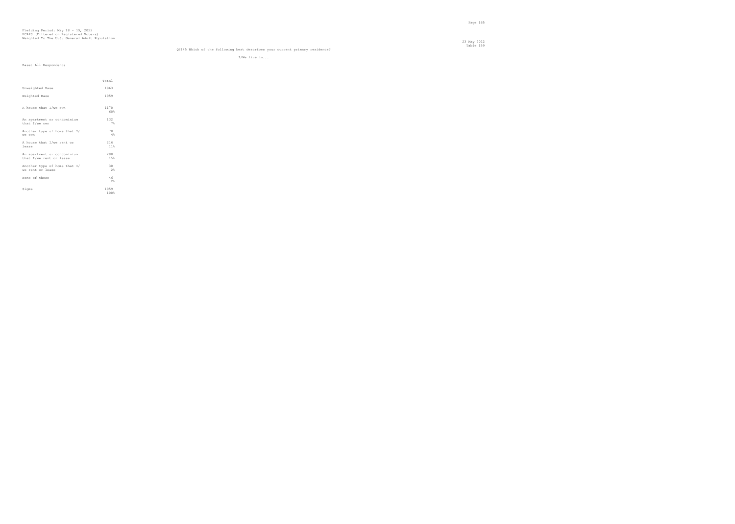#### Table 159 Q2145 Which of the following best describes your current primary residence?

I/We live in...

|  | Base: All Respondents |
|--|-----------------------|

|                                                        | Total        |
|--------------------------------------------------------|--------------|
| Unweighted Base                                        | 1963         |
| Weighted Base                                          | 1959         |
| A house that I/we own                                  | 1170<br>60%  |
| An apartment or condominium<br>that I/we own           | 132<br>7%    |
| Another type of home that I/<br>we own                 | 78<br>4%     |
| A house that I/we rent or<br>lease                     | 216<br>11%   |
| An apartment or condominium<br>that I/we rent or lease | 288<br>15%   |
| Another type of home that I/<br>we rent or lease       | 30<br>2%     |
| None of these                                          | 46<br>2%     |
| Sigma                                                  | 1959<br>100% |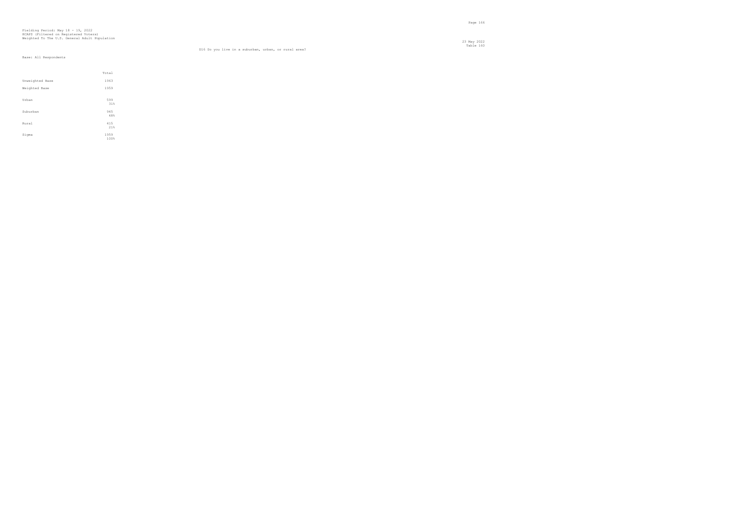23 May 2022 Table 160 D16 Do you live in a suburban, urban, or rural area?

|                 | Total      |
|-----------------|------------|
| Unweighted Base | 1963       |
| Weighted Base   | 1959       |
|                 |            |
| Urban           | 599<br>31% |
|                 |            |
| Suburban        | 945        |
|                 | 48%        |
| Rural           | 415        |
|                 | 21%        |
| Sigma           | 1959       |
|                 | 100%       |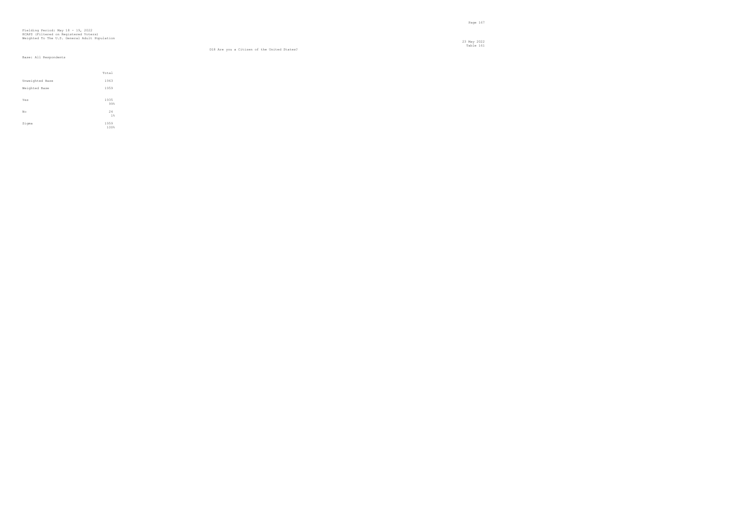#### Table 161 D18 Are you a Citizen of the United States?

|                 | Total        |  |
|-----------------|--------------|--|
| Unweighted Base | 1963         |  |
| Weighted Base   | 1959         |  |
| Yes             | 1935<br>99%  |  |
| No              | 24<br>1%     |  |
| Sigma           | 1959<br>100% |  |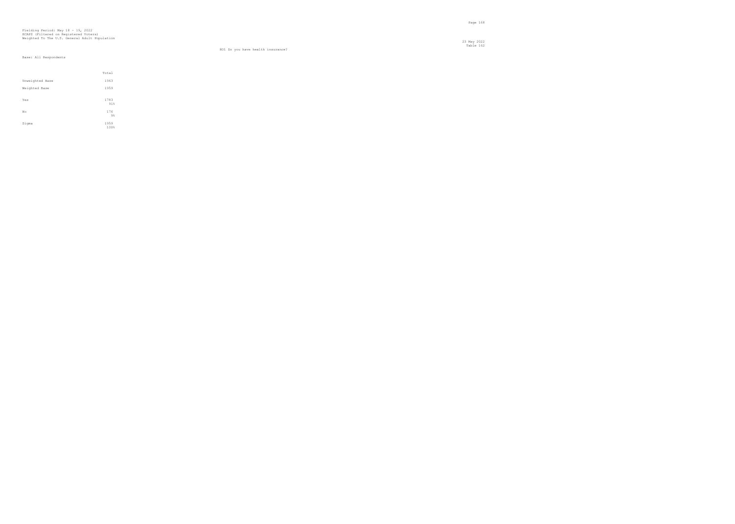23 May 2022 Table 162

#### HO1 Do you have health insurance?

|                 | Total        |
|-----------------|--------------|
| Unweighted Base | 1963         |
| Weighted Base   | 1959         |
| Yes             | 1783<br>91%  |
| No.             | 176<br>9%    |
| Sigma           | 1959<br>100% |